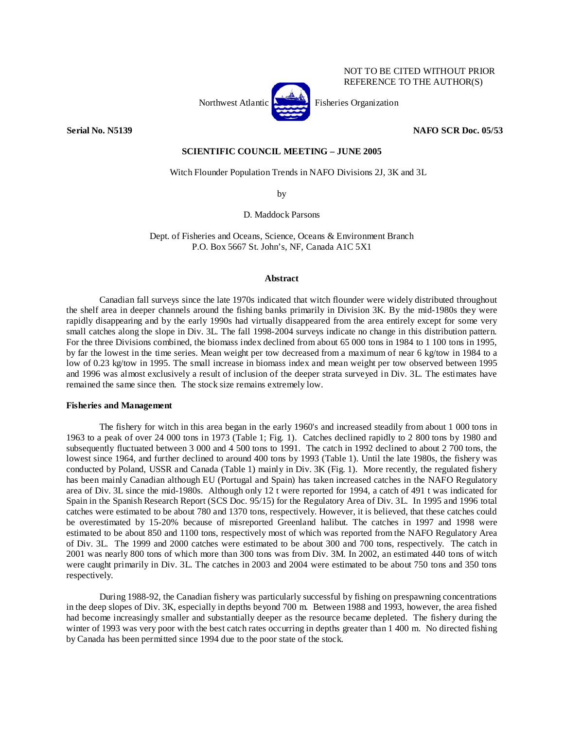

**Serial No. N5139 NAFO SCR Doc. 05/53** 

NOT TO BE CITED WITHOUT PRIOR REFERENCE TO THE AUTHOR(S)

# **SCIENTIFIC COUNCIL MEETING – JUNE 2005**

Witch Flounder Population Trends in NAFO Divisions 2J, 3K and 3L

by

D. Maddock Parsons

Dept. of Fisheries and Oceans, Science, Oceans & Environment Branch P.O. Box 5667 St. John's, NF, Canada A1C 5X1

# **Abstract**

Canadian fall surveys since the late 1970s indicated that witch flounder were widely distributed throughout the shelf area in deeper channels around the fishing banks primarily in Division 3K. By the mid-1980s they were rapidly disappearing and by the early 1990s had virtually disappeared from the area entirely except for some very small catches along the slope in Div. 3L. The fall 1998-2004 surveys indicate no change in this distribution pattern. For the three Divisions combined, the biomass index declined from about 65 000 tons in 1984 to 1 100 tons in 1995, by far the lowest in the time series. Mean weight per tow decreased from a maximum of near 6 kg/tow in 1984 to a low of 0.23 kg/tow in 1995. The small increase in biomass index and mean weight per tow observed between 1995 and 1996 was almost exclusively a result of inclusion of the deeper strata surveyed in Div. 3L. The estimates have remained the same since then. The stock size remains extremely low.

## **Fisheries and Management**

 The fishery for witch in this area began in the early 1960's and increased steadily from about 1 000 tons in 1963 to a peak of over 24 000 tons in 1973 (Table 1; Fig. 1). Catches declined rapidly to 2 800 tons by 1980 and subsequently fluctuated between 3 000 and 4 500 tons to 1991. The catch in 1992 declined to about 2 700 tons, the lowest since 1964, and further declined to around 400 tons by 1993 (Table 1). Until the late 1980s, the fishery was conducted by Poland, USSR and Canada (Table 1) mainly in Div. 3K (Fig. 1). More recently, the regulated fishery has been mainly Canadian although EU (Portugal and Spain) has taken increased catches in the NAFO Regulatory area of Div. 3L since the mid-1980s. Although only 12 t were reported for 1994, a catch of 491 t was indicated for Spain in the Spanish Research Report (SCS Doc. 95/15) for the Regulatory Area of Div. 3L. In 1995 and 1996 total catches were estimated to be about 780 and 1370 tons, respectively. However, it is believed, that these catches could be overestimated by 15-20% because of misreported Greenland halibut. The catches in 1997 and 1998 were estimated to be about 850 and 1100 tons, respectively most of which was reported from the NAFO Regulatory Area of Div. 3L. The 1999 and 2000 catches were estimated to be about 300 and 700 tons, respectively. The catch in 2001 was nearly 800 tons of which more than 300 tons was from Div. 3M. In 2002, an estimated 440 tons of witch were caught primarily in Div. 3L. The catches in 2003 and 2004 were estimated to be about 750 tons and 350 tons respectively.

 During 1988-92, the Canadian fishery was particularly successful by fishing on prespawning concentrations in the deep slopes of Div. 3K, especially in depths beyond 700 m. Between 1988 and 1993, however, the area fished had become increasingly smaller and substantially deeper as the resource became depleted. The fishery during the winter of 1993 was very poor with the best catch rates occurring in depths greater than 1 400 m. No directed fishing by Canada has been permitted since 1994 due to the poor state of the stock.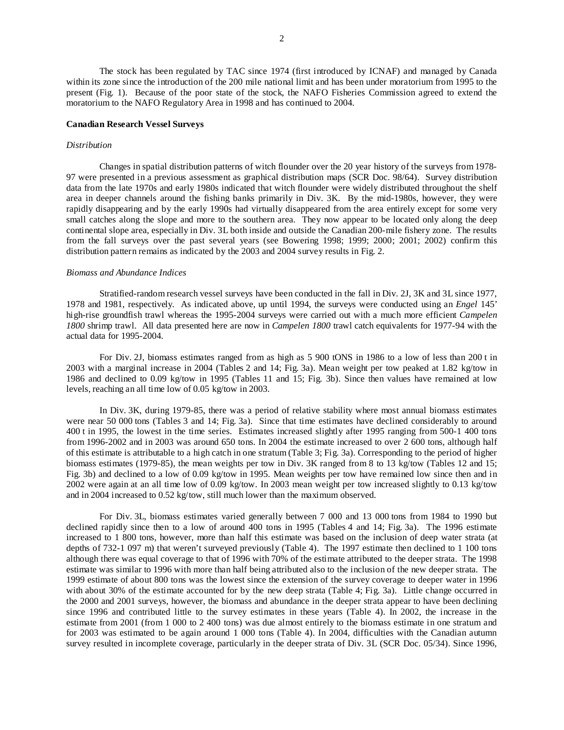The stock has been regulated by TAC since 1974 (first introduced by ICNAF) and managed by Canada within its zone since the introduction of the 200 mile national limit and has been under moratorium from 1995 to the present (Fig. 1). Because of the poor state of the stock, the NAFO Fisheries Commission agreed to extend the moratorium to the NAFO Regulatory Area in 1998 and has continued to 2004.

## **Canadian Research Vessel Surveys**

## *Distribution*

Changes in spatial distribution patterns of witch flounder over the 20 year history of the surveys from 1978- 97 were presented in a previous assessment as graphical distribution maps (SCR Doc. 98/64). Survey distribution data from the late 1970s and early 1980s indicated that witch flounder were widely distributed throughout the shelf area in deeper channels around the fishing banks primarily in Div. 3K. By the mid-1980s, however, they were rapidly disappearing and by the early 1990s had virtually disappeared from the area entirely except for some very small catches along the slope and more to the southern area. They now appear to be located only along the deep continental slope area, especially in Div. 3L both inside and outside the Canadian 200-mile fishery zone. The results from the fall surveys over the past several years (see Bowering 1998; 1999; 2000; 2001; 2002) confirm this distribution pattern remains as indicated by the 2003 and 2004 survey results in Fig. 2.

# *Biomass and Abundance Indices*

 Stratified-random research vessel surveys have been conducted in the fall in Div. 2J, 3K and 3L since 1977, 1978 and 1981, respectively. As indicated above, up until 1994, the surveys were conducted using an *Engel* 145' high-rise groundfish trawl whereas the 1995-2004 surveys were carried out with a much more efficient *Campelen 1800* shrimp trawl. All data presented here are now in *Campelen 1800* trawl catch equivalents for 1977-94 with the actual data for 1995-2004.

For Div. 2J, biomass estimates ranged from as high as 5 900 tONS in 1986 to a low of less than 200 t in 2003 with a marginal increase in 2004 (Tables 2 and 14; Fig. 3a). Mean weight per tow peaked at 1.82 kg/tow in 1986 and declined to 0.09 kg/tow in 1995 (Tables 11 and 15; Fig. 3b). Since then values have remained at low levels, reaching an all time low of 0.05 kg/tow in 2003.

In Div. 3K, during 1979-85, there was a period of relative stability where most annual biomass estimates were near 50 000 tons (Tables 3 and 14; Fig. 3a). Since that time estimates have declined considerably to around 400 t in 1995, the lowest in the time series. Estimates increased slightly after 1995 ranging from 500-1 400 tons from 1996-2002 and in 2003 was around 650 tons. In 2004 the estimate increased to over 2 600 tons, although half of this estimate is attributable to a high catch in one stratum (Table 3; Fig. 3a). Corresponding to the period of higher biomass estimates (1979-85), the mean weights per tow in Div. 3K ranged from 8 to 13 kg/tow (Tables 12 and 15; Fig. 3b) and declined to a low of 0.09 kg/tow in 1995. Mean weights per tow have remained low since then and in 2002 were again at an all time low of 0.09 kg/tow. In 2003 mean weight per tow increased slightly to 0.13 kg/tow and in 2004 increased to 0.52 kg/tow, still much lower than the maximum observed.

For Div. 3L, biomass estimates varied generally between 7 000 and 13 000 tons from 1984 to 1990 but declined rapidly since then to a low of around 400 tons in 1995 (Tables 4 and 14; Fig. 3a). The 1996 estimate increased to 1 800 tons, however, more than half this estimate was based on the inclusion of deep water strata (at depths of 732-1 097 m) that weren't surveyed previously (Table 4). The 1997 estimate then declined to 1 100 tons although there was equal coverage to that of 1996 with 70% of the estimate attributed to the deeper strata. The 1998 estimate was similar to 1996 with more than half being attributed also to the inclusion of the new deeper strata. The 1999 estimate of about 800 tons was the lowest since the extension of the survey coverage to deeper water in 1996 with about 30% of the estimate accounted for by the new deep strata (Table 4; Fig. 3a). Little change occurred in the 2000 and 2001 surveys, however, the biomass and abundance in the deeper strata appear to have been declining since 1996 and contributed little to the survey estimates in these years (Table 4). In 2002, the increase in the estimate from 2001 (from 1 000 to 2 400 tons) was due almost entirely to the biomass estimate in one stratum and for 2003 was estimated to be again around 1 000 tons (Table 4). In 2004, difficulties with the Canadian autumn survey resulted in incomplete coverage, particularly in the deeper strata of Div. 3L (SCR Doc. 05/34). Since 1996,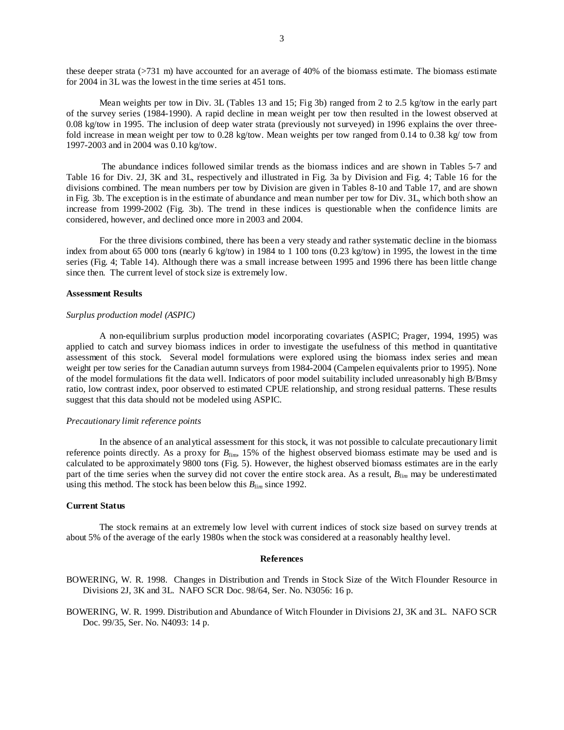these deeper strata (>731 m) have accounted for an average of 40% of the biomass estimate. The biomass estimate for 2004 in 3L was the lowest in the time series at 451 tons.

Mean weights per tow in Div. 3L (Tables 13 and 15; Fig 3b) ranged from 2 to 2.5 kg/tow in the early part of the survey series (1984-1990). A rapid decline in mean weight per tow then resulted in the lowest observed at 0.08 kg/tow in 1995. The inclusion of deep water strata (previously not surveyed) in 1996 explains the over threefold increase in mean weight per tow to 0.28 kg/tow. Mean weights per tow ranged from 0.14 to 0.38 kg/ tow from 1997-2003 and in 2004 was 0.10 kg/tow.

 The abundance indices followed similar trends as the biomass indices and are shown in Tables 5-7 and Table 16 for Div. 2J, 3K and 3L, respectively and illustrated in Fig. 3a by Division and Fig. 4; Table 16 for the divisions combined. The mean numbers per tow by Division are given in Tables 8-10 and Table 17, and are shown in Fig. 3b. The exception is in the estimate of abundance and mean number per tow for Div. 3L, which both show an increase from 1999-2002 (Fig. 3b). The trend in these indices is questionable when the confidence limits are considered, however, and declined once more in 2003 and 2004.

For the three divisions combined, there has been a very steady and rather systematic decline in the biomass index from about 65 000 tons (nearly 6 kg/tow) in 1984 to 1 100 tons (0.23 kg/tow) in 1995, the lowest in the time series (Fig. 4; Table 14). Although there was a small increase between 1995 and 1996 there has been little change since then. The current level of stock size is extremely low.

### **Assessment Results**

#### *Surplus production model (ASPIC)*

A non-equilibrium surplus production model incorporating covariates (ASPIC; Prager, 1994, 1995) was applied to catch and survey biomass indices in order to investigate the usefulness of this method in quantitative assessment of this stock. Several model formulations were explored using the biomass index series and mean weight per tow series for the Canadian autumn surveys from 1984-2004 (Campelen equivalents prior to 1995). None of the model formulations fit the data well. Indicators of poor model suitability included unreasonably high B/Bmsy ratio, low contrast index, poor observed to estimated CPUE relationship, and strong residual patterns. These results suggest that this data should not be modeled using ASPIC.

#### *Precautionary limit reference points*

In the absence of an analytical assessment for this stock, it was not possible to calculate precautionary limit reference points directly. As a proxy for *Blim*, 15% of the highest observed biomass estimate may be used and is calculated to be approximately 9800 tons (Fig. 5). However, the highest observed biomass estimates are in the early part of the time series when the survey did not cover the entire stock area. As a result, *Blim* may be underestimated using this method. The stock has been below this *Blim* since 1992.

### **Current Status**

The stock remains at an extremely low level with current indices of stock size based on survey trends at about 5% of the average of the early 1980s when the stock was considered at a reasonably healthy level.

#### **References**

BOWERING, W. R. 1998. Changes in Distribution and Trends in Stock Size of the Witch Flounder Resource in Divisions 2J, 3K and 3L. NAFO SCR Doc. 98/64, Ser. No. N3056: 16 p.

BOWERING, W. R. 1999. Distribution and Abundance of Witch Flounder in Divisions 2J, 3K and 3L. NAFO SCR Doc. 99/35, Ser. No. N4093: 14 p.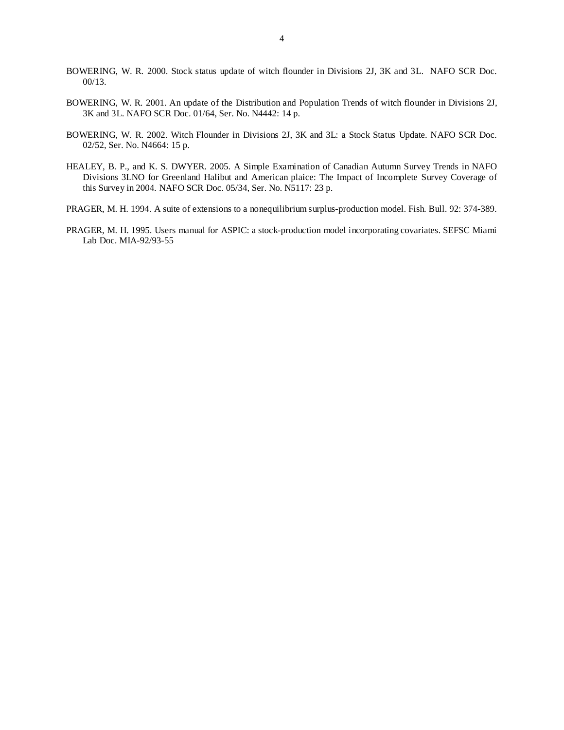- BOWERING, W. R. 2000. Stock status update of witch flounder in Divisions 2J, 3K and 3L. NAFO SCR Doc. 00/13.
- BOWERING, W. R. 2001. An update of the Distribution and Population Trends of witch flounder in Divisions 2J, 3K and 3L. NAFO SCR Doc. 01/64, Ser. No. N4442: 14 p.
- BOWERING, W. R. 2002. Witch Flounder in Divisions 2J, 3K and 3L: a Stock Status Update. NAFO SCR Doc. 02/52, Ser. No. N4664: 15 p.
- HEALEY, B. P., and K. S. DWYER. 2005. A Simple Examination of Canadian Autumn Survey Trends in NAFO Divisions 3LNO for Greenland Halibut and American plaice: The Impact of Incomplete Survey Coverage of this Survey in 2004. NAFO SCR Doc. 05/34, Ser. No. N5117: 23 p.
- PRAGER, M. H. 1994. A suite of extensions to a nonequilibrium surplus-production model. Fish. Bull. 92: 374-389.
- PRAGER, M. H. 1995. Users manual for ASPIC: a stock-production model incorporating covariates. SEFSC Miami Lab Doc. MIA-92/93-55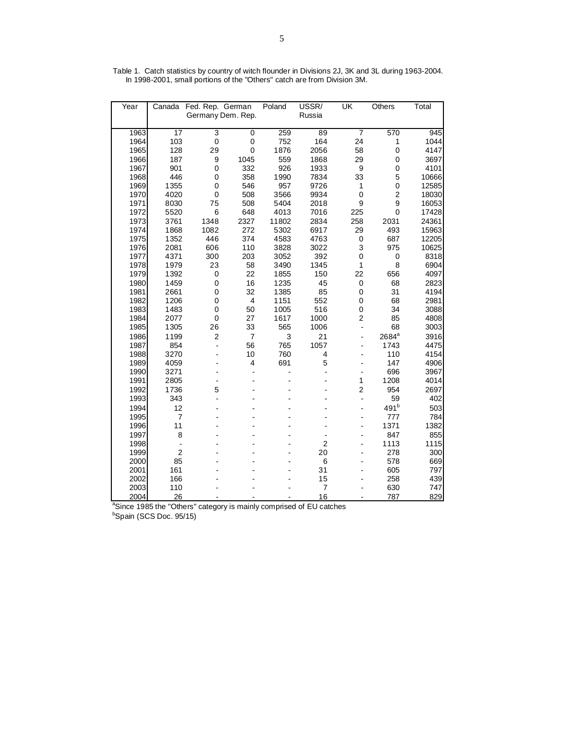| Year | Canada          | Fed. Rep. German  |                | Poland | USSR/          | UK                           | Others           | Total |
|------|-----------------|-------------------|----------------|--------|----------------|------------------------------|------------------|-------|
|      |                 | Germany Dem. Rep. |                |        | Russia         |                              |                  |       |
|      |                 |                   |                |        |                |                              |                  |       |
| 1963 | $\overline{17}$ | 3                 | $\mathbf 0$    | 259    | 89             | $\overline{7}$               | 570              | 945   |
| 1964 | 103             | $\pmb{0}$         | 0              | 752    | 164            | 24                           | 1                | 1044  |
| 1965 | 128             | 29                | $\mathbf 0$    | 1876   | 2056           | 58                           | $\mathbf 0$      | 4147  |
| 1966 | 187             | 9                 | 1045           | 559    | 1868           | 29                           | 0                | 3697  |
| 1967 | 901             | $\mathbf 0$       | 332            | 926    | 1933           | $\boldsymbol{9}$             | $\pmb{0}$        | 4101  |
| 1968 | 446             | $\mathbf 0$       | 358            | 1990   | 7834           | 33                           | 5                | 10666 |
| 1969 | 1355            | $\mathbf 0$       | 546            | 957    | 9726           | 1                            | $\pmb{0}$        | 12585 |
| 1970 | 4020            | $\mathbf 0$       | 508            | 3566   | 9934           | $\mathsf 0$                  | $\overline{c}$   | 18030 |
| 1971 | 8030            | 75                | 508            | 5404   | 2018           | 9                            | 9                | 16053 |
| 1972 | 5520            | $\,6$             | 648            | 4013   | 7016           | 225                          | $\overline{0}$   | 17428 |
| 1973 | 3761            | 1348              | 2327           | 11802  | 2834           | 258                          | 2031             | 24361 |
| 1974 | 1868            | 1082              | 272            | 5302   | 6917           | 29                           | 493              | 15963 |
| 1975 | 1352            | 446               | 374            | 4583   | 4763           | $\pmb{0}$                    | 687              | 12205 |
| 1976 | 2081            | 606               | 110            | 3828   | 3022           | 3                            | 975              | 10625 |
| 1977 | 4371            | 300               | 203            | 3052   | 392            | 0                            | 0                | 8318  |
| 1978 | 1979            | 23                | 58             | 3490   | 1345           | 1                            | 8                | 6904  |
| 1979 | 1392            | 0                 | 22             | 1855   | 150            | 22                           | 656              | 4097  |
| 1980 | 1459            | 0                 | 16             | 1235   | 45             | 0                            | 68               | 2823  |
| 1981 | 2661            | $\mathbf 0$       | 32             | 1385   | 85             | $\pmb{0}$                    | 31               | 4194  |
| 1982 | 1206            | $\overline{0}$    | 4              | 1151   | 552            | 0                            | 68               | 2981  |
| 1983 | 1483            | $\mathbf 0$       | 50             | 1005   | 516            | 0                            | 34               | 3088  |
| 1984 | 2077            | $\mathbf 0$       | 27             | 1617   | 1000           | $\overline{c}$               | 85               | 4808  |
| 1985 | 1305            | 26                | 33             | 565    | 1006           | $\frac{1}{2}$                | 68               | 3003  |
| 1986 | 1199            | $\overline{c}$    | $\overline{7}$ | 3      | 21             | $\overline{a}$               | $2684^{\rm a}$   | 3916  |
| 1987 | 854             | $\overline{a}$    | 56             | 765    | 1057           |                              | 1743             | 4475  |
| 1988 | 3270            |                   | 10             | 760    | 4              |                              | 110              | 4154  |
| 1989 | 4059            |                   | $\overline{4}$ | 691    | 5              |                              | 147              | 4906  |
| 1990 | 3271            |                   | $\overline{a}$ |        | -              | $\qquad \qquad \blacksquare$ | 696              | 3967  |
| 1991 | 2805            | $\overline{a}$    |                |        |                | 1                            | 1208             | 4014  |
| 1992 | 1736            | 5                 |                |        |                | $\overline{c}$               | 954              | 2697  |
| 1993 | 343             | $\overline{a}$    |                |        |                | $\overline{a}$               | 59               | 402   |
| 1994 | 12              |                   |                |        |                |                              | 491 <sup>b</sup> | 503   |
| 1995 | $\overline{7}$  |                   |                |        |                |                              | 777              | 784   |
| 1996 | 11              |                   |                |        |                |                              | 1371             | 1382  |
| 1997 | 8               |                   |                |        |                |                              | 847              | 855   |
| 1998 | $\frac{1}{2}$   |                   |                |        | $\overline{2}$ |                              | 1113             | 1115  |
| 1999 | $\overline{2}$  |                   |                |        | 20             |                              | 278              | 300   |
| 2000 | 85              |                   |                |        | 6              |                              | 578              | 669   |
| 2001 | 161             |                   |                |        | 31             |                              | 605              | 797   |
| 2002 | 166             |                   |                |        | 15             |                              | 258              | 439   |
| 2003 | 110             |                   |                |        | $\overline{7}$ |                              | 630              | 747   |
| 2004 | 26              |                   |                |        | 16             |                              | 787              | 829   |

Table 1. Catch statistics by country of witch flounder in Divisions 2J, 3K and 3L during 1963-2004. In 1998-2001, small portions of the "Others" catch are from Division 3M.

2004 26 - - - - 16 - 16 787 829<br><sup>a</sup>Since 1985 the "Others" category is mainly comprised of EU catches<br><sup>b</sup>Spain (SCS Doc. 95/15)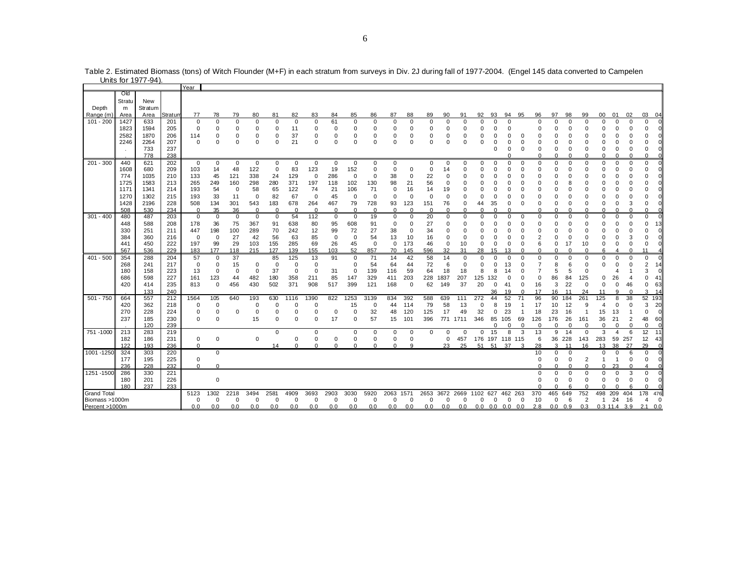|                    |                    | Units for 1977-94)    |            |                |                      |                   |                            |                |                         |                            |             |                      |             |             |             |             |             |           |             |               |                         |                      |                |                         |                      |                |                         |                |                         |                               |                |
|--------------------|--------------------|-----------------------|------------|----------------|----------------------|-------------------|----------------------------|----------------|-------------------------|----------------------------|-------------|----------------------|-------------|-------------|-------------|-------------|-------------|-----------|-------------|---------------|-------------------------|----------------------|----------------|-------------------------|----------------------|----------------|-------------------------|----------------|-------------------------|-------------------------------|----------------|
|                    |                    |                       |            | Year           |                      |                   |                            |                |                         |                            |             |                      |             |             |             |             |             |           |             |               |                         |                      |                |                         |                      |                |                         |                |                         |                               |                |
| Depth              | Old<br>Stratu<br>m | <b>New</b><br>Stratum |            |                |                      |                   |                            |                |                         |                            |             |                      |             |             |             |             |             |           |             |               |                         |                      |                |                         |                      |                |                         |                |                         |                               |                |
| Range (m)          | Area               | Area                  | Stratun    | 77             | 78                   | 79                | 80                         | 81             | 82                      | 83                         | 84          | 85                   | 86          | 87          | 88          | 89          | 90          | 91        | 92          | 93            | 94                      | 95                   | 96             | 97                      | 98                   | 99             | 00                      | 01             | 02                      | 03                            | -04            |
| $101 - 200$        | 1427               | 633                   | 201        | $\mathbf 0$    | $\Omega$             | $\Omega$          | $\mathbf 0$                | $\mathbf 0$    | $\mathbf 0$             | $\mathbf 0$                | 61          | $\Omega$             | $\Omega$    | $\mathbf 0$ | $\Omega$    | $\Omega$    | $\Omega$    | $\Omega$  | ŋ           | $\Omega$      | $\Omega$                |                      | $\Omega$       | $\Omega$                | $\Omega$             | U              | $\Omega$                |                | $\Omega$                | $\Omega$                      | $\Omega$       |
|                    | 1823               | 1594                  | 205        | $\mathbf 0$    | $\Omega$             | $\Omega$          | $\mathbf 0$                | 0              | 11                      | 0                          | 0           | $\Omega$             | $\Omega$    | 0           | $\Omega$    | $\Omega$    | $\Omega$    | o         |             | $\Omega$      | $\Omega$                |                      |                | O                       | O                    | U              | $\Omega$                |                | $\Omega$                | $\mathbf 0$                   | $\Omega$       |
|                    | 2582               | 1870                  | 206        | 114            |                      | $\Omega$          | $\Omega$                   | $\Omega$       | 37                      | 0                          | 0           | 0                    | 0           | 0           |             | $\Omega$    | $\Omega$    | C         |             |               | 0                       | 0                    |                | $\Omega$                |                      |                | U                       |                | n                       | $\Omega$                      |                |
|                    | 2246               | 2264                  | 207        | $\Omega$       |                      | $\Omega$          | $\Omega$                   | $\Omega$       | 21                      | $\mathbf 0$                | $\Omega$    | $\Omega$             | $\Omega$    | $\Omega$    | $\Omega$    | $\Omega$    | 0           | ŋ         | n           | $\Omega$      | $\Omega$                | $\Omega$             | U              | 0                       | O                    | U              | $\Omega$                |                | $\cap$                  | $\Omega$                      |                |
|                    |                    | 733                   | 237        |                |                      |                   |                            |                |                         |                            |             |                      |             |             |             |             |             |           |             | $\Omega$      | $\mathbf 0$             | $\mathbf 0$          | $\Omega$       | $\mathbf 0$<br>$\Omega$ | $\Omega$<br>$\Omega$ | O<br>U         | $\mathbf 0$<br>$\Omega$ | <sup>0</sup>   | $\mathbf 0$<br>$\Omega$ | $\Omega$<br>$\Omega$          | ΩI             |
| $201 - 300$        | 440                | 778<br>621            | 238<br>202 | $\overline{0}$ | $\mathbf 0$          | $\mathbf 0$       | $\mathbf 0$                | $\mathbf 0$    | $\mathbf 0$             | 0                          | $\mathbf 0$ | $\mathbf 0$          | $\mathbf 0$ | $\mathbf 0$ |             | $\mathbf 0$ | $\mathbf 0$ | $\Omega$  | $\Omega$    | $\mathbf 0$   | $\Omega$                | $\mathbf 0$          | $\Omega$       | $\Omega$                | $\Omega$             | 0              | $\Omega$                | $\Omega$       | $\Omega$                | $\mathbf 0$                   | Ωl             |
|                    | 1608               | 680                   | 209        | 103            | 14                   | 48                | 122                        | 0              | 83                      | 123                        | 19          | 152                  | $\mathbf 0$ | $\mathbf 0$ | $\Omega$    | $\Omega$    | 14          |           | n           | $\Omega$      | $\Omega$                | $\Omega$             | n              | $\Omega$                | $\Omega$             | 0              | $\Omega$                |                | $\Omega$                | $\Omega$                      | ΩI             |
|                    | 774                | 1035                  | 210        | 133            | 45                   | 121               | 338                        | 24             | 129                     | $\mathbf 0$                | 286         | $\mathbf 0$          | $\mathbf 0$ | 38          | $\Omega$    | 22          | 0           |           | ი           | $\Omega$      | $\Omega$                | $\Omega$             |                | $\Omega$                | $\Omega$             | O              | $\Omega$                |                | $\Omega$                | $\Omega$                      | ΩI             |
|                    | 1725               | 1583                  | 213        | 265            | 249                  | 160               | 298                        | 280            | 371                     | 197                        | 118         | 102                  | 130         | 98          | 21          | 56          | $\mathbf 0$ | ŋ         |             |               | 0                       | $\Omega$             | 0              | $\Omega$                | 8                    | 0              | $\Omega$                |                | $\Omega$                | $\Omega$                      | ΩI             |
|                    | 1171               | 1341                  | 214        | 193            | 54                   | $\mathbf 0$       | 58                         | 65             | 122                     | 74                         | 21          | 106                  | 71          | 0           | 16          | 14          | 19          | O         | $\Omega$    | $\Omega$      | $\Omega$                | $\Omega$             |                | $\Omega$                | O                    | 0              | $\Omega$                |                | $\Omega$                | $\Omega$                      |                |
|                    | 1270               | 1302                  | 215        | 193            | 33                   | 11                | 0                          | 82             | 67                      | 0                          | 45          | 0                    | $\Omega$    | $\mathbf 0$ | $\Omega$    | $\Omega$    | 0           | ŋ         | 0           | $\Omega$      | 0                       | 0                    |                | $\Omega$                | O                    | 0              | $\Omega$                |                | n                       |                               |                |
|                    | 1428               | 2196                  | 228        | 508            | 134                  | 301               | 543                        | 183            | 678                     | 264                        | 467         | 79                   | 728         | 93          | 123         | 151         | 76          | 0         | 44          | 35            | $\Omega$                | $\Omega$             | U              | 0                       | $\Omega$             | 0              | $\mathbf 0$             | o              | 3                       | $\mathbf 0$                   | ΩI             |
|                    | 508                | 530                   | 234        | $\Omega$       | 35                   | 36                | $\Omega$                   | $\Omega$       | $\Omega$                | $\Omega$                   | $\Omega$    | $\Omega$             | $\Omega$    | $\Omega$    | $\Omega$    | $\Omega$    | $\Omega$    | $\Omega$  | ŋ           | $\Omega$      | n                       |                      |                | $\Omega$                | n                    | U              | $\Omega$                |                | $\Omega$                | $\Omega$                      | ΩI             |
| $301 - 400$        | 480                | 487                   | 203        | $\mathbf 0$    | 0                    | $\mathbf 0$       | $\mathbf 0$                | 0              | 54                      | 112                        | 0           | $\mathbf 0$          | 19          | 0           | 0           | 20          | 0           | 0         | 0           | 0             | $\Omega$                | 0                    | $\Omega$       | 0                       | 0                    | 0              | $\Omega$                | <sup>0</sup>   | $\Omega$                | $\mathbf 0$                   | ΩI             |
|                    | 448                | 588                   | 208        | 178            | 36                   | 75                | 367                        | 91             | 638                     | 80                         | 95          | 608                  | 91          | $\mathbf 0$ | $\Omega$    | 27          | 0           | o         | ი           | $\Omega$      | O                       | $\Omega$             | U              | $\Omega$                | O                    | 0              | $\Omega$                |                | n                       | $\Omega$                      | 13             |
|                    | 330                | 251                   | 211        | 447            | 198                  | 100               | 289                        | 70             | 242                     | 12                         | 99          | 72                   | 27          | 38          | $\Omega$    | 34          | 0           | C         |             | $\Omega$      | 0                       | 0                    |                | $\Omega$                | 0                    | 0              | 0                       |                |                         | $\Omega$                      | ΩI             |
|                    | 384                | 360                   | 216        | $\mathbf{0}$   | $\mathbf 0$          | 27                | 42                         | 56             | 63                      | 85                         | $\mathbf 0$ | $\mathbf 0$          | 54          | 13          | 10          | 16          | $\mathbf 0$ | $\Omega$  | $\Omega$    | $\Omega$      | $\Omega$                | $\Omega$             | $\overline{c}$ | $\Omega$                | $\Omega$             | 0              | $\Omega$                |                | 3                       | $\Omega$                      | n١             |
|                    | 441                | 450                   | 222        | 197            | 99                   | 29                | 103                        | 155            | 285                     | 69                         | 26          | 45                   | $\mathbf 0$ | $\mathbf 0$ | 173         | 46          | $\mathbf 0$ | 10        | 0           | $\mathbf 0$   | $\Omega$                | $\mathbf 0$          | 6              | 0                       | 17                   | 10             | $\mathbf 0$             | <sup>0</sup>   | $\Omega$                | $\mathbf 0$                   | ΩI             |
|                    | 567                | 536                   | 229        | 183            | 177                  | 118               | 215                        | 127            | 139                     | 155                        | 103         | 52                   | 857         | 70          | 145         | 596         | 32          | 31        | 28          | 15            | 13                      | $\Omega$             |                | $\Omega$                | $\Omega$             | n              | 6                       |                | $\Omega$                | 11                            |                |
| $401 - 500$        | 354                | 288                   | 204        | 57             | $\mathbf 0$          | 37                |                            | 85             | 125                     | 13                         | 91          | $\Omega$             | 71          | 14          | 42          | 58          | 14          | $\Omega$  | $\Omega$    | $\Omega$      | $\Omega$                | $\Omega$             | $\Omega$       | $\Omega$                | $\Omega$             | 0              | $\Omega$                | $\Omega$       | $\Omega$                | $\mathbf 0$                   | $\Omega$       |
|                    | 268                | 241                   | 217<br>223 | $\mathbf{0}$   | $\Omega$<br>$\Omega$ | 15                | $\mathbf 0$<br>$\mathbf 0$ | $\Omega$<br>37 | $\Omega$<br>$\mathbf 0$ | $\mathbf 0$<br>$\mathsf 0$ | 31          | $\Omega$<br>$\Omega$ | 54          | 64          | 44          | 72          | 6           | $\Omega$  | $\Omega$    | $\Omega$<br>8 | 13                      | $\Omega$<br>$\Omega$ |                | 8<br>5                  | 6                    | 0<br>$\Omega$  | $\Omega$                |                | $\Omega$                | $\overline{2}$<br>3           | 14<br>$\Omega$ |
|                    | 180<br>686         | 158<br>598            | 227        | 13<br>161      | 123                  | $\mathbf 0$<br>44 | 482                        | 180            | 358                     | 211                        | 85          | 147                  | 139<br>329  | 116<br>411  | 59<br>203   | 64<br>228   | 18<br>1837  | 18<br>207 | 8<br>125    | 132           | 14<br>0                 | $\Omega$             | $\Omega$       | 86                      | 5<br>84              | 125            | $\Omega$                | 26             | $\overline{\mathbf{4}}$ | $\Omega$                      | 41             |
|                    | 420                | 414                   | 235        | 813            | 0                    | 456               | 430                        | 502            | 371                     | 908                        | 517         | 399                  | 121         | 168         | $\mathbf 0$ | 62          | 149         | 37        | 20          | $\mathbf 0$   | 41                      | $\mathbf 0$          | 16             | 3                       | 22                   | $\mathbf 0$    | $\mathbf 0$             | 0              | 46                      | $\mathbf 0$                   | 63             |
|                    |                    | 133                   | 240        |                |                      |                   |                            |                |                         |                            |             |                      |             |             |             |             |             |           |             | 36            | 19                      | $\Omega$             | 17             | 16                      | 11                   | 24             | 11                      | $\Omega$       | $\cap$                  | 3                             | 14             |
| $501 - 750$        | 664                | 557                   | 212        | 1564           | 105                  | 640               | 193                        | 630            | 1116                    | 1390                       | 822         | 1253                 | 3139        | 834         | 392         | 588         | 639         | 111       | 272         | 44            | 52                      | 71                   | 96             | 90                      | 184                  | 261            | 125                     | 8              | 38                      | 52 193                        |                |
|                    | 420                | 362                   | 218        | $\mathbf 0$    | 0                    |                   | $\mathbf 0$                | $\Omega$       | $\Omega$                | 0                          |             | 15                   | $\mathbf 0$ | 44          | 114         | 79          | 58          | 13        | $\Omega$    | 8             | 19                      |                      | 17             | 10                      | 12                   | 9              | $\boldsymbol{\Delta}$   | O              | $\Omega$                | 3                             | 20             |
|                    | 270                | 228                   | 224        | 0              | $\Omega$             | $\Omega$          | $\Omega$                   | 0              | $\Omega$                | 0                          | $\mathbf 0$ | $\Omega$             | 32          | 48          | 120         | 125         | 17          | 49        | 32          | $\mathbf 0$   | 23                      |                      | 18             | 23                      | 16                   | -1             | 15                      | 13             |                         | $\Omega$                      | $\Omega$       |
|                    | 237                | 185                   | 230        | $\Omega$       | $\Omega$             |                   | 15                         | 0              | 0                       | $\mathbf 0$                | 17          | $\mathbf 0$          | 57          | 15          | 101         | 396         |             | 771 1711  | 346         | 85            | 105                     | 69                   | 126            | 176                     | 26                   | 161            | 36                      | 21             | $\overline{2}$          | 48                            | 60             |
|                    |                    | 120                   | 239        |                |                      |                   |                            |                |                         |                            |             |                      |             |             |             |             |             |           |             | $\Omega$      | $\Omega$                | $\mathbf 0$          | $\Omega$       | $\Omega$                | $\Omega$             | $\Omega$       | $\mathbf 0$             | $\Omega$       | $\mathbf 0$             | $\mathbf 0$                   | $\Omega$       |
| 751 -1000          | 213                | 283                   | 219        |                |                      |                   |                            | $\mathbf 0$    |                         | 0                          |             | $\mathbf 0$          | 0           | $\mathbf 0$ | $\mathbf 0$ | $\Omega$    | $\Omega$    | $\Omega$  | $\mathbf 0$ | 15            | 8                       | 3                    | 13             | 9                       | 14                   | $\mathbf 0$    | 3                       | $\overline{4}$ | 6                       | 12                            | 11             |
|                    | 182                | 186                   | 231        | $\mathbf 0$    | 0                    |                   | $\mathbf 0$                |                | $\Omega$                | $\mathbf 0$                | 0           | $\mathbf 0$          | 0           | $\mathbf 0$ | $\Omega$    |             | $\mathbf 0$ | 457       |             |               | 176 197 118 115         |                      | 6              |                         | 36 228               | 143            | 283                     | 59             | 257                     | 12                            | -43            |
|                    | 122                | 193                   | 236        | $\Omega$       |                      |                   |                            | 14             | $\Omega$                | $\Omega$                   | $\Omega$    | $\Omega$             | $\Omega$    | $\Omega$    | $\circ$     |             | 23          | 25        | 51          | 51            | 37                      | 3                    | 28             | 3                       | 11                   | 16             | 13                      | 38             | 27                      | 29                            | $\Omega$       |
| 1001-1250          | 324                | 303                   | 220        |                | $\Omega$             |                   |                            |                |                         |                            |             |                      |             |             |             |             |             |           |             |               |                         |                      | 10             | 0                       | 0                    |                | $\mathbf 0$             | 0              | 6                       | $\mathbf 0$                   | $\Omega$       |
|                    | 177                | 195                   | 225        | $\mathbf 0$    |                      |                   |                            |                |                         |                            |             |                      |             |             |             |             |             |           |             |               |                         |                      | n              | $\mathbf 0$<br>$\Omega$ | $\Omega$<br>$\Omega$ | 2<br>$\Omega$  | $\mathbf{1}$            | -1             | $\mathbf 0$<br>$\Omega$ | $\mathbf 0$<br>$\overline{4}$ | $\Omega$<br>ΩI |
| 1251-1500          | 236<br>286         | 228<br>330            | 232<br>221 | $\Omega$       | $\mathbf 0$          |                   |                            |                |                         |                            |             |                      |             |             |             |             |             |           |             |               |                         |                      | $\Omega$       | $\mathbf 0$             | 0                    | O              | $\Omega$<br>$\mathbf 0$ | 23<br>$\Omega$ | 3                       | $\mathbf 0$                   | $\Omega$       |
|                    | 180                | 201                   | 226        |                | $\mathbf 0$          |                   |                            |                |                         |                            |             |                      |             |             |             |             |             |           |             |               |                         |                      | $\Omega$       | $\mathbf 0$             | $\mathbf 0$          | 0              | $\mathbf 0$             | 0              | $\mathbf 0$             | $\mathbf 0$                   | $\Omega$       |
|                    | 180                | 237                   | 233        |                |                      |                   |                            |                |                         |                            |             |                      |             |             |             |             |             |           |             |               |                         |                      |                | $\cap$                  |                      | n              | $\Omega$                |                | 6                       | $\Omega$                      |                |
| <b>Grand Total</b> |                    |                       |            | 5123           | 1302                 | 2218              | 3494                       | 2581           | 4909                    | 3693                       | 2903        | 3030                 | 5920        | 2063 1571   |             | 2653        | 3672        | 2669      | 1102        | 627           | 462 263                 |                      | 370            | 465                     | 649                  | 752            | 498                     | 209            | 404                     | 178                           | 476            |
| Biomass >1000m     |                    |                       |            | $\Omega$       | $\mathbf 0$          | $\Omega$          | $\mathbf 0$                | $\Omega$       | $\mathbf 0$             | 0                          | $\mathbf 0$ | $\Omega$             | $\Omega$    | $\Omega$    | 0           | $\Omega$    | $\Omega$    | $\Omega$  | $\Omega$    | $\mathbf 0$   |                         | $\mathbf 0$          | 10             | 0                       | 6                    |                | $\mathbf{1}$            | 24             | 16                      | $\boldsymbol{\varDelta}$      | $\mathbf 0$    |
| Percent >1000m     |                    |                       |            | 0.0            | 0.0                  | 0.0               | 0.0                        | 0.0            | 0.0                     | 0.0                        | 0.0         | 0.0                  | 0.0         | 0.0         | 0.0         | 0.0         | 0.0         | 0.0       |             |               | $0.0$ $0.0$ $0.0$ $0.0$ |                      | 2.8            |                         | $0.0 \quad 0.9$      | 0.3            |                         | $0.3$ 11.4 3.9 |                         | $2.1 \quad 0.0$               |                |
|                    |                    |                       |            |                |                      |                   |                            |                |                         |                            |             |                      |             |             |             |             |             |           |             |               | $\overline{0}$          |                      |                |                         |                      | $\overline{2}$ |                         |                |                         |                               |                |
|                    |                    |                       |            |                |                      |                   |                            |                |                         |                            |             |                      |             |             |             |             |             |           |             |               |                         |                      |                |                         |                      |                |                         |                |                         |                               |                |

Table 2. Estimated Biomass (tons) of Witch Flounder (M+F) in each stratum from surveys in Div. 2J during fall of 1977-2004. (Engel 145 data converted to Campelen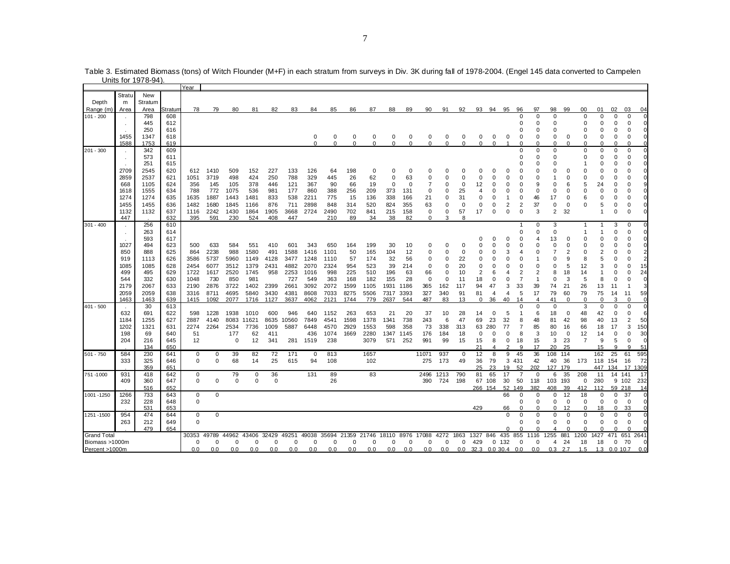|                        |             |                |                | Year         |             |             |             |              |             |             |                                    |             |             |                  |          |             |                 |             |                         |          |                |                      |                      |                |                   |                |                |                |                   |          |
|------------------------|-------------|----------------|----------------|--------------|-------------|-------------|-------------|--------------|-------------|-------------|------------------------------------|-------------|-------------|------------------|----------|-------------|-----------------|-------------|-------------------------|----------|----------------|----------------------|----------------------|----------------|-------------------|----------------|----------------|----------------|-------------------|----------|
| Depth                  | Stratu<br>m | New<br>Stratum |                |              |             |             |             |              |             |             |                                    |             |             |                  |          |             |                 |             |                         |          |                |                      |                      |                |                   |                |                |                |                   |          |
| Range (m)<br>101 - 200 | Area        | Area<br>798    | 3tratum<br>608 | 78           | 79          | 80          | 81          | 82           | 83          | 84          | 85                                 | 86          | 87          | 88               | 89       | 90          | 91              | 92          | 93                      | 94       | 95             | 96<br>$\Omega$       | 97<br>$\Omega$       | 98<br>$\Omega$ | 99                | 00<br>$\Omega$ | 01<br>$\Omega$ | 02<br>$\Omega$ | 03<br>$\Omega$    | 04       |
|                        |             | 445            | 612            |              |             |             |             |              |             |             |                                    |             |             |                  |          |             |                 |             |                         |          |                | $\Omega$             | $\Omega$             | $\Omega$       |                   | $\Omega$       | $\Omega$       | $\Omega$       | $\Omega$          |          |
|                        |             | 250            | 616            |              |             |             |             |              |             |             |                                    |             |             |                  |          |             |                 |             |                         |          |                | 0                    | $\Omega$             | $\Omega$       |                   | C              |                | O              | $\Omega$          |          |
|                        | 1455        | 1347           | 618            |              |             |             |             |              |             | 0           | 0                                  | 0           | 0           | 0                | 0        | 0           | 0               | $\mathbf 0$ | 0                       | 0        | 0              | 0                    | 0                    | 0              | 0                 | 0              | 0              | 0              | 0                 |          |
|                        | 1588        | 1753           | 619            |              |             |             |             |              |             | $\Omega$    | $\Omega$                           | $\Omega$    | $\Omega$    | $\Omega$         | $\Omega$ | $\Omega$    | $\Omega$        | $\Omega$    | $\Omega$                | $\Omega$ |                | $\Omega$             | $\Omega$             | $\Omega$       | $\Omega$          | $\Omega$       | $\Omega$       | $\Omega$       |                   |          |
| $201 - 300$            |             | 342            | 609            |              |             |             |             |              |             |             |                                    |             |             |                  |          |             |                 |             |                         |          |                | $\Omega$             | $\Omega$             | $\Omega$       |                   | $\Omega$       | $\Omega$       | $\mathbf 0$    | $\mathbf 0$       |          |
|                        |             | 573            | 611            |              |             |             |             |              |             |             |                                    |             |             |                  |          |             |                 |             |                         |          |                | ი<br>ი               | $\Omega$<br>$\Omega$ | $\Omega$<br>O  |                   | ŋ              | $\Omega$<br>n  | $\Omega$<br>O  | $\Omega$<br>C     |          |
|                        | 2709        | 251<br>2545    | 615<br>620     | 612          | 1410        | 509         | 152         | 227          | 133         | 126         | 64                                 | 198         | 0           | 0                | $\Omega$ |             |                 |             |                         |          | O              |                      |                      |                | 0                 |                |                | U              |                   |          |
|                        | 2859        | 2537           | 621            | 1051         | 3719        | 498         | 424         | 250          | 788         | 329         | 445                                | 26          | 62          | $\mathbf 0$      | 63       | $\Omega$    | $\Omega$        |             | O                       |          | $\Omega$       | $\Omega$             | $\Omega$             |                | $\Omega$          | $\Omega$       | $\Omega$       | $\Omega$       | C                 |          |
|                        | 668         | 1105           | 624            | 356          | 145         | 105         | 378         | 446          | 121         | 367         | 90                                 | 66          | 19          | $\mathbf 0$      | $\Omega$ |             | $\Omega$        | $\Omega$    | 12                      |          | $\Omega$       | $\Omega$             | 9                    | $\Omega$       | 6                 | 5              | 24             | ი              | $\Omega$          |          |
|                        | 1618        | 1555           | 634            | 788          | 772         | 1075        | 536         | 981          | 177         | 860         | 388                                | 256         | 209         | 373              | 131      | $\mathbf 0$ | $\Omega$        | 25          |                         |          | O              | 0                    | 0                    | $\Omega$       | $\Omega$          | O              | $\Omega$       | 0              | O                 |          |
|                        | 1274        | 1274           | 635            | 1635         | 1887        | 1443        | 1481        | 833          | 538         | 2211        | 775                                | 15          | 136         | 338              | 166      | 21          | $\Omega$        | 31          | $\Omega$                |          |                | $\Omega$             | 46                   | 17             | $\Omega$          |                | $\Omega$       | 0              |                   |          |
|                        | 1455        | 1455           | 636            | 1482         | 1680        | 1845        | 1166        | 876          | 711         | 2898        | 848                                | 314         | 520         | 824              | 355      | 63          | $\Omega$        | 0           | $\Omega$                |          | 2              | 2                    | 37                   | $\Omega$       | 0                 | O              | 5              | $\Omega$       | $\Omega$          |          |
|                        | 1132        | 1132           | 637            | 1116         | 2242        | 1430        | 1864        | 1905         | 3668        | 2724        | 2490                               | 702         | 841         | 215              | 158      | $\mathbf 0$ | $\mathbf 0$     | 57          | 17                      | $\Omega$ | $\mathbf 0$    | $\Omega$             | 3                    | $\overline{2}$ | 32                |                | $\overline{1}$ | $\Omega$       | $\Omega$          |          |
| $301 - 400$            | 447         | 256            | 632<br>610     | 395          | 591         | 230         | 524         | 408          | 447         |             | 210                                | 89          | 34          | 38               | 82       | 0           | 3               | 8           |                         |          |                | 1                    | 0                    | 3              |                   | -1             |                | 3              | 0                 |          |
|                        |             | 263            | 614            |              |             |             |             |              |             |             |                                    |             |             |                  |          |             |                 |             |                         |          |                | $\Omega$             | $\mathbf 0$          | $\Omega$       |                   |                |                | $\Omega$       | $\Omega$          |          |
|                        |             | 593            | 617            |              |             |             |             |              |             |             |                                    |             |             |                  |          |             |                 |             |                         |          | $\Omega$       | 0                    |                      | 13             | 0                 |                |                | 0              | $\Omega$          |          |
|                        | 1027        | 494            | 623            | 500          | 633         | 584         | 551         | 410          | 601         | 343         | 650                                | 164         | 199         | 30               | 10       | $\Omega$    | $\Omega$        | O           |                         |          | O              | 0                    | $\Omega$             | $\Omega$       | 0                 | O              | $\Omega$       | 0              | 0                 |          |
|                        | 850         | 888            | 625            | 864          | 2238        | 988         | 1580        | 491          | 1588        | 1416        | 1101                               | 50          | 165         | 104              | 12       | $\Omega$    | $\Omega$        | $\Omega$    |                         |          | 3              |                      | $\Omega$             |                | $\overline{c}$    | $\Omega$       | $\overline{2}$ | $\Omega$       |                   |          |
|                        | 919         | 1113           | 626            | 3586         | 5737        | 5960        | 1149        | 4128         | 3477        | 1248        | 1110                               | 57          | 174         | 32               | 56       | $\Omega$    | $\Omega$        | 22          |                         |          | C              | $\Omega$             |                      | $\Omega$       | g                 | 8              |                | O              |                   |          |
|                        | 1085        | 1085           | 628            | 2454         | 6077        | 3512        | 1379        | 2431         | 4882        | 2070        | 2324                               | 954         | 523         | 39               | 214      | $\Omega$    | $\Omega$        | 20          | $\Omega$                |          | $\Omega$       | $\Omega$             | $\Omega$             | $\Omega$       | 5                 | 12             | 3              | $\Omega$       | C                 | 15       |
|                        | 499         | 495            | 629            | 1722         | 1617        | 2520        | 1745        | 958          | 2253        | 1016        | 998                                | 225         | 510         | 196              | 63       | 66          | 0               | 10          | $\overline{2}$          |          | 4              | 2                    | $\overline{2}$       | 8              | 18                | 14             |                | O              |                   | 24       |
|                        | 544<br>2179 | 332<br>2067    | 630<br>633     | 1048         | 730<br>2876 | 850<br>3722 | 981<br>1402 |              | 727<br>2661 | 549<br>3092 | 363<br>2072                        | 168<br>1599 | 182<br>1105 | 155<br>1931 1186 | 28       | $\mathbf 0$ | $\Omega$<br>162 | 11<br>117   | 18<br>94                | 47       | O<br>3         | $\overline{7}$<br>33 | $\mathbf{1}$<br>39   | $\Omega$<br>74 | 3<br>21           | 5              | 8              | 0<br>11        |                   |          |
|                        | 2059        | 2059           | 638            | 2190<br>3316 | 8711        | 4695        | 5840        | 2399<br>3430 | 4381        | 8608        | 7033                               | 8275        | 5506        | 7317 3393        |          | 365<br>327  | 340             | 91          | 81                      | 4        | $\overline{4}$ | 5                    | 17                   | 79             | 60                | 26<br>79       | 13<br>75       | 14             | 11                | 59       |
|                        | 1463        | 1463           | 639            | 1415         | 1092        | 2077        | 1716        | 1127         | 3637        | 4062        | 2121                               | 1744        | 779         | 2637             | 544      | 487         | 83              | 13          | 0                       | 36       | 40             | 14                   | $\overline{4}$       | 41             | $\mathbf 0$       | $\Omega$       | 0              | 3              | $\mathbf 0$       | $\Omega$ |
| $401 - 500$            |             | 30             | 613            |              |             |             |             |              |             |             |                                    |             |             |                  |          |             |                 |             |                         |          |                | $\Omega$             | $\Omega$             | 0              |                   | 3              | $\Omega$       | 0              | $\Omega$          |          |
|                        | 632         | 691            | 622            | 598          | 1228        | 1938        | 1010        | 600          | 946         | 640         | 1152                               | 263         | 653         | 21               | 20       | 37          | 10              | 28          | 14                      |          | 5              |                      | 6                    | 18             | $\mathbf 0$       | 48             | 42             | $\Omega$       | $\Omega$          |          |
|                        | 1184        | 1255           | 627            | 2887         | 4140        | 8083        | 11621       | 8635         | 10560       | 7849        | 4541                               | 1598        | 1378        | 1341             | 738      | 243         | 6               | 47          | 69                      | 23       | 32             | 8                    | 48                   | 81             | 42                | 98             | 40             | 13             | 2                 | 50       |
|                        | 1202        | 1321           | 631            | 2274         | 2264        | 2534        | 7736        | 1009         | 5887        | 6448        | 4570                               | 2929        | 1553        | 598              | 358      | 73          | 338             | 313         | 63                      | 280      | 77             | 7                    | 85                   | 80             | 16                | 66             | 18             | 17             | 3                 | 150      |
|                        | 198         | 69             | 640            | 51           |             | 177         | 62          | 411          |             | 436         | 1074                               | 1669        | 2280        | 1347 1145        |          | 176         | 184             | 18          | $\mathbf 0$             |          | $\mathbf 0$    | 8                    | 3                    | 10             | $\mathbf 0$       | 12             | 14             | $\Omega$       | $\Omega$          | 30       |
|                        | 204         | 216<br>134     | 645<br>650     | 12           |             | 0           | 12          | 341          | 281         | 1519        | 238                                |             | 3079        | 571              | 252      | 991         | 99              | 15          | 15                      | 8        | $\mathbf 0$    | 18<br>q              | 15<br>17             | 3<br>20        | 23<br>25          | $\overline{7}$ | 9<br>15        | 5<br>a         | $\mathbf 0$<br>a  | 51       |
| $501 - 750$            | 584         | 230            | 641            | $\mathbf 0$  | 0           | 39          | 82          | 72           | 171         | $\mathbf 0$ | 813                                |             | 1657        |                  |          | 11071       | 937             | $\mathbf 0$ | 12                      | 8        | 9              | 45                   | 36                   | 108            | 114               |                | 162            | 25             | 61                | 595      |
|                        | 333         | 325            | 646            | 0            | $\mathbf 0$ | 68          | 14          | 25           | 615         | 94          | 108                                |             | 102         |                  |          | 275         | 173             | 49          | 36                      | 79       |                | 3 4 3 1              | 42                   | 40             | 36                | 173            | 118            | 154            | 16                | 72       |
|                        |             | 359            | 651            |              |             |             |             |              |             |             |                                    |             |             |                  |          |             |                 |             | 25                      | 23       | 19             | 52                   | 202                  | 127 179        |                   |                | 447            | 134            |                   | 17 1309  |
| 751-1000               | 931         | 418            | 642            | 0            |             | 79          | $\mathbf 0$ | 36           |             | 131         | 89                                 |             | 83          |                  |          | 2496        | 1213            | 790         | 81                      | 65       | 17             | $\overline{7}$       | $\Omega$             | 6              | 35                | 208            | 11             | 14             | 141               | 17       |
|                        | 409         | 360            | 647            | $\mathbf 0$  | $\mathbf 0$ | $\Omega$    | $\Omega$    | 0            |             |             | 26                                 |             |             |                  |          | 390         | 724             | 198         |                         | 67 108   | 30             | 50                   | 118                  | 103            | 193               | 0              | 280            |                | 9 102             | 232      |
|                        |             | 516            | 652            |              |             |             |             |              |             |             |                                    |             |             |                  |          |             |                 |             | 266 154                 |          | 52             | 149                  | 382                  | 408            | 39                | 412            | 112            | 59 218         |                   | 14       |
| 1001 - 1250            | 1266        | 733            | 643            | $\mathbf 0$  | $\mathbf 0$ |             |             |              |             |             |                                    |             |             |                  |          |             |                 |             |                         |          | 66             | $\mathbf 0$          | $\Omega$             | 0              | 12                | 18             | $\Omega$       | $\Omega$       | 37                |          |
|                        | 232         | 228<br>531     | 648<br>653     | 0            |             |             |             |              |             |             |                                    |             |             |                  |          |             |                 |             | 429                     |          | 66             | O                    | $\Omega$<br>$\Omega$ | 0<br>$\Omega$  | $\mathbf 0$<br>12 | 0<br>$\Omega$  | $\Omega$<br>18 | 0<br>$\Omega$  | $\mathbf 0$<br>33 |          |
| 1251-1500              | 954         | 474            | 644            | $\mathsf 0$  | $\mathbf 0$ |             |             |              |             |             |                                    |             |             |                  |          |             |                 |             |                         |          | $\mathbf 0$    | $\Omega$             | $\mathbf 0$          | $\mathbf 0$    | $\mathbf 0$       | $\mathbf 0$    | $\Omega$       | $\mathbf 0$    | $\mathbf 0$       |          |
|                        | 263         | 212            | 649            | 0            |             |             |             |              |             |             |                                    |             |             |                  |          |             |                 |             |                         |          |                | $\Omega$             | $\Omega$             | $\Omega$       | $\mathbf 0$       | 0              | $\Omega$       | $\Omega$       | $\Omega$          |          |
|                        |             | 479            | 654            |              |             |             |             |              |             |             |                                    |             |             |                  |          |             |                 |             |                         |          | $\Omega$       | U                    | $\Omega$             |                | $\Omega$          | $\Omega$       |                | $\Omega$       | C                 |          |
| <b>Grand Total</b>     |             |                |                | 30353 49789  |             |             | 44962 43406 | 32429        | 49251       | 49038       | 35694 21359 21746 18110 8976 17088 |             |             |                  |          |             | 4272            | 1863        | 1327 846 435 855        |          |                |                      | 1116                 | 1255           | 881               | 1200           | 1427           | 471            | 651 2641          |          |
| Biomass >1000m         |             |                |                | $\mathbf 0$  | $\mathbf 0$ | 0           | $\mathbf 0$ | 0            | $\Omega$    | $\mathbf 0$ | 0                                  | $\Omega$    | 0           | 0                | $\Omega$ | 0           | $\mathbf 0$     | $\mathbf 0$ | 429                     |          | 0.132          | $\mathbf 0$          | $\Omega$             | 4              | 24                | 18             | 18             | 0              | 70                | $\Omega$ |
| Percent >1000m         |             |                |                | 0.0          | 0.0         | 0.0         | 0.0         | 0.0          | 0.0         | 0.0         | 0.0                                | 0.0         | 0.0         | 0.0              | 0.0      | 0.0         | 0.0             |             | $0.0$ 32.3 0.0 30.4 0.0 |          |                |                      | 0.0                  | $0.3$ 2.7      |                   | 1.5            |                | 1.3 0.0 10.7   |                   | 0.0      |

Table 3. Estimated Biomass (tons) of Witch Flounder (M+F) in each stratum from surveys in Div. 3K during fall of 1978-2004. (Engel 145 data converted to Campelen Units for 1978-94).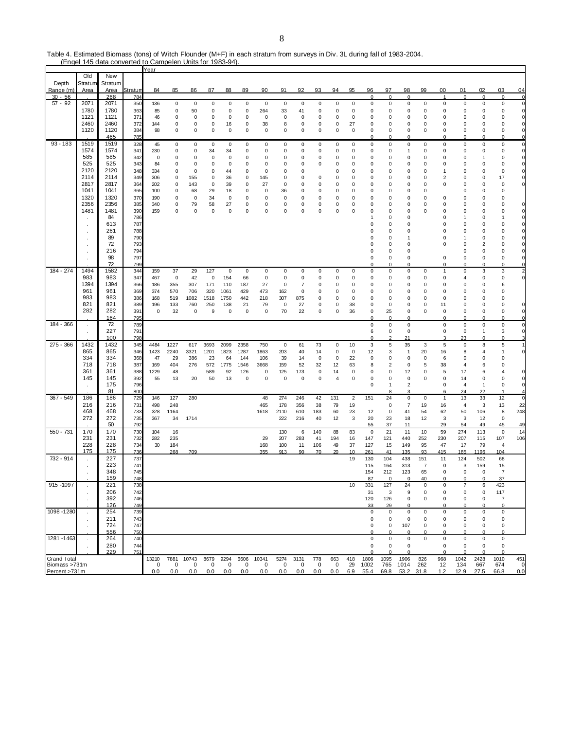Table 4. Estimated Biomass (tons) of Witch Flounder (M+F) in each stratum from surveys in Div. 3L during fall of 1983-2004.

|                                     |              | (Engel 145 data converted to Campelen Units for 1983-94). |            |                   |                |             |             |              |             |             |             |                |           |           |                 |                  |                 |                    |                            |                            |                      |                  |                    |                                |
|-------------------------------------|--------------|-----------------------------------------------------------|------------|-------------------|----------------|-------------|-------------|--------------|-------------|-------------|-------------|----------------|-----------|-----------|-----------------|------------------|-----------------|--------------------|----------------------------|----------------------------|----------------------|------------------|--------------------|--------------------------------|
|                                     | Old          | New                                                       |            | Year              |                |             |             |              |             |             |             |                |           |           |                 |                  |                 |                    |                            |                            |                      |                  |                    |                                |
| Depth                               | Stratum      | Stratum                                                   |            |                   |                |             |             |              |             |             |             |                |           |           |                 |                  |                 |                    |                            |                            |                      |                  |                    |                                |
| Range (m)                           | Area         | Area                                                      | Stratum    | 84                | 85             | 86          | 87          | 88           | 89          | 90          | 91          | 92             | 93        | 94        | 95              | 96               | 97              | 98                 | 99                         | 00                         | 01                   | 02               | 03                 | 04                             |
| $30 - 56$                           |              | 268                                                       | 784        |                   |                |             |             |              |             |             |             |                |           |           |                 | $\mathbf 0$      | $\Omega$        | $\mathbf 0$        |                            | $\mathbf{1}$               | $\mathbf 0$          | $\mathbf 0$      | $\mathbf 0$        | $\overline{0}$                 |
| $57 - 92$                           | 2071         | 2071                                                      | 350        | 136               | $\pmb{0}$      | $\mathbf 0$ | 0           | $\mathbf 0$  | $\pmb{0}$   | $\mathbf 0$ | $\mathsf 0$ | $\mathbf 0$    | $\pmb{0}$ | 0         | 0               | $\mathsf 0$      | $\pmb{0}$       | $\mathbf 0$        | $\mathbf 0$                | $\mathsf 0$                | $\mathbf 0$          | 0                | 0                  | $\overline{0}$<br>$\mathbf{0}$ |
|                                     | 1780<br>1121 | 1780<br>1121                                              | 363<br>371 | 85<br>46          | 0<br>0         | 50<br>0     | 0<br>0      | 0<br>0       | 0<br>0      | 264<br>0    | 33<br>0     | 41<br>0        | 0<br>0    | 0<br>0    | 0<br>0          | 0<br>0           | 0<br>0          | 0<br>0             | $\mathbf 0$<br>$\mathbf 0$ | 0<br>$\mathbf 0$           | 0<br>0               | 0<br>0           | 0<br>0             | 0                              |
|                                     | 2460         | 2460                                                      | 372        | 144               | $\pmb{0}$      | 0           | 0           | 16           | 0           | 38          | 8           | 0              | 0         | 0         | 27              | 0                | 0               | 0                  | $\mathbf 0$                | $\mathbf 0$                | 0                    | 0                | 0                  | 0                              |
|                                     | 1120         | 1120                                                      | 384        | 98                | 0              | 0           | 0           | 0            | 0           | 0           | 0           | 0              | 0         | 0         | 0               | 0                | 0               | 0                  | 0                          | 0                          | 0                    | 0                | 0                  | $\mathbf 0$                    |
|                                     |              | 465                                                       | 785        |                   |                |             |             |              |             |             |             |                |           |           |                 | $\Omega$         | $\Omega$        | $\mathbf 0$        |                            | $\mathbf 0$                | $\Omega$             | 0                | $\Omega$           | 0                              |
| $93 - 183$                          | 1519         | 1519                                                      | 328        | 45                | $\pmb{0}$      | 0           | 0           | 0            | 0           | 0           | 0           | 0              | 0         | 0         | 0               | 0                | 0               | $\pmb{0}$          | 0                          | $\mathsf 0$                | 0                    | 0                | 0                  | 0                              |
|                                     | 1574<br>585  | 1574<br>585                                               | 341        | 230               | $\pmb{0}$      | 0           | 34          | 34           | 0           | 0           | 0           | 0              | 0         | 0         | 0               | 0                | 0               | $\mathbf{1}$       | 0                          | 0                          | 0                    | 0                | 0                  | $\mathbf 0$                    |
|                                     | 525          | 525                                                       | 342<br>343 | $\mathbf 0$<br>84 | $\pmb{0}$<br>0 | 0<br>0      | 0<br>0      | 0<br>0       | 0<br>0      | 0<br>0      | 0<br>0      | 0<br>0         | 0<br>0    | 0<br>0    | 0<br>0          | 0<br>0           | 0<br>0          | 0<br>0             | $\mathbf 0$<br>$\mathbf 0$ | $\mathbf 0$<br>$\mathbf 0$ | $\Omega$<br>$\Omega$ | 1<br>0           | 0<br>0             | 0<br>0                         |
|                                     | 2120         | 2120                                                      | 348        | 334               | $\mathbf 0$    | 0           | 0           | 44           | 0           | 0           | 0           | 0              |           | 0         | 0               | 0                | 0               | $\mathbf 0$        | 0                          | $\mathbf{1}$               | $\Omega$             | 0                | $\Omega$           | 0                              |
|                                     | 2114         | 2114                                                      | 349        | 306               | 0              | 155         | 0           | 36           | 0           | 145         | 0           | 0              | 0         | 0         | 0               | 0                | 0               | $\mathbf 0$        | $\mathbf 0$                | $\overline{2}$             | $\Omega$             | 0                | 17                 | 0                              |
|                                     | 2817         | 2817                                                      | 364        | 202               | $\mathbf 0$    | 143         | 0           | 39           | 0           | 27          | 0           | $\mathbf 0$    | 0         | 0         | 0               | 0                | 0               | $\mathbf 0$        | 0                          | 0                          | $\Omega$             | 0                | 0                  | 0                              |
|                                     | 1041         | 1041                                                      | 365        | 100               | 0              | 68          | 29          | 18           | 0           | 0           | 36          | 0              | 0         | 0         | 0               | 0                | 0               | 0                  | 0                          |                            | 0                    | 0                | 0                  |                                |
|                                     | 1320<br>2356 | 1320<br>2356                                              | 370<br>385 | 190<br>340        | 0<br>0         | 0<br>79     | 34<br>58    | 0<br>27      | 0<br>0      | 0<br>0      | 0<br>0      | 0<br>0         | 0<br>0    | 0<br>0    | 0<br>0          | $^{\circ}$<br>0  | 0<br>0          | 0<br>0             | $\mathbf 0$<br>0           | $\mathbf 0$<br>$\mathbf 0$ | 0<br>$\Omega$        | 0<br>$\Omega$    | $\Omega$<br>0      | 0                              |
|                                     | 1481         | 1481                                                      | 390        | 159               | $\mathbf 0$    | 0           | $\mathbf 0$ | $\mathbf 0$  | 0           | 0           | $\Omega$    | $\mathbf 0$    | $\Omega$  | $\Omega$  | 0               | 0                | 0               | 0                  | $\Omega$                   | 0                          | $\Omega$             | $\Omega$         |                    | O                              |
|                                     |              | 84                                                        | 786        |                   |                |             |             |              |             |             |             |                |           |           |                 | 1                | 0               | 0                  |                            | 0                          |                      | 0                | 1                  | 0                              |
|                                     | ٠            | 613                                                       | 787        |                   |                |             |             |              |             |             |             |                |           |           |                 | $\mathbf 0$      | 0               | 0                  |                            | 0                          | $\Omega$             | 0                | 0                  | 0                              |
|                                     |              | 261                                                       | 788        |                   |                |             |             |              |             |             |             |                |           |           |                 | $\Omega$         | 0               | 0                  |                            | $\Omega$                   | $\Omega$             | 0                | 0                  | O                              |
|                                     |              | 89                                                        | 790        |                   |                |             |             |              |             |             |             |                |           |           |                 | $\Omega$         | $\Omega$        | $\overline{1}$     |                            | 0                          |                      | 0                | $\Omega$           | 0                              |
|                                     | $\cdot$      | 72<br>216                                                 | 793        |                   |                |             |             |              |             |             |             |                |           |           |                 | 0<br>$\mathbf 0$ | 0               | 0                  |                            | 0                          | $\Omega$             | 2<br>0           |                    | 0                              |
|                                     |              | 98                                                        | 794<br>797 |                   |                |             |             |              |             |             |             |                |           |           |                 | 0                | 0<br>0          | 0<br>$\mathbf 0$   |                            | $\pmb{0}$                  | 0<br>0               | 0                | 0<br>0             | 0<br>0                         |
|                                     |              | 72                                                        | 799        |                   |                |             |             |              |             |             |             |                |           |           |                 | $\Omega$         | $\Omega$        | $\mathbf 0$        |                            | $\mathbf 0$                | $\Omega$             | 0                | $\Omega$           | $\Omega$                       |
| 184 - 274                           | 1494         | 1582                                                      | 344        | 159               | 37             | 29          | 127         | 0            | 0           | 0           | 0           | 0              | 0         | 0         | 0               | 0                | 0               | $\pmb{0}$          | 0                          | $\mathbf{1}$               | 0                    | 3                | 3                  | $\overline{2}$                 |
|                                     | 983          | 983                                                       | 347        | 467               | $\mathbf 0$    | 42          | $\mathsf 0$ | 154          | 66          | $\mathsf 0$ | 0           | $\mathbf 0$    | 0         | 0         | 0               | 0                | 0               | 0                  | 0                          | 0                          | $\overline{4}$       | 0                | 0                  | 0                              |
|                                     | 1394         | 1394                                                      | 366        | 186               | 355            | 307         | 171         | 110          | 187         | 27          | 0           | $\overline{7}$ | 0         | 0         | 0               | 0                | 0               | 0                  | 0                          | $\mathbf 0$                | 0                    | 0                | 6                  |                                |
|                                     | 961<br>983   | 961<br>983                                                | 369<br>386 | 374<br>168        | 570<br>519     | 706<br>1082 | 320<br>1518 | 1061<br>1750 | 429<br>442  | 473<br>218  | 162<br>307  | 0<br>875       | 0<br>0    | 0<br>0    | 0<br>0          | 0<br>0           | 0<br>0          | 0<br>$\mathbf 0$   | $\mathbf 0$<br>0           | $\mathbf 0$<br>$\mathbf 0$ | $\Omega$<br>$\Omega$ | 0<br>$\Omega$    | $\Omega$<br>0      |                                |
|                                     | 821          | 821                                                       | 389        | 196               | 133            | 760         | 250         | 138          | 21          | 79          | 0           | 27             | 0         | 0         | 38              | 0                | 0               | 0                  | 0                          | 11                         | 0                    | 0                | 0                  | 0                              |
|                                     | 282          | 282                                                       | 391        | 0                 | 32             | 0           | 9           | 0            | 0           | 0           | 70          | 22             | 0         | 0         | 36              | 0                | 25              | 0                  | 0                          | 0                          | 0                    | 0                | 0                  | $\mathbf 0$                    |
|                                     |              | 164                                                       | 795        |                   |                |             |             |              |             |             |             |                |           |           |                 | $\Omega$         | 0               | $\mathbf 0$        |                            | 0                          | 0                    | 0                | 0                  | $\mathbf 0$                    |
| 184 - 366                           | $\bullet$    | 72                                                        | 789        |                   |                |             |             |              |             |             |             |                |           |           |                 | $\mathsf 0$      | 0               | $\pmb{0}$          |                            | $\mathsf 0$                | 0                    | 0                | 0                  | $\mathbf 0$                    |
|                                     |              | 227<br>100                                                | 791<br>798 |                   |                |             |             |              |             |             |             |                |           |           |                 | 6<br>$\Omega$    | 0               | $\mathbf 0$<br>21  |                            | $\mathbf 0$<br>3           | 0<br>23              | 1<br>$\mathbf 0$ | 3<br>0             | 0                              |
| 275 - 366                           | 1432         | 1432                                                      | 345        | 4484              | 1227           | 617         | 3693        | 2099         | 2358        | 750         | $\mathsf 0$ | 61             | 73        | $\pmb{0}$ | 10              | 3                | 5               | 35                 | 3                          | 5                          | 0                    | 8                | 5                  | $\mathbf{1}$                   |
|                                     | 865<br>334   | 865<br>334                                                | 346<br>368 | 1423<br>47        | 2240<br>29     | 3321<br>386 | 1201<br>23  | 1823<br>64   | 1287<br>144 | 1863<br>106 | 203<br>39   | 40<br>14       | 14<br>0   | 0<br>0    | $\pmb{0}$<br>22 | 12<br>0          | 3<br>0          | $\mathbf{1}$<br>0  | 20<br>0                    | 16<br>6                    | 8<br>$\Omega$        | 4<br>0           | 1<br>$\Omega$      | $\mathbf 0$                    |
|                                     | 718          | 718                                                       | 387        | 169               | 404            | 276         | 572         | 1775         | 1546        | 3668        | 159         | 52             | 32        | 12        | 63              | 8                | 2               | 0                  | 5                          | 38                         | $\overline{4}$       | 6                | $\Omega$           |                                |
|                                     | 361          | 361                                                       | 388        | 1229              | 48             |             | 589         | 92           | 126         | 0           | 125         | 173            | 0         | 14        | 0               | 0                | 0               | 12                 | $\mathbf 0$                | 5                          | 17                   | 6                | 4                  | 0                              |
|                                     | 145          | 145                                                       | 392        | 55                | 13             | 20          | 50          | 13           | 0           | 0           | 0           | $\pmb{0}$      | 0         | 4         | 0               | 0                | 0               | 0                  | $\mathbf 0$                | $\mathbf 0$                | 14                   | 0                | 0                  | 0                              |
|                                     |              | 175                                                       | 796        |                   |                |             |             |              |             |             |             |                |           |           |                 | 0                | 1               | $\sqrt{2}$         |                            | 0                          | 4                    | $\mathbf{1}$     | 0                  | $\mathbf 0$                    |
| 367 - 549                           | 186          | 81<br>186                                                 | 800<br>729 | 146               | 127            | 280         |             |              |             | 48          | 274         | 246            | 42        | 131       | $\overline{2}$  | 151              | 8<br>24         | 3<br>$\pmb{0}$     | 0                          | 6<br>$\mathbf{1}$          | 24<br>13             | 22<br>33         | 12                 | $\overline{4}$<br>$\mathbf{0}$ |
|                                     | 216          | 216                                                       | 731        | 498               | 248            |             |             |              |             | 465         | 178         | 356            | 38        | 79        | 19              |                  | 0               | 7                  | 19                         | 16                         | $\overline{4}$       | 3                | 13                 | 22                             |
|                                     | 468          | 468                                                       | 733        | 328               | 1164           |             |             |              |             | 1618        | 2110        | 610            | 183       | 60        | 23              | 12               | 0               | 41                 | 54                         | 62                         | 50                   | 106              | 8                  | 248                            |
|                                     | 272          | 272                                                       | 735        | 367               | 34             | 1714        |             |              |             |             | 222         | 216            | 40        | 12        | 3               | 20               | 23              | 18                 | 12                         | 3                          | 3                    | 12               | $\mathbf 0$        |                                |
|                                     |              | 50                                                        | 792        |                   |                |             |             |              |             |             |             |                |           |           |                 | 55               | 37              | 11                 |                            | 29                         | 54                   | 49               | 45                 | 49                             |
| 550 - 731                           | 170<br>231   | 170<br>231                                                | 730<br>732 | 104<br>282        | 16<br>235      |             |             |              |             | 29          | 130<br>207  | 6<br>283       | 140<br>41 | 88<br>194 | 83<br>16        | 0<br>147         | 21<br>121       | 11<br>440          | 10<br>252                  | 59<br>230                  | 274<br>207           | 113<br>115       | $\mathbf 0$<br>107 | 14<br>106                      |
|                                     | 228          | 228                                                       | 734        | 30                | 184            |             |             |              |             | 168         | 100         | 11             | 106       | 49        | 37              | 127              | 15              | 149                | 95                         | 47                         | 17                   | 79               | 4                  |                                |
|                                     | 175          | 175                                                       | 736        |                   | 268            | 709         |             |              |             | 355         | 913         | 90             | 70        | 20        | 10              | 261              | 41              | 135                | 93                         | 415                        | 185                  | 1196             | 104                |                                |
| 732 - 914                           |              | 227                                                       | 737        |                   |                |             |             |              |             |             |             |                |           |           | 19              | 130              | 104             | 438                | 151                        | 11                         | 124                  | 502              | 68                 |                                |
|                                     |              | 223                                                       | 741        |                   |                |             |             |              |             |             |             |                |           |           |                 | 115              | 164             | 313                | $\overline{7}$             | $\mathbf 0$                | 3                    | 159              | 15                 |                                |
|                                     |              | 348<br><u>159</u>                                         | 745<br>748 |                   |                |             |             |              |             |             |             |                |           |           |                 | 154<br>87        | 212<br>$\Omega$ | 123<br>$\mathbf 0$ | 65<br>40                   | 0<br>$\mathbf 0$           | 0<br>$\overline{0}$  | 0<br>$\Omega$    | 7<br>37            |                                |
| 915 - 1097                          |              | 221                                                       | 738        |                   |                |             |             |              |             |             |             |                |           |           | 10              | 331              | 127             | 24                 | $\mathbf 0$                | $\mathsf 0$                | $\overline{7}$       | 6                | 423                |                                |
|                                     |              | 206                                                       | 742        |                   |                |             |             |              |             |             |             |                |           |           |                 | 31               | 3               | 9                  | 0                          | 0                          | $\Omega$             | 0                | 117                |                                |
|                                     | ÷.           | 392                                                       | 746        |                   |                |             |             |              |             |             |             |                |           |           |                 | 120              | 126             | 0                  | 0                          | 0                          | 0                    | 0                | 7                  |                                |
|                                     |              | 126                                                       | 749        |                   |                |             |             |              |             |             |             |                |           |           |                 | 33               | 29              | $\overline{0}$     |                            | $\mathbf 0$                | $\Omega$             | $\Omega$         | 0                  |                                |
| 1098 - 1280                         |              | 254                                                       | 739        |                   |                |             |             |              |             |             |             |                |           |           |                 | 0                | $\mathsf 0$     | $\pmb{0}$          | $\mathbf 0$                | $\mathsf 0$                | 0                    | 0                | 0                  |                                |
|                                     | ٠            | 211<br>724                                                | 743<br>747 |                   |                |             |             |              |             |             |             |                |           |           |                 | 0<br>0           | 0<br>0          | 0<br>107           | 0<br>0                     | 0<br>0                     | 0<br>$\Omega$        | 0<br>0           | 0<br>0             |                                |
|                                     |              | 556                                                       | 750        |                   |                |             |             |              |             |             |             |                |           |           |                 | $\Omega$         | 0               | $\mathbf 0$        | $\mathbf 0$                | 0                          | $\Omega$             | 0                | 0                  |                                |
| 1281 - 1463                         |              | 264                                                       | 740        |                   |                |             |             |              |             |             |             |                |           |           |                 | 0                | 0               | 0                  | 0                          | 0                          | 0                    | 0                | 0                  |                                |
|                                     |              | 280                                                       | 744        |                   |                |             |             |              |             |             |             |                |           |           |                 | 0                | 0               | 0                  |                            | 0                          | 0                    | 0                | 0                  |                                |
|                                     |              | 229                                                       | 751        |                   |                |             |             |              |             |             |             |                |           |           |                 | $\Omega$         | n               | $\Omega$           |                            | $\Omega$                   | $\Omega$             | $\Omega$         | $\Omega$           |                                |
| <b>Grand Total</b><br>Biomass >731m |              |                                                           |            | 13210<br>0        | 7881<br>0      | 10743<br>0  | 8679<br>0   | 9294<br>0    | 6606<br>0   | 10341<br>0  | 5274<br>0   | 3131<br>0      | 778<br>0  | 663<br>0  | 418<br>29       | 1806<br>1002     | 1095<br>765     | 1906<br>1014       | 826<br>262                 | 968<br>12                  | 1042<br>134          | 2428<br>667      | 1010<br>674        | 451<br>$\overline{0}$          |
| Percent >731m                       |              |                                                           |            | 0.0               | 0.0            | 0.0         | 0.0         | 0.0          | 0.0         | 0.0         | 0.0         | 0.0            | 0.0       | 0.0       | 6.9             | 55.4             | 69.8            | 53.2 31.8          |                            | 1.2                        | 12.9                 | 27.5             | 66.8               | 0.0                            |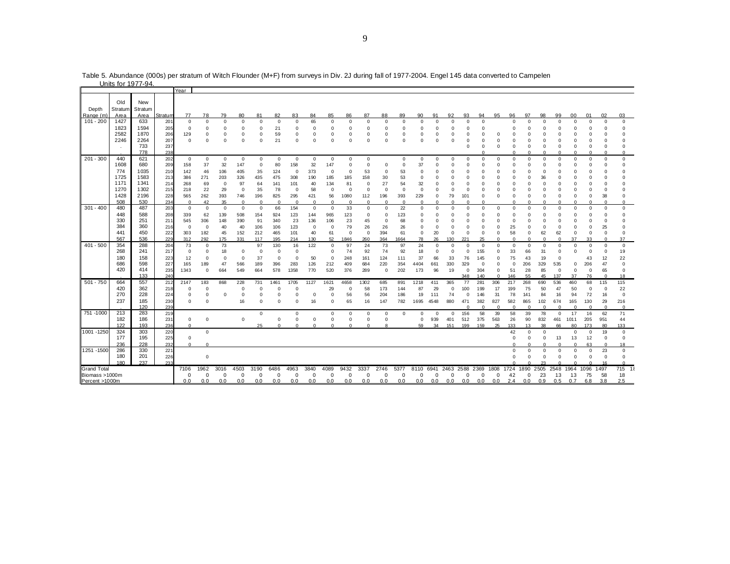|                    |         | <u>UIIII IUI 1977-94.</u> |                |                        |             |              |             |             |                         |                         |               |                         |              |              |                         |             |             |             |            |            |            |           |             |             |           |             |                |            |             |              |                |
|--------------------|---------|---------------------------|----------------|------------------------|-------------|--------------|-------------|-------------|-------------------------|-------------------------|---------------|-------------------------|--------------|--------------|-------------------------|-------------|-------------|-------------|------------|------------|------------|-----------|-------------|-------------|-----------|-------------|----------------|------------|-------------|--------------|----------------|
|                    |         |                           |                | Year                   |             |              |             |             |                         |                         |               |                         |              |              |                         |             |             |             |            |            |            |           |             |             |           |             |                |            |             |              |                |
|                    |         |                           |                |                        |             |              |             |             |                         |                         |               |                         |              |              |                         |             |             |             |            |            |            |           |             |             |           |             |                |            |             |              |                |
|                    | Old     | New                       |                |                        |             |              |             |             |                         |                         |               |                         |              |              |                         |             |             |             |            |            |            |           |             |             |           |             |                |            |             |              |                |
| Depth              | Stratum | Stratum                   |                |                        |             |              |             |             |                         |                         |               |                         |              |              |                         |             |             |             |            |            |            |           |             |             |           |             |                |            |             |              |                |
| Range (m           | Area    | Area                      | <u>Stratum</u> | 77                     | 78          | 79           | 80          | 81          | 82                      | 83                      | 84            | 85                      | 86           | 87           | 88                      | 89          | 90          | 91          | 92         | 93         | 94         | 95        | 96          | 97          | 98        | 99          | 0 <sub>0</sub> | 01         | 02          | 03           |                |
| $101 - 200$        | 1427    | 633                       | 201            | $\overline{0}$         | 0           | $^{\circ}$   | $\Omega$    | $\mathbf 0$ | $^{\circ}$              | $\Omega$                | 65            | $\mathbf 0$             | $\Omega$     | $\Omega$     | $\circ$                 | $\mathbf 0$ | $\Omega$    | $\Omega$    | $\Omega$   | $\Omega$   | $\Omega$   |           | $\Omega$    | $\Omega$    | $\Omega$  | $\Omega$    | $\Omega$       | $\Omega$   | $^{\circ}$  | $\mathbf 0$  |                |
|                    | 1823    | 1594                      | 205            | $^{\circ}$             | O           | n            |             | $\Omega$    | 21                      | $\Omega$                | n             | 0                       |              | Ω            | 0                       |             | 0           | O           | $\Omega$   | n          |            |           |             |             |           | n           | $\Omega$       | $\Omega$   | n           | $\Omega$     |                |
|                    | 2582    | 1870                      | 206            | 129                    | 0           | O            | $\Omega$    | $\Omega$    | 59                      | $^{\circ}$              | $\Omega$      | 0                       | 0            | 0            | 0                       | $\Omega$    | 0           | $\Omega$    | $\Omega$   | 0          | 0          | $\Omega$  |             |             | O         | $\Omega$    |                | $\Omega$   | O           | $\Omega$     |                |
|                    | 2246    | 2264                      | 207            | $^{\circ}$             | $\Omega$    | $\Omega$     | $\Omega$    | $\Omega$    | 21                      | $\Omega$                | $\Omega$      | $\Omega$                | $\Omega$     | $\Omega$     | $\Omega$                | $\Omega$    | $\Omega$    | $\Omega$    | $\Omega$   | $\Omega$   | C          |           | $\Omega$    | O           | O         | $\Omega$    | $\Omega$       | $\Omega$   | O           | $\Omega$     |                |
|                    |         | 733                       | 237            |                        |             |              |             |             |                         |                         |               |                         |              |              |                         |             |             |             |            | $\Omega$   | n          | n         | $\Omega$    | $\Omega$    | $\Omega$  | $\Omega$    | $\Omega$       | $\Omega$   | $\Omega$    | $\Omega$     |                |
|                    |         | 778                       | 238            |                        |             |              |             |             |                         |                         |               |                         |              |              |                         |             |             |             |            |            |            |           |             | $\Omega$    | n         | $\Omega$    | $\Omega$       | $\Omega$   | $\Omega$    | $\mathbf 0$  |                |
| $201 - 300$        | 440     | 621                       |                |                        |             |              | $\mathbf 0$ | $\mathbf 0$ |                         | $\mathbf 0$             | $\mathbf 0$   | $\mathbf 0$             | $\mathbf 0$  | $\mathbf 0$  |                         | $\mathbf 0$ | $\Omega$    |             |            | $\Omega$   | $\Omega$   | $\Omega$  | $\Omega$    | $\Omega$    |           | $\Omega$    | $\Omega$       | $\Omega$   | $\Omega$    | $\mathbf 0$  |                |
|                    |         |                           | 202            | $\mathbf{0}$           | 0           | $\mathbf 0$  |             |             | $\mathbf 0$             |                         |               |                         |              |              |                         |             |             | 0           | $^{\circ}$ |            |            |           |             |             | $\Omega$  |             |                |            |             |              |                |
|                    | 1608    | 680                       | 209            | 158                    | 37          | 32           | 147         | $\mathbf 0$ | 80                      | 158                     | 32            | 147                     | $\Omega$     | $\Omega$     | $\mathbf 0$             | $\Omega$    | 37          | $\Omega$    | $\Omega$   | $\Omega$   | n          | n         | $\Omega$    | $\Omega$    | $\Omega$  | $\Omega$    | $\Omega$       | $\Omega$   | $\Omega$    | $\Omega$     |                |
|                    | 774     | 1035                      | 210            | 142                    | 46          | 106          | 405         | 35          | 124                     | $\mathbf 0$             | 373           | $\mathbf 0$             | $\Omega$     | 53           | $\mathbf 0$             | 53          | 0           | $\Omega$    |            |            |            |           |             |             | n         | n           |                | n          | n           | $\Omega$     |                |
|                    | 1725    | 1583                      | 213            | 386                    | 271         | 203          | 326         | 435         | 475                     | 308                     | 190           | 185                     | 185          | 158          | 30                      | 53          | $\Omega$    | $\Omega$    | $\Omega$   | O          | O          |           | n           | O           | 36        | $\Omega$    | $\Omega$       | O          | n           | $\Omega$     |                |
|                    | 1171    | 1341                      | 214            | 268                    | 69          | $\Omega$     | 97          | 64          | 141                     | 101                     | 40            | 134                     | 81           | $\Omega$     | 27                      | 54          | 32          | $\Omega$    | $\Omega$   | 0          |            |           |             |             | O         | $\Omega$    |                | n          |             | n            |                |
|                    | 1270    | 1302                      | 215            | 218                    | 22          | 29           | $\mathbf 0$ | 35          | 78                      | $\Omega$                | 58            | $^{\circ}$              | $\mathbf 0$  | $\mathbf 0$  | $\mathbf 0$             | $\mathbf 0$ | $\circ$     | $\mathbf 0$ | $\Omega$   | $^{\circ}$ | 0          |           |             | O           | O         | $\Omega$    | $\Omega$       | $\Omega$   | O           | $\Omega$     |                |
|                    | 1428    | 2196                      | 228            | 565                    | 262         | 393          | 746         | 196         | 825                     | 295                     | 421           | 56                      | 1080         | 112          | 196                     | 393         | 229         | 0           | 79         | 101        | $\Omega$   | $\Omega$  | n           | O           | $\Omega$  | $\Omega$    | $\Omega$       | $\Omega$   | 38          | $\Omega$     |                |
|                    | 508     | 530                       | 234            | $\Omega$               | 42          | 35           |             | $\Omega$    | $\Omega$                |                         |               | $\Omega$                | $\Omega$     | $\Omega$     | $\Omega$                | $\Omega$    |             |             |            |            |            |           |             |             |           |             |                |            |             | $\Omega$     |                |
| $301 - 400$        | 480     | 487                       | 203            | $\mathbf{0}$           | $\Omega$    | $\mathbf{0}$ | $\Omega$    | $\mathbf 0$ | 66                      | 154                     | $\Omega$      | $\mathbf 0$             | 33           | $\Omega$     | $\Omega$                | 22          | $\Omega$    | $\Omega$    | $\Omega$   | $\Omega$   | $\Omega$   | $\Omega$  | $\Omega$    | $\Omega$    | $\Omega$  | $\Omega$    | $\Omega$       | $\Omega$   | $\Omega$    | $\mathbf 0$  |                |
|                    | 448     | 588                       | 208            | 339                    | 62          | 139          | 508         | 154         | 924                     | 123                     | 144           | 965                     | 123          | $\mathbf 0$  | $\mathbf 0$             | 123         | 0           | $\Omega$    |            | 0          | 0          | n         | $\Omega$    | $\Omega$    | n         | $\Omega$    | $\Omega$       | n          | O           | $\Omega$     |                |
|                    | 330     | 251                       | 211            | 545                    | 306         | 148          | 390         | 91          | 340                     | 23                      | 136           | 106                     | 23           | 45           | $\Omega$                | 68          | $\Omega$    | $\Omega$    | $\Omega$   | n          | n          |           | $\Omega$    | O           | n         | n           | $\Omega$       | $\Omega$   | $\Omega$    | $\Omega$     |                |
|                    | 384     | 360                       | 216            | $\overline{0}$         | $\Omega$    | 40           | 40          | 106         | 106                     | 123                     | $\Omega$      | $^{\circ}$              | 79           | 26           | 26                      | 26          | $\Omega$    | $\Omega$    | $\Omega$   | $\Omega$   | 0          |           | 25          | O           | O         | $\Omega$    | $\Omega$       | $\Omega$   | 25          | $\Omega$     |                |
|                    | 441     | 450                       | 222            | 303                    | 182         | 45           | 152         | 212         | 465                     | 101                     | 40            | 61                      | $\mathbf 0$  | $\mathbf{0}$ | 394                     | 61          | $\mathbf 0$ | 20          | $\Omega$   | $\Omega$   | $\Omega$   | $\Omega$  | 58          | $\mathbf 0$ | 62        | 62          | $^{\circ}$     | $\Omega$   | $\Omega$    | $\Omega$     |                |
|                    | 567     | 536                       | 229            | 312                    | 292         | 175          | 331         | 117         | 195                     | 214                     | 130           | 52                      | 1846         | 260          | 364                     | 1664        | 78          | 26          | 130        | 221        | 25         | n         | $\Omega$    | $\Omega$    | $\Omega$  | $\Omega$    | 37             | 33         | $\Omega$    | 37           |                |
| $401 - 500$        | 354     | 288                       | 204            | 73                     | $\Omega$    | 73           |             | 97          | 130                     | 16                      | 122           | $\Omega$                | 97           | 24           | 73                      | 97          | 24          | $\Omega$    | $\Omega$   | 0          | $\Omega$   | $\Omega$  | $^{\circ}$  | $\Omega$    | $\Omega$  | $\Omega$    | $\Omega$       | $\Omega$   | $\Omega$    | $\mathbf 0$  |                |
|                    | 268     | 241                       | 217            | $\mathbf 0$            | $\Omega$    | 18           | $\Omega$    | $\Omega$    | $\mathbf 0$             | $\Omega$                |               | $\Omega$                | 74           | 92           | 74                      | 92          | 18          | $\Omega$    | $\Omega$   | $\Omega$   | 155        |           | 33          | 66          | 31        | $\Omega$    | $\Omega$       | $\Omega$   | $\Omega$    | 19           |                |
|                    | 180     | 158                       | 223            | 12                     | $\mathbf 0$ | $\mathbf 0$  | $\Omega$    | 37          | $^{\circ}$              | $\Omega$                | 50            | $\Omega$                | 248          | 161          | 124                     | 111         | 37          | 66          | 33         | 76         | 145        |           | 75          | 43          | 19        | 0           |                | 43         | 12          | 22           |                |
|                    | 686     | 598                       | 227            | 165                    | 189         | 47           | 566         | 189         | 396                     | 283                     | 126           | 212                     | 409          | 684          | 220                     | 354         | 4404        | 661         | 330        | 329        | $\Omega$   | $\Omega$  | $\Omega$    | 206         | 329       | 535         | $\Omega$       | 206        | 47          | $\Omega$     |                |
|                    | 420     | 414                       | 235            | 1343                   | 0           | 664          | 549         | 664         | 578                     | 1358                    | 770           | 520                     | 376          | 289          | $\mathbf 0$             | 202         | 173         | 96          | 19         | $\Omega$   | 304        | $\Omega$  | 51          | 28          | 85        | $\mathbf 0$ | $\mathbf 0$    | $\Omega$   | 65          | $\Omega$     |                |
|                    |         | 133                       | 240            |                        |             |              |             |             |                         |                         |               |                         |              |              |                         |             |             |             |            | 348        | 140        | $\Omega$  | 146         | 55          | 45        | 137         | 37             | 76         | $\Omega$    | 18           |                |
| 501 - 750          | 664     | 557                       | 212            | 2147                   | 183         | 868          | 228         | 731         | 1461                    | 1705                    | 1127          | 1621                    | 4658         | 1302         | 685                     | 891         | 1218        | 411         | 365        | 77         | 281        | 306       | 217         | 268         | 690       | 536         | 460            | 68         | 115         | 115          |                |
|                    | 420     | 362                       | 218            | $^{\circ}$             | 0           |              | $\Omega$    | $\Omega$    | $\Omega$                | $\Omega$                |               | 29                      | $\mathbf 0$  | 58           | 173                     | 144         | 87          | 29          | $\Omega$   | 100        | 199        | 17        | 199         | 75          | 50        | 47          | 50             | $^{\circ}$ | $\mathbf 0$ | 22           |                |
|                    | 270     | 228                       | 224            | $^{\circ}$             | 0           | $\Omega$     | $\Omega$    | C           | $\mathbf 0$             | $\Omega$                | $\mathbf 0$   | $\Omega$                | 56           | 56           | 204                     | 186         | 19          | 111         | 74         | $\Omega$   | 146        | 31        | 78          | 141         | 84        | 16          | 94             | 72         | 16          | $\mathbf 0$  |                |
|                    | 237     | 185                       | 230            | $^{\circ}$             | $\Omega$    |              | 16          | $\Omega$    | $\Omega$                | $\Omega$                | 16            | $\Omega$                | 65           | 16           | 147                     | 782         | 1695        | 4548        | 880        | 471        | 382        | 827       | 582         | 865         | 102       | 674         | 165            | 130        | 29          | 216          |                |
|                    |         | 120                       | 239            |                        |             |              |             |             |                         |                         |               |                         |              |              |                         |             |             |             |            | $\Omega$   | $\Omega$   | $\Omega$  | $\Omega$    | $\Omega$    | $\Omega$  | $\Omega$    | $\Omega$       | $\Omega$   | $\Omega$    | $\Omega$     |                |
| 751 -1000          | 213     | 283                       | 219            |                        |             |              |             | $\mathbf 0$ |                         | $\mathbf 0$             |               | $\mathbf 0$             | $\mathbf{0}$ | $\mathbf 0$  | $\mathbf 0$             | $\mathbf 0$ | $\Omega$    | 0           | $^{\circ}$ | 156        | 58         | 39        | 58          | 39          | 78        | $\mathbf 0$ | 17             | 16         | 62          | 71           |                |
|                    | 182     | 186                       |                |                        |             |              | $\Omega$    |             |                         |                         |               |                         | $\Omega$     | $\Omega$     |                         |             | $\Omega$    |             |            |            |            |           |             |             |           | 461         |                | 205        |             |              |                |
|                    | 122     | 193                       | 231<br>236     | $^{\circ}$<br>$\Omega$ | 0           |              |             | 25          | $\mathbf 0$<br>$\Omega$ | $\mathbf 0$<br>$\Omega$ | 0<br>$\Omega$ | $\mathbf 0$<br>$\Omega$ | $\Omega$     | $\Omega$     | $\circ$<br>$\mathbf{R}$ |             | 59          | 939<br>34   | 401<br>151 | 512<br>199 | 375<br>159 | 563<br>25 | 26<br>133   | 90<br>13    | 832<br>38 |             | 1011<br>80     | 173        | 951<br>80   | 44<br>133    |                |
|                    |         |                           |                |                        |             |              |             |             |                         |                         |               |                         |              |              |                         |             |             |             |            |            |            |           |             |             |           | 66          |                |            |             |              |                |
| 1001 - 1250        | 324     | 303                       | 220            |                        | 0           |              |             |             |                         |                         |               |                         |              |              |                         |             |             |             |            |            |            |           | 42          | $\Omega$    | $\Omega$  |             | $\mathbf 0$    | $\Omega$   | 19          | $\Omega$     |                |
|                    | 177     | 195                       | 225            | $\mathbf 0$            |             |              |             |             |                         |                         |               |                         |              |              |                         |             |             |             |            |            |            |           | $\mathbf 0$ | $\mathbf 0$ | $\Omega$  | 13          | 13             | 12         | $^{\circ}$  | $\circ$      |                |
|                    | 236     | 228                       | 232            | $^{\circ}$             | $\Omega$    |              |             |             |                         |                         |               |                         |              |              |                         |             |             |             |            |            |            |           |             |             |           | $\Omega$    | $\Omega$       | 63         | $\Omega$    | 18           |                |
| 1251 - 1500        | 286     | 330                       | 221            |                        |             |              |             |             |                         |                         |               |                         |              |              |                         |             |             |             |            |            |            |           | $\Omega$    | $\Omega$    | $\Omega$  | 0           | $\Omega$       | $\Omega$   | 23          | $\mathbf 0$  |                |
|                    | 180     | 201                       | 226            |                        | 0           |              |             |             |                         |                         |               |                         |              |              |                         |             |             |             |            |            |            |           | $\Omega$    | $\Omega$    | $\Omega$  | $\Omega$    | $\Omega$       | $\Omega$   | $\mathbf 0$ | $\mathbf{0}$ |                |
|                    | 180     | 237                       | 233            |                        |             |              |             |             |                         |                         |               |                         |              |              |                         |             |             |             |            |            |            |           | $\Omega$    |             | 23        |             |                |            | 16          | $\Omega$     |                |
| <b>Grand Total</b> |         |                           |                | 7106                   | 1962        | 3016         | 4503        | 3190        | 6486                    | 4963                    | 3840          | 4089                    | 9432         | 3337         | 2746                    | 5377        | 8110        | 6941        | 2463       | 2588       | 2369       | 1808      | 1724        | 1890        | 2505      | 2548        | 1964           | 1096       | 1497        | 715          | $\overline{1}$ |
| Biomass >1000m     |         |                           |                | $\Omega$               | $\Omega$    | $\Omega$     | $\Omega$    | $\Omega$    | $\Omega$                | $\Omega$                | $\Omega$      | $\Omega$                | $\Omega$     | $\Omega$     | $\Omega$                | $\Omega$    | $\Omega$    | $\Omega$    | $\Omega$   | $\Omega$   | $\Omega$   | $\Omega$  | 42          | $\Omega$    | 23        | 13          | 13             | 75         | 58          | 18           |                |
| Percent >1000m     |         |                           |                | 0.0                    | 0.0         | 0.0          | 0.0         | 0.0         | 0.0                     | 0.0                     | 0.0           | 0.0                     | 0.0          | 0.0          | 0.0                     | 0.0         | 0.0         | 0.0         | 0.0        | 0.0        | 0.0        | 0.0       | 2.4         | 0.0         | 0.9       | 0.5         | 0.7            | 6.8        | 3.8         | 2.5          |                |

Table 5. Abundance (000s) per stratum of Witch Flounder (M+F) from surveys in Div. 2J during fall of 1977-2004. Engel 145 data converted to Campelen Units for 1977-94.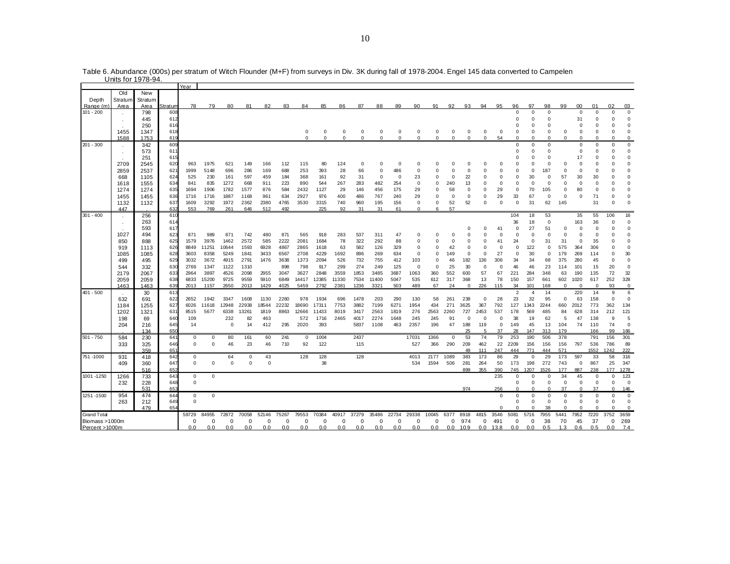|                          | 011113 101 1 <i>31</i> 0-34. |             |                |             |             |             |             |             |       |             |             |             |             |             |             |             |             |             |             |             |             |                |                |             |             |                 |                |             |                   |
|--------------------------|------------------------------|-------------|----------------|-------------|-------------|-------------|-------------|-------------|-------|-------------|-------------|-------------|-------------|-------------|-------------|-------------|-------------|-------------|-------------|-------------|-------------|----------------|----------------|-------------|-------------|-----------------|----------------|-------------|-------------------|
|                          |                              |             |                | Year        |             |             |             |             |       |             |             |             |             |             |             |             |             |             |             |             |             |                |                |             |             |                 |                |             |                   |
|                          | Old                          | New         |                |             |             |             |             |             |       |             |             |             |             |             |             |             |             |             |             |             |             |                |                |             |             |                 |                |             |                   |
| Depth                    | Stratum                      | Stratum     |                |             |             |             |             |             |       |             |             |             |             |             |             |             |             |             |             |             |             |                | 97             | 98          | 99          | 00 <sup>1</sup> |                | 02          |                   |
| Range (m)<br>$101 - 200$ | Area                         | Area<br>798 | 3tratum<br>608 | 78          | 79          | 80          | 81          | 82          | 83    | 84          | 85          | 86          | 87          | 88          | 89          | 90          | 91          | 92          | 93          | 94          | 95          | 96<br>$\Omega$ | $\Omega$       | $\Omega$    |             | $\Omega$        | 01<br>$\Omega$ | $\Omega$    | 03<br>$\mathbf 0$ |
|                          |                              | 445         | 612            |             |             |             |             |             |       |             |             |             |             |             |             |             |             |             |             |             |             | $\mathbf 0$    | $^{\circ}$     | 0           |             | 31              | 0              | 0           | $\mathbf 0$       |
|                          |                              | 250         | 616            |             |             |             |             |             |       |             |             |             |             |             |             |             |             |             |             |             |             | $\Omega$       | $\Omega$       | $\Omega$    |             | $\Omega$        | $\Omega$       | $\Omega$    | 0                 |
|                          | 1455                         | 1347        | 618            |             |             |             |             |             |       | 0           | 0           | 0           | 0           | $^{\circ}$  | 0           | $^{\circ}$  | 0           | 0           | 0           | 0           | 0           | 0              | 0              | $\Omega$    | 0           | $^{\circ}$      | $\Omega$       | $^{\circ}$  | $\mathbf 0$       |
|                          | 1588                         | 1753        | 619            |             |             |             |             |             |       | $\mathbf 0$ | $\mathbf 0$ | $\mathbf 0$ | $\mathbf 0$ | $\mathbf 0$ | $\mathbf 0$ | $\mathbf 0$ | $\mathbf 0$ | $\mathbf 0$ | $\mathbf 0$ | $\mathbf 0$ | 54          | $\Omega$       | $\mathbf 0$    | $\Omega$    | $\mathbf 0$ | $\mathbf 0$     | 0              | $\Omega$    | 0                 |
| 201 - 300                |                              | 342         | 609            |             |             |             |             |             |       |             |             |             |             |             |             |             |             |             |             |             |             | $\Omega$       | $\Omega$       | $\Omega$    |             | $\Omega$        | $\Omega$       | $\Omega$    | $\mathsf 0$       |
|                          |                              | 573         | 611            |             |             |             |             |             |       |             |             |             |             |             |             |             |             |             |             |             |             | 0              | $\Omega$       | $\Omega$    |             | $\Omega$        | $\Omega$       | $\Omega$    | $\mathbf 0$       |
|                          |                              | 251         | 615            |             |             |             |             |             |       |             |             |             |             |             |             |             |             |             |             |             |             | $\Omega$       | $\Omega$       | $\Omega$    |             | 17              | $\Omega$       | O           | 0                 |
|                          | 2709                         | 2545        | 620            | 963         | 1975        | 621         | 149         | 166         | 112   | 115         | 80          | 124         | $^{\circ}$  | $\Omega$    | $\mathbf 0$ | $\Omega$    | $\Omega$    | $\Omega$    | $\Omega$    | $\Omega$    | $\Omega$    | $\Omega$       | $\Omega$       | $\Omega$    | $\Omega$    | $\Omega$        | $\Omega$       | $\Omega$    | $\mathbf 0$       |
|                          | 2859                         | 2537        | 621            | 1999        | 5148        | 696         | 286         | 169         | 688   | 253         | 393         | 28          | 66          | $\mathbf 0$ | 486         | $\Omega$    | $\Omega$    | $\Omega$    | $\Omega$    | $\Omega$    | $\Omega$    | $\mathbf 0$    | $\mathbf 0$    | 187         | $\Omega$    | $\Omega$        | 0              | $\Omega$    | $\mathbf 0$       |
|                          | 668                          | 1105        | 624            | 525         | 230         | 161         | 597         | 459         | 184   | 368         | 161         | 92          | 31          | $^{\circ}$  | 0           | 23          | 0           | 0           | 22          | O           | 0           | 0              | 30             | 0           | 57          | 30              | 30             |             | 0                 |
|                          | 1618                         | 1555        | 634            | 841         | 835         | 1272        | 668         | 911         | 223   | 890         | 544         | 267         | 283         | 482         | 254         | $\Omega$    | $\Omega$    | 240         | 13          | $\Omega$    | $\mathbf 0$ | $\mathbf 0$    | $\mathbf 0$    | $\Omega$    | $\Omega$    | $\Omega$        | $\Omega$       | $\Omega$    | $\mathbf 0$       |
|                          | 1274                         | 1274        | 635            | 1694        | 1906        | 1782        | 1577        | 876         | 584   | 2432        | 1127        | 29          | 146         | 456         | 175         | 29          | $\Omega$    | 58          | $\Omega$    | $\Omega$    | 29          | 0              | 70             | 105         | $\Omega$    | 80              | $\Omega$       | n           | 0                 |
|                          | 1455                         | 1455        | 636            | 1716        | 1716        | 1887        | 1168        | 961         | 634   | 2927        | 976         | 400         | 486         | 767         | 240         | 29          | $\Omega$    | $^{\circ}$  | 0           | 0           | 29          | 33             | 67             | 0           | 0           | $^{\circ}$      | 71             | $\Omega$    | 0                 |
|                          | 1132                         | 1132        | 637            | 1609        | 3292        | 1972        | 2362        | 2380        | 4765  | 3530        | 3315        | 740         | 960         | 195         | 156         | $\mathbf 0$ | $\Omega$    | 52          | 52          | $\Omega$    | $\mathbf 0$ | $\mathbf 0$    | 31             | 62          | 145         |                 | 31             | $\Omega$    | $\mathbf 0$       |
| $301 - 400$              | 447                          |             | 632<br>610     | 553         | 769         | 261         | 646         | 512         | 492   |             | 225         | 92          | 31          | 31          | 61          | $\Omega$    | 6           | 57          |             |             |             | 104            | 18             | 53          |             | 35              | 55             | 106         | 16                |
|                          |                              | 256<br>263  | 614            |             |             |             |             |             |       |             |             |             |             |             |             |             |             |             |             |             |             | 36             | 18             | $\mathbf 0$ |             | 163             | 36             | $\Omega$    | 0                 |
|                          |                              | 593         | 617            |             |             |             |             |             |       |             |             |             |             |             |             |             |             |             | $\Omega$    | O           | 41          | $\Omega$       | 27             | 51          | $\Omega$    | $\Omega$        | $\Omega$       | $\Omega$    | $\mathbf 0$       |
|                          | 1027                         | 494         | 623            | 871         | 989         | 871         | 742         | 480         | 871   | 565         | 918         | 283         | 537         | 311         | 47          | $\Omega$    | $\Omega$    | $\Omega$    | $\Omega$    | $\Omega$    | $\Omega$    | $\mathbf 0$    | $\mathbf 0$    | $\mathbf 0$ | $\Omega$    | $\Omega$        | $\Omega$       | $\Omega$    | $\mathbf 0$       |
|                          | 850                          | 888         | 625            | 1579        | 3976        | 1462        | 2572        | 585         | 2222  | 2081        | 1684        | 78          | 322         | 292         | 88          | $\Omega$    | $\Omega$    | $\Omega$    | 0           | $\Omega$    | 41          | 24             | $\mathbf 0$    | 31          | 31          | $\mathbf 0$     | 35             | $\Omega$    | 0                 |
|                          | 919                          | 1113        | 626            | 8849        | 11251       | 10644       | 1593        | 6928        | 4867  | 2865        | 1618        | 63          | 582         | 126         | 329         | $\Omega$    | 0           | 42          | 0           | $\Omega$    | $^{\circ}$  | 0              | 122            | 0           | 575         | 364             | 306            | $\Omega$    | $\mathbf 0$       |
|                          | 1085                         | 1085        | 628            | 3603        | 8358        | 5249        | 1841        | 3433        | 6567  | 2708        | 4229        | 1692        | 896         | 269         | 634         | $\Omega$    | 0           | 149         | $\mathbf 0$ | $\mathbf 0$ | 27          | $\mathbf 0$    | 30             | $\mathbf 0$ | 179         | 269             | 114            | $\Omega$    | 30                |
|                          | 499                          | 495         | 629            | 3032        | 3672        | 4915        | 2791        | 1476        | 3638  | 1373        | 2094        | 526         | 732         | 755         | 412         | 103         | $\Omega$    | 46          | 182         | 136         | 306         | 34             | 34             | 68          | 375         | 280             | 45             | $\Omega$    | $\Omega$          |
|                          | 544                          | 332         | 630            | 2769        | 1347        | 1122        | 1310        |             | 898   | 798         | 917         | 299         | 274         | 249         | 125         | $^{\circ}$  | $\Omega$    | 25          | 30          | 0           | 0           | 46             | 46             | 23          | 114         | 101             | 15             | 20          | 0                 |
|                          | 2179                         | 2067        | 633            | 2964        | 3897        | 4526        | 2098        | 2955        | 3047  | 3627        | 2848        | 3559        | 1853        | 3485        | 3687        | 1063        | 360         | 552         | 600         | 57          | 67          | 221            | 284            | 348         | 63          | 190             | 135            | 72          | 32                |
|                          | 2059                         | 2059        | 638            | 6833        | 15200       | 9725        | 9559        | 5910        | 6849  | 14417       | 12385       | 11330       | 7534        | 11400       | 5047        | 535         | 612         | 317         | 368         | 13          | 78          | 150            | 157            | 661         | 602         | 1020            | 617            | 252         | 328               |
|                          | 1463                         | 1463        | 639            | 2013        | 1157        | 2650        | 2013        | 1429        | 4025  | 5459        | 2792        | 2381        | 1236        | 3321        | 503         | 489         | 67          | 24          | $\mathbf 0$ | 226         | 115         | 34             | 101            | 168         | 0           | $^{\circ}$      | $^{\circ}$     | 93          | $\mathbf 0$       |
| $401 - 500$              |                              | 30          | 613            |             |             |             |             |             |       |             |             |             |             |             |             |             |             |             |             |             |             | $\overline{2}$ | $\overline{4}$ | 14          |             | 220             | 14             | 9           | 6                 |
|                          | 632                          | 691         | 622            | 2652        | 1942        | 3347        | 1608        | 1130        | 2260  | 978         | 1934        | 696         | 1478        | 203         | 290         | 130         | 58          | 261         | 238         | 0           | 28          | 23             | 32             | 95          | $\Omega$    | 63              | 158            | $\Omega$    | $\Omega$          |
|                          | 1184                         | 1255        | 627            | 6026        | 11618       | 12948       | 22938       | 18544       | 22232 | 18690       | 17311       | 7753        | 3882        | 7199        | 6271        | 1954        | 434         | 271         | 3625        | 367         | 792         | 127            | 1343           | 2244        | 660         | 2012            | 773            | 362         | 134               |
|                          | 1202                         | 1321        | 631            | 8515        | 5677        | 6338        | 13261       | 1819        | 8863  | 12666       | 11433       | 8019        | 3417        | 2563        | 1819        | 276         | 2563        | 2260        | 727         | 2453        | 537         | 178            | 569            | 485         | 84          | 628             | 314            | 212         | 121               |
|                          | 198                          | 69          | 640            | 109         |             | 232         | 82          | 463         |       | 572         | 1716        | 2465        | 4017        | 2274        | 1648        | 245         | 245         | 91          | $^{\circ}$  | 0           | $\mathbf 0$ | 38             | 19             | 62          | 5           | 47              | 138            | 9           | 5                 |
|                          | 204                          | 216         | 645            | 14          |             | $^{\circ}$  | 14          | 412         | 295   | 2020        | 393         |             | 5837        | 1108        | 463         | 2357        | 196         | 47          | 188         | 119<br>5    | $\Omega$    | 149            | 45             | 13          | 104         | 74              | 110            | 74          | $\mathbf 0$       |
| $501 - 750$              |                              | 134         | 65C            | $\mathbf 0$ | $\mathbf 0$ |             | 161         | 60          | 241   | $\mathbf 0$ | 1004        |             | 2437        |             |             | 17031       | 1366        | $\mathbf 0$ | 25<br>53    | 74          | 37<br>79    | 28<br>253      | 147<br>190     | 313<br>506  | 179<br>378  |                 | 166<br>791     | 99<br>156   | 166<br>301        |
|                          | 584<br>333                   | 230         | 641<br>646     | $\mathbf 0$ | $\Omega$    | 80<br>46    | 23          | 46          | 710   | 92          | 122         |             | 115         |             |             | 527         | 366         | 290         | 209         | 462         | 22          | 2209           | 156            | 156         | 156         | 797             | 536            | 786         | 89                |
|                          |                              | 325<br>359  | 651            |             |             |             |             |             |       |             |             |             |             |             |             |             |             |             | 49          | 111         | 247         | 444            | 771            | 444         | 571         |                 | 1552           | 1242        | 222               |
| 751 -1000                | 931                          | 418         | 642            | $\mathbf 0$ |             | 64          | 0           | 43          |       | 128         | 128         |             | 128         |             |             | 4013        | 2177        | 1089        | 383         | 173         | 86          | 29             | $\mathbf 0$    | 29          | 173         | 597             | 33             | 58          | 316               |
|                          | 409                          | 360         | 647            | $\mathbf 0$ | $\mathbf 0$ | $\mathbf 0$ | $\mathbf 0$ | $\mathbf 0$ |       |             | 38          |             |             |             |             | 534         | 1594        | 506         | 281         | 264         | 50          | 173            | 198            | 272         | 743         | $^{\circ}$      | 867            | 25          | 347               |
|                          |                              | 516         | 652            |             |             |             |             |             |       |             |             |             |             |             |             |             |             |             | 899         | 355         | 390         | 745            | 1207           | 1526        | 177         | 887             | 238            | 177         | 1278              |
| 1001 - 1250              | 1266                         | 733         | 643            | $\mathbf 0$ | $\mathbf 0$ |             |             |             |       |             |             |             |             |             |             |             |             |             |             |             | 235         | 0              | $\Omega$       | $\Omega$    | 34          | 45              | $\Omega$       | 0           | 123               |
|                          | 232                          | 228         | 648            | $\mathbf 0$ |             |             |             |             |       |             |             |             |             |             |             |             |             |             |             |             |             | $\Omega$       | $\mathbf 0$    | $\mathbf 0$ | 0           | $\mathbf 0$     | $\mathbf 0$    | $\Omega$    | $\mathbf 0$       |
|                          |                              | 531         | 653            |             |             |             |             |             |       |             |             |             |             |             |             |             |             |             | 974         |             | 256         | $\Omega$       | $\Omega$       | $\Omega$    | 37          | $\Omega$        | 37             | $\Omega$    | 146               |
| 1251 - 1500              | 954                          | 474         | 644            | $\mathbf 0$ | $\mathbf 0$ |             |             |             |       |             |             |             |             |             |             |             |             |             |             |             | $\mathbf 0$ | 0              | $^{\circ}$     | 0           | 0           | $\mathbf 0$     | $\Omega$       | $\mathbf 0$ | $\mathbf 0$       |
|                          | 263                          | 212         | 649            | $\mathbf 0$ |             |             |             |             |       |             |             |             |             |             |             |             |             |             |             |             |             | $\Omega$       | $\Omega$       | $^{\circ}$  | $\mathbf 0$ | $\Omega$        | $\mathbf 0$    | $\Omega$    | $\mathbf 0$       |
|                          |                              | 479         | 654            |             |             |             |             |             |       |             |             |             |             |             |             |             |             |             |             |             | $\Omega$    | $\Omega$       | $\Omega$       | 38          | $\Omega$    | $\Omega$        | $\Omega$       | $\Omega$    | $\mathbf 0$       |
| <b>Grand Total</b>       |                              |             |                | 59729       | 84955       | 72872       | 70058       | 52146       | 75267 | 79553       | 70384       | 40917       | 37279       | 35486       | 22734       | 29338       | 10045       | 6377        | 8918        | 4815        | 3546        | 5081           | 5716           | 7955        | 5441        | 7952            | 7220           | 3752        | 3659              |
| Biomass >1000m           |                              |             |                | $\Omega$    | 0           | $\Omega$    | 0           | $\Omega$    | 0     | 0           | $\mathbf 0$ | $\Omega$    | $\Omega$    | 0           | $\mathbf 0$ | 0           | 0           | 0           | 974         | 0           | 491         | 0              | $\mathbf 0$    | 38          | 70          | 45              | 37             | 0           | 269               |
| Percent >1000m           |                              |             |                | 0.0         | 0.0         | 0.0         | 0.0         | 0.0         | 0.0   | 0.0         | 0.0         | 0.0         | 0.0         | 0.0         | 0.0         | 0.0         | 0.0         |             | $0.0$ 10.9  | $0.0$ 13.8  |             | 0.0            | 0.0            | 0.5         | 1.3         | 0.6             | 0.5            | 0.0         | 7.4               |

Table 6. Abundance (000s) per stratum of Witch Flounder (M+F) from surveys in Div. 3K during fall of 1978-2004. Engel 145 data converted to Campelen Units for 1978-94.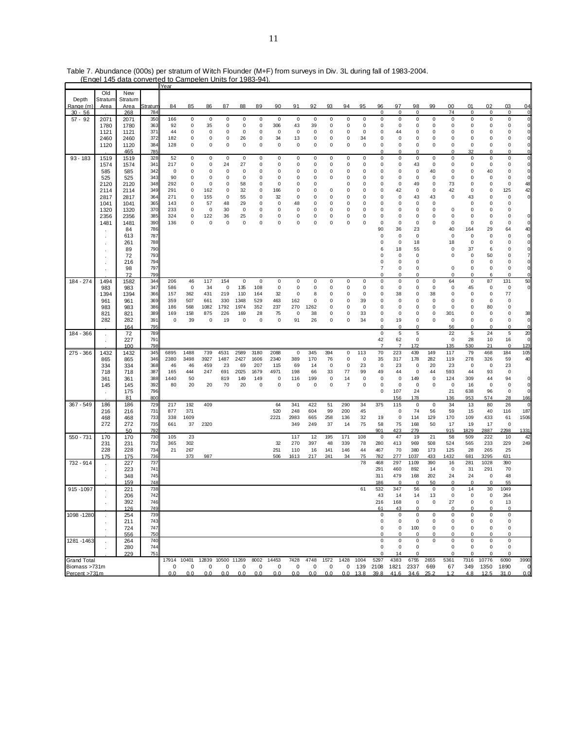|                    |                |         |         | Year  |           |                   |      |             |             |             |          |             |      |                |      |                |                |             |             |             |             |             |             |                |
|--------------------|----------------|---------|---------|-------|-----------|-------------------|------|-------------|-------------|-------------|----------|-------------|------|----------------|------|----------------|----------------|-------------|-------------|-------------|-------------|-------------|-------------|----------------|
|                    | Old            | New     |         |       |           |                   |      |             |             |             |          |             |      |                |      |                |                |             |             |             |             |             |             |                |
| Depth              | Stratum        | Stratum |         |       |           |                   |      |             |             |             |          |             |      |                |      |                |                |             |             |             |             |             |             |                |
| Range (m)          | Area           | Area    | Stratum | 84    | 85        | 86                | 87   | 88          | 89          | 90          | 91       | 92          | 93   | 94             | 95   | 96             | 97             | 98          | 99          | 00          | 01          | 02          | 03          | 04             |
| $30 - 56$          |                |         | 784     |       |           |                   |      |             |             |             |          |             |      |                |      | 0              | 0              | 0           |             | 74          | 0           | 0           | 0           | $\mathbf 0$    |
|                    |                | 268     | 350     | 166   | $\pmb{0}$ | 0                 | 0    | 0           | 0           | 0           | 0        | 0           | 0    | 0              | 0    | 0              | 0              | $\pmb{0}$   | 0           | 0           | 0           | 0           | 0           | $\mathbf{0}$   |
| $57 - 92$          | 2071           | 2071    |         |       |           |                   |      |             |             |             |          |             |      |                |      |                |                |             |             |             |             |             |             |                |
|                    | 1780           | 1780    | 363     | 92    | 0         | 35                | 0    | 0           | 0           | 306         | 43       | 39          | 0    | 0              | 0    | 0              | 0              | 0           | 0           | 0           | 0           | 0           | 0           | $\mathbf{0}$   |
|                    | 1121           | 1121    | 371     | 44    | 0         | 0                 | 0    | 0           | 0           | $\mathbf 0$ | 0        | 0           | 0    | 0              | 0    | 0              | 44             | 0           | $\mathbf 0$ | 0           | 0           | 0           | 0           | $\mathbf 0$    |
|                    | 2460           | 2460    | 372     | 182   | 0         | 0                 | 0    | 26          | 0           | 34          | 13       | 0           | 0    | 0              | 34   | 0              | 0              | 0           | 0           | 0           | 0           | 0           | 0           | $\mathbf{0}$   |
|                    | 1120           | 1120    | 384     | 128   | 0         | 0                 | 0    | 0           | 0           | 0           | 0        | 0           | 0    | 0              | 0    | 0              | 0              | 0           | 0           | 0           | 0           | 0           | 0           | 0              |
|                    |                | 465     | 785     |       |           |                   |      |             |             |             |          |             |      |                |      | O              | $\Omega$       | $\mathbf 0$ |             | $\mathbf 0$ | 32          | $\mathbf 0$ | $\Omega$    | $\Omega$       |
| $93 - 183$         | 1519           | 1519    | 328     | 52    | $\pmb{0}$ | 0                 | 0    | 0           | 0           | 0           | 0        | 0           | 0    | 0              | 0    | 0              | 0              | 0           | 0           | 0           | 0           | $\pmb{0}$   | $\mathsf 0$ | 0              |
|                    | 1574           | 1574    | 341     | 217   | 0         | 0                 | 24   | 27          | 0           | $\mathbf 0$ | 0        | 0           | 0    | 0              | 0    | 0              | 0              | 43          | 0           | 0           | 0           | 0           | 0           | $\mathbf{0}$   |
|                    | 585            | 585     | 342     | 0     | 0         | 0                 | 0    | 0           | 0           | 0           | 0        | 0           | 0    | 0              | 0    | 0              | 0              | 0           | 40          | 0           | 0           | 40          | 0           | $\mathbf 0$    |
|                    |                |         |         |       |           |                   |      |             |             |             |          |             |      |                | 0    |                |                |             |             |             |             |             |             | $\mathbf 0$    |
|                    | 525            | 525     | 343     | 90    | 0         | 0                 | 0    | 0           | 0           | 0           | 0        | 0           | 0    | 0              |      | 0              | 0              | 0           | 0           | 0           | 0           | 0           | 0           |                |
|                    | 2120           | 2120    | 348     | 292   | 0         | $\mathbf 0$       | 0    | 58          | $\Omega$    | $\mathbf 0$ | $\Omega$ | 0           |      | $\Omega$       | 0    | 0              | 0              | 49          | 0           | 73          | 0           | 0           | 0           | 48             |
|                    | 2114           | 2114    | 349     | 291   | 0         | 162               | 0    | 32          | 0           | 166         | $\Omega$ | 0           | 0    | 0              | 0    | 0              | 42             | 0           | $\mathbf 0$ | 42          | 0           | 0           | 125         | 42             |
|                    | 2817           | 2817    | 364     | 271   | 0         | 155               | 0    | 55          | 0           | 32          | 0        | 0           | 0    | 0              | 0    | 0              | 0              | 43          | 43          | 0           | 43          | 0           | 0           | $\mathbf 0$    |
|                    | 1041           | 1041    | 365     | 143   | 0         | 57                | 48   | 29          | 0           | $\mathbf 0$ | 48       | 0           | 0    | 0              | 0    | 0              | 0              | 0           | 0           |             | $\mathbf 0$ | 0           | 0           |                |
|                    | 1320           | 1320    | 370     | 233   | 0         | 0                 | 30   | $\mathbf 0$ | 0           | 0           | 0        | 0           | 0    | 0              | 0    | 0              | 0              | 0           | $\mathbf 0$ | 0           | 0           | 0           | 0           |                |
|                    | 2356           | 2356    | 385     | 324   | 0         | 122               | 36   | 25          | 0           | 0           | 0        | 0           | 0    | 0              | 0    | 0              | 0              | 0           | $\mathbf 0$ | 0           | 0           | 0           | O           | $\mathbf 0$    |
|                    | 1481           | 1481    | 390     | 136   | 0         | 0                 | 0    | $\mathbf 0$ | $\mathbf 0$ | $\mathbf 0$ | $\Omega$ | $\mathbf 0$ | 0    | 0              | 0    | 0              | 0              | 0           | $\Omega$    | 0           | 0           | 0           | $\mathbf 0$ | $\mathbf{0}$   |
|                    |                | 84      | 786     |       |           |                   |      |             |             |             |          |             |      |                |      | 90             | 36             | 23          |             | 40          | 164         | 29          | 64          | 40             |
|                    |                | 613     | 787     |       |           |                   |      |             |             |             |          |             |      |                |      | 0              | 0              | 0           |             | 0           | 0           | 0           | 0           | $\mathbf{0}$   |
|                    | ×              |         |         |       |           |                   |      |             |             |             |          |             |      |                |      |                |                |             |             |             |             |             |             |                |
|                    |                | 261     | 788     |       |           |                   |      |             |             |             |          |             |      |                |      | 0              | 0              | 18          |             | 18          | 0           | 0           | 0           | 0              |
|                    | ٠              | 89      | 790     |       |           |                   |      |             |             |             |          |             |      |                |      | 6              | 18             | 55          |             | 0           | 37          | 6           | 0           | $\Omega$       |
|                    |                | 72      | 793     |       |           |                   |      |             |             |             |          |             |      |                |      | 0              | 0              | 0           |             | 0           | 0           | 50          | 0           |                |
|                    |                | 216     | 794     |       |           |                   |      |             |             |             |          |             |      |                |      | 0              | 0              | 0           |             |             | 0           | 0           | 0           | 0              |
|                    |                | 98      | 797     |       |           |                   |      |             |             |             |          |             |      |                |      | 7              | 0              | 0           |             | 0           | 0           | 0           | 0           | $\mathbf{0}$   |
|                    |                | 72      | 799     |       |           |                   |      |             |             |             |          |             |      |                |      | 0              | 0              | 0           |             | 0           | 0           | 6           | 0           | $\Omega$       |
| 184 - 274          | 1494           | 1582    | 344     | 206   | 46        | 117               | 154  | $\mathbf 0$ | 0           | 0           | 0        | 0           | 0    | 0              | 0    | 0              | 0              | 0           | $\mathbf 0$ | 64          | 0           | 87          | 131         | 50             |
|                    | 983            | 983     | 347     | 586   | $\pmb{0}$ | 34                | 0    | 135         | 108         | 0           | 0        | 0           | 0    | 0              | 0    | 0              | 0              | 0           | 0           | 0           | 45          | 0           | 0           | $\overline{0}$ |
|                    | 1394           | 1394    | 366     | 157   | 362       | 431               | 219  | 110         | 164         | 32          | 0        | 8           | 0    | 0              | 0    | 0              | 38             | 0           | 38          | 0           | 0           | 0           | 77          |                |
|                    |                |         |         |       |           |                   |      |             |             |             |          |             |      |                |      |                |                |             |             |             |             |             |             |                |
|                    | 961            | 961     | 369     | 359   | 507       | 661               | 330  | 1348        | 529         | 463         | 162      | 0           | 0    | 0              | 39   | 0              | 0              | 0           | 0           | 0           | 0           | 0           | $\mathbf 0$ |                |
|                    | 983            | 983     | 386     | 186   | 568       | 1082              | 1792 | 1974        | 352         | 237         | 270      | 1262        | 0    | 0              | 0    | 0              | 0              | 0           | 0           | 0           | 0           | 80          | 0           |                |
|                    | 821            | 821     | 389     | 169   | 158       | 875               | 226  | 169         | 28          | 75          | 0        | 38          | 0    | 0              | 33   | 0              | 0              | 0           | 0           | 301         | 0           | 0           | 0           | 38             |
|                    | 282            | 282     | 391     | 0     | 39        | 0                 | 19   | 0           | 0           | 0           | 91       | 26          | 0    | 0              | 34   | 0              | 19             | 0           | $\mathbf 0$ | 0           | 0           | 0           | 0           | $\mathbf 0$    |
|                    |                | 164     | 795     |       |           |                   |      |             |             |             |          |             |      |                |      | $\Omega$       | $\overline{0}$ | $\Omega$    |             | 56          | $\Omega$    | $\Omega$    | $\mathbf 0$ | $\mathbf{0}$   |
| 184 - 366          | $\cdot$        | 72      | 789     |       |           |                   |      |             |             |             |          |             |      |                |      | $\mathsf 0$    | $\sqrt{5}$     | 5           |             | 22          | 5           | 24          | 5           | 20             |
|                    |                | 227     | 791     |       |           |                   |      |             |             |             |          |             |      |                |      | 42             | 62             | 0           |             | 0           | 28          | 10          | 16          | $\mathbf{0}$   |
|                    |                | 100     | 798     |       |           |                   |      |             |             |             |          |             |      |                |      | $\overline{7}$ | 7              | 172         |             | 135         | 530         | 21          | $\mathbf 0$ | 123            |
| 275 - 366          | 1432           | 1432    | 345     | 6895  | 1488      | 739               | 4531 | 2589        | 3180        | 2088        | 0        | 345         | 394  | 0              | 113  | 70             | 223            | 439         | 149         | 117         | 79          | 468         | 184         | 105            |
|                    | 865            | 865     | 346     | 2380  | 3498      | 3927              | 1487 | 2427        | 1606        | 2340        | 389      | 170         | 76   | 0              | 0    | 35             | 317            | 178         | 282         | 119         | 278         | 326         | 59          | 40             |
|                    |                |         |         |       |           |                   |      |             |             |             |          |             |      |                |      |                |                |             |             |             |             |             |             |                |
|                    | 334            | 334     | 368     | 46    | 46        | 459               | 23   | 69          | 207         | 115         | 69       | 14          | 0    | 0              | 23   | 0              | 23             | 0           | 20          | 23          | 0           | 0           | 23          |                |
|                    | 718            | 718     | 387     | 165   | 444       | 247               | 691  | 2025        | 1679        | 4971        | 198      | 66          | 33   | 77             | 99   | 49             | 44             | 0           | 44          | 593         | 44          | 93          | 0           |                |
|                    | 361            | 361     | 388     | 1440  | 50        |                   | 819  | 149         | 149         | $\mathbf 0$ | 116      | 199         | 0    | 14             | 0    | 0              | 0              | 149         | 0           | 124         | 309         | 44          | 94          | $\mathbf 0$    |
|                    | 145            | 145     | 392     | 80    | 20        | 20                | 70   | 20          | 0           | 0           | 0        | 0           | 0    | $\overline{7}$ | 0    | 0              | 0              | 0           | $\mathbf 0$ | 0           | 16          | 0           | 0           | $\mathbf 0$    |
|                    | $\cdot$        | 175     | 796     |       |           |                   |      |             |             |             |          |             |      |                |      | 0              | 107            | 24          |             | 21          | 638         | 96          | $\mathbf 0$ | $\Omega$       |
|                    |                | 81      | 800     |       |           |                   |      |             |             |             |          |             |      |                |      |                | 156            | 178         |             | 136         | 953         | 574         | 28          | 166            |
| 367 - 549          | 186            | 186     | 729     | 217   | 192       | 409               |      |             |             | 64          | 341      | 422         | 51   | 290            | 34   | 375            | 115            | $\mathbf 0$ | 0           | 34          | 13          | 80          | 26          | $\Omega$       |
|                    | 216            | 216     | 731     | 877   | 371       |                   |      |             |             | 520         | 248      | 604         | 99   | 200            | 45   |                | $\mathbf 0$    | 74          | 56          | 59          | 15          | 40          | 116         | 187            |
|                    | 468            | 468     | 733     | 338   | 1609      |                   |      |             |             | 2221        | 2983     | 665         | 258  | 136            | 32   | 19             | 0              | 114         | 129         | 170         | 109         | 433         | 61          | 1506           |
|                    | 272            | 272     | 735     | 661   | 37        | 2320              |      |             |             |             | 349      | 249         | 37   | 14             | 75   | 58             | 75             | 168         | 50          | 17          | 19          | 17          | 0           |                |
|                    |                | 50      | 792     |       |           |                   |      |             |             |             |          |             |      |                |      | 901            | 423            | 279         |             | 915         | 1829        | 2887        | 2298        | 1331           |
|                    |                |         |         |       |           |                   |      |             |             |             |          |             |      |                |      |                |                |             |             |             |             |             |             |                |
| 550 - 731          | 170            | 170     | 730     | 105   | 23        |                   |      |             |             |             | 117      | 12          | 195  | 171            | 108  | 0              | 47             | 19          | 21          | 58          | 509         | 222         | 10          | 42             |
|                    | 231            | 231     | 732     | 365   | 302       |                   |      |             |             | 32          | 270      | 397         | 48   | 339            | 78   | 280            | 413            | 969         | 508         | 524         | 565         | 233         | 229         | 249            |
|                    | 228            | 228     | 734     | 21    | 267       |                   |      |             |             | 251         | 110      | 16          | 141  | 146            | 44   | 467            | 70             | 380         | 173         | 125         | 28          | 265         | 25          |                |
|                    | 175            | 175     | 736     |       | 373       | 987               |      |             |             | 506         | 1613     | 217         | 241  | 34             | 75   | 782            | 277            | 1037        | 433         | 1432        | 681         | 3295        | 631         |                |
| 732 - 914          | $\sim$         | 227     | 737     |       |           |                   |      |             |             |             |          |             |      |                | 78   | 468            | 297            | 1109        | 390         | 16          | 281         | 1028        | 390         |                |
|                    | $\blacksquare$ | 223     | 741     |       |           |                   |      |             |             |             |          |             |      |                |      | 291            | 460            | 892         | 14          | 0           | 31          | 291         | 70          |                |
|                    |                | 348     | 745     |       |           |                   |      |             |             |             |          |             |      |                |      | 311            | 479            | 168         | 202         | 24          | 24          | 0           | 48          |                |
|                    |                | 159     | 748     |       |           |                   |      |             |             |             |          |             |      |                |      | 186            | $\mathbf 0$    | $\mathbf 0$ | 50          | $\mathbf 0$ | $\mathbf 0$ | 0           | 55          |                |
| 915-1097           |                | 221     | 738     |       |           |                   |      |             |             |             |          |             |      |                | 61   | 532            | 347            | 56          | 0           | 0           | 14          | 30          | 1049        |                |
|                    |                |         | 742     |       |           |                   |      |             |             |             |          |             |      |                |      |                |                |             |             |             | $\Omega$    |             |             |                |
|                    |                | 206     |         |       |           |                   |      |             |             |             |          |             |      |                |      | 43             | 14             | 14          | 13          | 0           |             | 0           | 264         |                |
|                    |                | 392     | 746     |       |           |                   |      |             |             |             |          |             |      |                |      | 216            | 168            | 0           | 0           | 27          | 0           | 0           | 13          |                |
|                    |                | 126     | 749     |       |           |                   |      |             |             |             |          |             |      |                |      | 61             | 43             | $\mathbf 0$ |             | $\mathbf 0$ |             | $\Omega$    | $\Omega$    |                |
| 1098 - 1280        |                | 254     | 739     |       |           |                   |      |             |             |             |          |             |      |                |      | 0              | 0              | 0           | 0           | 0           | 0           | 0           | 0           |                |
|                    |                | 211     | 743     |       |           |                   |      |             |             |             |          |             |      |                |      | 0              | 0              | 0           | 0           | 0           | 0           | 0           | 0           |                |
|                    |                | 724     | 747     |       |           |                   |      |             |             |             |          |             |      |                |      | 0              | 0              | 100         | 0           | 0           | 0           | 0           | 0           |                |
|                    |                | 556     | 750     |       |           |                   |      |             |             |             |          |             |      |                |      | 0              | 0              | 0           | 0           | 0           | O           | 0           | 0           |                |
| 1281 - 1463        |                | 264     | 740     |       |           |                   |      |             |             |             |          |             |      |                |      | 0              | 0              | $\mathsf 0$ | 0           | $\pmb{0}$   | 0           | 0           | 0           |                |
|                    |                | 280     | 744     |       |           |                   |      |             |             |             |          |             |      |                |      | 0              | 0              | 0           |             | 0           | 0           | 0           | 0           |                |
|                    |                | 229     | 751     |       |           |                   |      |             |             |             |          |             |      |                |      |                | 14             | $\Omega$    |             | $\Omega$    | $\Omega$    | $\Omega$    | $\Omega$    |                |
|                    |                |         |         | 17914 | 10401     |                   |      |             | 8002        |             |          | 4748        | 1572 |                |      |                |                |             |             |             |             |             |             |                |
| <b>Grand Total</b> |                |         |         |       |           | 12839 10500 11269 |      |             |             | 14453       | 7428     |             |      | 1428           | 1004 | 5297           | 4383           | 6755        | 2655        | 5361        | 7316        | 10776       | 6090        | 3990           |
| Biomass >731m      |                |         |         | 0     | 0         | 0                 | 0    | 0           | 0           | 0           | 0        | 0           | 0    | 0              | 139  | 2108           | 1821           | 2337        | 669         | 67          | 349         | 1350        | 1890        | O              |
| Percent >731m      |                |         |         | 0.0   | 0.0       | 0.0               | 0.0  | 0.0         | 0.0         | 0.0         | 0.0      | 0.0         | 0.0  | $0.0$ 13.8     |      | 39.8           | 41.6           | 34.6        | 25.2        | 1.2         | 4.8         | 12.5        | 31.0        | 0.0            |

Table 7. Abundance (000s) per stratum of Witch Flounder (M+F) from surveys in Div. 3L during fall of 1983-2004. (Engel 145 data converted to Campelen Units for 1983-94). Year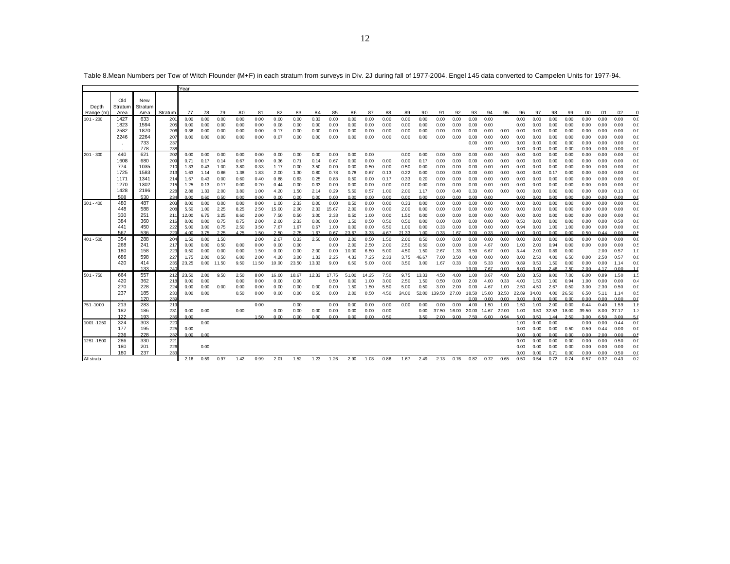|             |              |             |              | Year         |              |               |              |              |              |              |              |              |               |              |              |              |               |                    |              |              |              |              |              |              |              |              |              |              |              |                        |
|-------------|--------------|-------------|--------------|--------------|--------------|---------------|--------------|--------------|--------------|--------------|--------------|--------------|---------------|--------------|--------------|--------------|---------------|--------------------|--------------|--------------|--------------|--------------|--------------|--------------|--------------|--------------|--------------|--------------|--------------|------------------------|
|             |              |             |              |              |              |               |              |              |              |              |              |              |               |              |              |              |               |                    |              |              |              |              |              |              |              |              |              |              |              |                        |
|             | Old          | New         |              |              |              |               |              |              |              |              |              |              |               |              |              |              |               |                    |              |              |              |              |              |              |              |              |              |              |              |                        |
| Depth       | Stratum      | Stratum     |              |              |              |               |              |              |              |              |              |              |               |              |              |              |               |                    |              |              |              |              |              |              |              |              |              |              |              |                        |
| Range (n    | Area         | Area<br>633 | Stratum      | 77           | 78           | 79            | 80           | 81<br>0.00   | 82           | 83           | 84           | 85           | 86            | 87           | 88           | 89           | 90            | 91                 | 92           | 93           | 94           | 95           | 96           | 97           | 98           | 99           | 00           | 01           | 02           |                        |
| $101 - 200$ | 1427<br>1823 | 1594        | $20^{\circ}$ | 0.00         | 0.00         | 0.00          | 0.00         |              | 0.00         | 0.00         | 0.33         | 0.00         | 0.00          | 0.00         | 0.00         | 0.00         | 0.00          | 0.00               | 0.00         | 0.00         | 0.00         |              | 0.00         | 0.00         | 0.00         | 0.00         | 0.00         | 0.00         | 0.00         | 0.0<br>0. <sub>C</sub> |
|             | 2582         | 1870        | 205<br>206   | 0.00<br>0.36 | 0.00<br>0.00 | 0.00<br>0.00  | 0.00<br>0.00 | 0.00<br>0.00 | 0.08<br>0.17 | 0.00<br>0.00 | 0.00<br>0.00 | 0.00<br>0.00 | 0.00<br>0.00  | 0.00<br>0.00 | 0.00<br>0.00 | 0.00<br>0.00 | 0.00<br>0.00  | 0.00<br>0.00       | 0.00<br>0.00 | 0.00<br>0.00 | 0.00<br>0.00 | 0.00         | 0.00<br>0.00 | 0.00<br>0.00 | 0.00<br>0.00 | 0.00<br>0.00 | 0.00<br>0.00 | 0.00<br>0.00 | 0.00<br>0.00 | 0. <sub>C</sub>        |
|             | 2246         | 2264        | 207          | 0.00         | 0.00         | 0.00          | 0.00         | 0.00         | 0.07         | 0.00         | 0.00         | 0.00         | 0.00          | 0.00         | 0.00         | 0.00         | 0.00          | 0.00               | 0.00         | 0.00         | 0.00         | 0.00         | 0.00         | 0.00         | 0.00         | 0.00         | 0.00         | 0.00         | 0.00         | 0. <sub>C</sub>        |
|             |              | 733         | 237          |              |              |               |              |              |              |              |              |              |               |              |              |              |               |                    |              | 0.00         | 0.00         | 0.00         | 0.00         | 0.00         | 0.00         | 0.00         | 0.00         | 0.00         | 0.00         | 0. <sub>C</sub>        |
|             |              | 778         | 238          |              |              |               |              |              |              |              |              |              |               |              |              |              |               |                    |              |              | 0.00         |              | 0.00         | 0.00         | 0.00         | 0.00         | 0.00         | 0.00         | 0.00         | 0.0                    |
| $201 - 300$ | 440          | 621         | 202          | 0.00         | 0.00         | 0.00          | 0.00         | 0.00         | 0.00         | 0.00         | 0.00         | 0.00         | 0.00          | 0.00         |              | 0.00         | 0.00          | 0.00               | 0.00         | 0.00         | 0.00         | 0.00         | 0.00         | 0.00         | 0.00         | 0.00         | 0.00         | 0.00         | 0.00         | 0. <sub>C</sub>        |
|             | 1608         | 680         | 209          | 0.71         | 0.17         | 0.14          | 0.67         | 0.00         | 0.36         | 0.71         | 0.14         | 0.67         | 0.00          | 0.00         | 0.00         | 0.00         | 0.17          | 0.00               | 0.00         | 0.00         | 0.00         | 0.00         | 0.00         | 0.00         | 0.00         | 0.00         | 0.00         | 0.00         | 0.00         | 0. <sub>C</sub>        |
|             | 774          | 1035        | 210          | 1.33         | 0.43         | 1.00          | 3.80         | 0.33         | 1.17         | 0.00         | 3.50         | 0.00         | 0.00          | 0.50         | 0.00         | 0.50         | 0.00          | 0.00               | 0.00         | 0.00         | 0.00         | 0.00         | 0.00         | 0.00         | 0.00         | 0.00         | 0.00         | 0.00         | 0.00         | 0.0                    |
|             | 1725         | 1583        | 213          | 1.63         | 1.14         | 0.86          | 1.38         | 1.83         | 2.00         | 1.30         | 0.80         | 0.78         | 0.78          | 0.67         | 0.13         | 0.22         | 0.00          | 0.00               | 0.00         | 0.00         | 0.00         | 0.00         | 0.00         | 0.00         | 0.17         | 0.00         | 0.00         | 0.00         | 0.00         | 0. <sub>C</sub>        |
|             | 1171         | 1341        | 214          | 1.67         | 0.43         | 0.00          | 0.60         | 0.40         | 0.88         | 0.63         | 0.25         | 0.83         | 0.50          | 0.00         | 0.17         | 0.33         | 0.20          | 0.00               | 0.00         | 0.00         | 0.00         | 0.00         | 0.00         | 0.00         | 0.00         | 0.00         | 0.00         | 0.00         | 0.00         | 0. <sub>C</sub>        |
|             | 1270         | 1302        | 215          | 1.25         | 0.13         | 0.17          | 0.00         | 0.20         | 0.44         | 0.00         | 0.33         | 0.00         | 0.00          | 0.00         | 0.00         | 0.00         | 0.00          | 0.00               | 0.00         | 0.00         | 0.00         | 0.00         | 0.00         | 0.00         | 0.00         | 0.00         | 0.00         | 0.00         | 0.00         | 0. <sub>C</sub>        |
|             | 1428         | 2196        | 228          | 2.88         | 1.33         | 2.00          | 3.80         | 1.00         | 4.20         | 1.50         | 2.14         | 0.29         | 5.50          | 0.57         | 1.00         | 2.00         | 1.17          | 0.00               | 0.40         | 0.33         | 0.00         | 0.00         | 0.00         | 0.00         | 0.00         | 0.00         | 0.00         | 0.00         | 0.13         | 0.0                    |
|             | 508          | 530         | 234          | 0.00         | 0.60         | 0.50          | 0.00         | 0.00         | 0.00         | 0.00         | 0.00         | 0.00         | 0.00          | 0.00         | 0.00         | 0.00         | 0.00          | 0.00               | 0.00         | 0.00         | 0.00         |              | 0.00         | 0.00         | 0.00         | 0.00         | 0.00         | 0.00         | 0.00         | 0.0                    |
| $301 - 400$ | 480          | 487         | 203          | 0.00         | 0.00         | 0.00          | 0.00         | 0.00         | 1.00         | 2.33         | 0.00         | 0.00         | 0.50          | 0.00         | 0.00         | 0.33         | 0.00          | 0.00               | 0.00         | 0.00         | 0.00         | 0.00         | 0.00         | 0.00         | 0.00         | 0.00         | 0.00         | 0.00         | 0.00         | 0.0                    |
|             | 448          | 588         | 208          | 5.50         | 1.00         | 2.25          | 8.25         | 2.50         | 15.00        | 2.00         | 2.33         | 15.67        | 2.00          | 0.00         | 0.00         | 2.00         | 0.00          | 0.00               | 0.00         | 0.00         | 0.00         | 0.00         | 0.00         | 0.00         | 0.00         | 0.00         | 0.00         | 0.00         | 0.00         | 0. <sub>C</sub>        |
|             | 330          | 251         | 21           | 12.00        | 6.75         | 3.25          | 8.60         | 2.00         | 7.50         | 0.50         | 3.00         | 2.33         | 0.50          | 1.00         | 0.00         | 1.50         | 0.00          | 0.00               | 0.00         | 0.00         | 0.00         | 0.00         | 0.00         | 0.00         | 0.00         | 0.00         | 0.00         | 0.00         | 0.00         | 0. <sub>C</sub>        |
|             | 384          | 360         | 216          | 0.00         | 0.00         | 0.75          | 0.75         | 2.00         | 2.00         | 2.33         | 0.00         | 0.00         | 1.50          | 0.50         | 0.50         | 0.50         | 0.00          | 0.00               | 0.00         | 0.00         | 0.00         | 0.00         | 0.50         | 0.00         | 0.00         | 0.00         | 0.00         | 0.00         | 0.50         | 0.0                    |
|             | 441          | 450         | 222          | 5.00         | 3.00         | 0.75          | 2.50         | 3.50         | 7.67         | 1.67         | 0.67         | 1.00         | 0.00          | 0.00         | 6.50         | 1.00         | 0.00          | 0.33               | 0.00         | 0.00         | 0.00         | 0.00         | 0.94         | 0.00         | 1.00         | 1.00         | 0.00         | 0.00         | 0.00         | 0.0                    |
|             | 567          | 536         | 229          | 4.00         | 3.75         | 2.25          | 4.25         | 1.50         | 2.50         | 2.75         | 1.67         | 0.67         | 23.67         | 3.33         | 4.67         | 21.33        | 1.00          | 0.33               | 1.67         | 3.00         | 0.33         | 0.00         | 0.00         | 0.00         | 0.00         | 0.00         | 0.50         | 0.44         | 0.00         | 0.5                    |
| $401 - 500$ | 354          | 288         | 204          | 1.50         | 0.00         | 1.50          |              | 2.00         | 2.67         | 0.33         | 2.50         | 0.00         | 2.00          | 0.50         | 1.50         | 2.00         | 0.50          | 0.00               | 0.00         | 0.00         | 0.00         | 0.00         | 0.00         | 0.00         | 0.00         | 0.00         | 0.00         | 0.00         | 0.00         | 0. <sub>C</sub>        |
|             | 268          | 241         | 217          | 0.00         | 0.00         | 0.50          | 0.00         | 0.00         | 0.00         | 0.00         |              | 0.00         | 2.00          | 2.50         | 2.00         | 2.50         | 0.50          | 0.00               | 0.00         | 0.00         | 4.67         | 0.00         | 1.00         | 2.00         | 0.94         | 0.00         | 0.00         | 0.00         | 0.00         | 0.5                    |
|             | 180<br>686   | 158         | 223          | 0.50<br>1.75 | 0.00<br>2.00 | 0.00          | 0.00<br>6.00 | 1.50<br>2.00 | 0.00         | 0.00<br>3.00 | 2.00<br>1.33 | 0.00<br>2.25 | 10.00<br>4.33 | 6.50<br>7.25 | 5.00         | 4.50<br>3.75 | 1.50<br>46.67 | 2.67<br>7.00       | 1.33<br>3.50 | 3.50<br>4.00 | 6.67<br>0.00 | 0.00<br>0.00 | 3.44<br>0.00 | 2.00<br>2.50 | 0.89<br>4.00 | 0.00<br>6.50 | 0.00         | 2.00<br>2.50 | 0.57<br>0.57 | 1.0                    |
|             | 420          | 598<br>414  | 227<br>235   | 23.25        | 0.00         | 0.50<br>11.50 | 9.50         |              | 4.20         |              |              |              |               | 5.00         | 2.33<br>0.00 |              |               | 1.67               | 0.33         | 0.00         | 5.33         | 0.00         |              |              | 1.50         | 0.00         | 0.00         | 0.00         | 1.14         | 0. <sub>C</sub><br>0.0 |
|             |              | 133         | 240          |              |              |               |              | 11.50        | 10.00        | 23.50        | 13.33        | 9.00         | 6.50          |              |              | 3.50         | 3.00          |                    |              | 19.00        | 7.67         | 0.00         | 0.89<br>8.00 | 0.50<br>3.00 | 2.46         | 7.50         | 2.00         | 4.17         | 0.00         | 1.0                    |
| $501 - 750$ | 664          | 557         | 212          | 23.50        | 2.00         | 9.50          | 2.50         | 8.00         | 16.00        | 18.67        | 12.33        | 17.75        | 51.00         | 14.25        | 7.50         | 9.75         | 13.33         | 4.50               | 4.00         | 1.00         | 3.67         | 4.00         | 2.83         | 3.50         | 9.00         | 7.00         | 6.00         | 0.89         | 1.50         | 1.5                    |
|             | 420          | 362         | 218          | 0.00         | 0.00         |               | 0.00         | 0.00         | 0.00         | 0.00         |              | 0.50         | 0.00          | 1.00         | 3.00         | 2.50         | 1.50          | 0.50               | 0.00         | 2.00         | 4.00         | 0.33         | 4.00         | 1.50         | 1.00         | 0.94         | 1.00         | 0.00         | 0.00         | 0.4                    |
|             | 270          | 228         | 224          | 0.00         | 0.00         | 0.00          | 0.00         | 0.00         | 0.00         | 0.00         | 0.00         | 0.00         | 1.50          | 1.50         | 5.50         | 5.00         | 0.50          | 3.00               | 2.00         | 0.00         | 4.67         | 1.00         | 2.50         | 4.50         | 2.67         | 0.50         | 3.00         | 2.30         | 0.50         | 0. <sub>C</sub>        |
|             | 237          | 185         | 230          | 0.00         | 0.00         |               | 0.50         | 0.00         | 0.00         | 0.00         | 0.50         | 0.00         | 2.00          | 0.50         | 4.50         | 24.00        |               | 52.00 139.50 27.00 |              | 18.50        | 15.00        | 32.50        | 22.89        | 34.00        | 4.00         | 26.50        | 6.50         | 5.11         | 1.14         | 8.5                    |
|             |              | 120         | 239          |              |              |               |              |              |              |              |              |              |               |              |              |              |               |                    |              | n nn         | 0.00         | 0.00         | 0.00         | 0.00         | 0.00         | 0.00         | 0.00         | 0.00         | 0.00         | 0.0                    |
| 751-1000    | 213          | 283         | 219          |              |              |               |              | 0.00         |              | 0.00         |              | 0.00         | 0.00          | 0.00         | 0.00         | 0.00         | 0.00          | 0.00               | 0.00         | 4.00         | 1.50         | 1.00         | 1.50         | 1.00         | 2.00         | 0.00         | 0.44         | 0.40         | 1.59         | 1.8                    |
|             | 182          | 186         | 231          | 0.00         | 0.00         |               | 0.00         |              | 0.00         | 0.00         | 0.00         | 0.00         | 0.00          | 0.00         | 0.00         |              | 0.00          | 37.50              | 16.00        | 20.00        | 14.67        | 22.00        | 1.00         | 3.50         | 32.53        | 18.00        | 39.50        | 8.00         | 37.17        | 1.7                    |
|             | 122          | 193         | 236          | 0.00         |              |               |              | 1.50         | 0.00         | 0.00         | 0.00         | 0.00         | 0.00          | 0.00         | 0.50         |              | 3.50          | 2 M                | 9.00         | 7.50         | 6.00         | 0.94         | 5.00         | 0.50         | 1.44         | 2.50         | 3.00         | 6.50         | 3.00         | 5.1                    |
| 1001 - 1250 | 324          | 303         | 220          |              | 0.00         |               |              |              |              |              |              |              |               |              |              |              |               |                    |              |              |              |              | 1.00         | 0.00         | 0.00         |              | 0.00         | 0.00         | 0.44         | 0.0                    |
|             | 177          | 195         | 225          | 0.00         |              |               |              |              |              |              |              |              |               |              |              |              |               |                    |              |              |              |              | 0.00         | 0.00         | 0.00         | 0.50         | 0.50         | 0.44         | 0.00         | 0.0                    |
|             | 236          | 228         | 232          | 0.00         | 0.00         |               |              |              |              |              |              |              |               |              |              |              |               |                    |              |              |              |              | n nn         | 0.00         | n nn         | 0.00         | 0.00         | 2.00         | 0.00         | 0 <sup>5</sup>         |
| 1251 -1500  | 286          | 330         | 221          |              |              |               |              |              |              |              |              |              |               |              |              |              |               |                    |              |              |              |              | 0.00         | 0.00         | 0.00         | 0.00         | 0.00         | 0.00         | 0.50         | 0. <sub>C</sub>        |
|             | 180          | 201         | 226          |              | 0.00         |               |              |              |              |              |              |              |               |              |              |              |               |                    |              |              |              |              | 0.00         | 0.00         | 0.00         | 0.00         | 0.00         | 0.00         | 0.00         | 0. <sub>C</sub>        |
|             | 180          | 237         | 233          |              |              |               |              |              |              |              |              |              |               |              |              |              |               |                    |              |              |              |              | 0.00         | 0.00         | 0.71         | 0.00         | 0.00         | 0.00         | 0.50         | 0.(                    |
| All strata  |              |             |              | 2.16         | 0.59         | 0.97          | 1.42         | 0.99         | 2.01         | 1.52         | 1.23         | 1.26         | 2.90          | 1.03         | 0.86         | 1.67         | 2.49          | 2.13               | 0.76         | 0.82         | 0.72         | 0.65         | 0.50         | 0.54         | 0.72         | 0.74         | 0.57         | 0.32         | 0.43         | $0$ .                  |

Table 8.Mean Numbers per Tow of Witch Flounder (M+F) in each stratum from surveys in Div. 2J during fall of 1977-2004. Engel 145 data converted to Campelen Units for 1977-94.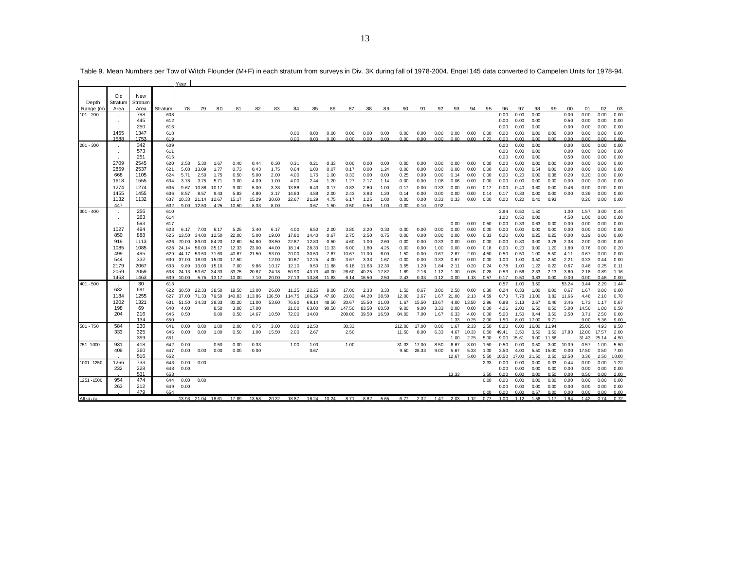|             |              |              |            | Year          |                                 |            |                |               |                |                |               |               |              |               |               |              |              |              |              |              |              |              |              |               |              |              |              |              |              |
|-------------|--------------|--------------|------------|---------------|---------------------------------|------------|----------------|---------------|----------------|----------------|---------------|---------------|--------------|---------------|---------------|--------------|--------------|--------------|--------------|--------------|--------------|--------------|--------------|---------------|--------------|--------------|--------------|--------------|--------------|
|             |              |              |            |               |                                 |            |                |               |                |                |               |               |              |               |               |              |              |              |              |              |              |              |              |               |              |              |              |              |              |
|             | Old          | New          |            |               |                                 |            |                |               |                |                |               |               |              |               |               |              |              |              |              |              |              |              |              |               |              |              |              |              |              |
| Depth       | Stratum      | Stratum      |            |               |                                 |            |                |               |                |                |               |               |              |               |               |              |              |              |              |              |              |              |              |               |              |              |              |              |              |
| Range (m    | Area         | Area         | Stratum    | 78            | - 79                            | 80         | 81             | 82            | 83             | 84             | 85            | 86            | 87           | 88            | 89            | 90           | 91           | 92           | 93           | 94           | 95           | 96           | 97           | 98            | 99           | 00           | 01           | 02           | 03           |
| $101 - 200$ |              | 798          | 608        |               |                                 |            |                |               |                |                |               |               |              |               |               |              |              |              |              |              |              | 0.00         | 0.00         | 0.00          |              | 0.00         | 0.00         | 0.00         | 0.00         |
|             |              | 445          | 612        |               |                                 |            |                |               |                |                |               |               |              |               |               |              |              |              |              |              |              | 0.00         | 0.00         | 0.00          |              | 0.50         | 0.00         | 0.00         | 0.00         |
|             | 1455         | 250          | 616        |               |                                 |            |                |               |                |                |               |               |              |               |               |              |              |              |              |              |              | 0.00         | 0.00         | 0.00          |              | 0.00         | 0.00         | 0.00         | 0.00         |
|             | 1588         | 1347<br>1753 | 618<br>619 |               |                                 |            |                |               |                | 0.00<br>0.00   | 0.00<br>0.00  | 0.00<br>0.00  | 0.00<br>0.00 | 0.00<br>0.00  | 0.00<br>0.00  | 0.00<br>0.00 | 0.00<br>0.00 | 0.00<br>0.00 | 0.00<br>0.00 | 0.00<br>0.00 | 0.00<br>0.22 | 0.00<br>0.00 | 0.00<br>0.00 | 0.00<br>0.00  | 0.00<br>0.00 | 0.00<br>0.00 | 0.00<br>0.00 | 0.00<br>0.00 | 0.00<br>0.00 |
| $201 - 300$ |              | 342          | 609        |               |                                 |            |                |               |                |                |               |               |              |               |               |              |              |              |              |              |              | 0.00         | 0.00         | 0.00          |              | 0.00         | 0.00         | 0.00         | 0.00         |
|             |              | 573          | 611        |               |                                 |            |                |               |                |                |               |               |              |               |               |              |              |              |              |              |              | 0.00         | 0.00         | 0.00          |              | 0.00         | 0.00         | 0.00         | 0.00         |
|             |              | 251          | 615        |               |                                 |            |                |               |                |                |               |               |              |               |               |              |              |              |              |              |              | 0.00         | 0.00         | 0.00          |              | 0.50         | 0.00         | 0.00         | 0.00         |
|             | 2709         | 2545         | 620        | 2.58          | 5.30                            | 1.67       | 0.40           | 0.44          | 0.30           | 0.31           | 0.21          | 0.33          | 0.00         | 0.00          | 0.00          | 0.00         | 0.00         | 0.00         | 0.00         | 0.00         | 0.00         | 0.00         | 0.00         | 0.00          | 0.00         | 0.00         | 0.00         | 0.00         | 0.00         |
|             | 2859         | 2537         | 621        | 5.08          | 13.09                           | 1.77       | 0.73           | 0.43          | 1.75           | 0.64           | 1.00          | 0.07          | 0.17         | 0.00          | 1.24          | 0.00         | 0.00         | 0.00         | 0.00         | 0.00         | 0.00         | 0.00         | 0.00         | 0.54          | 0.00         | 0.00         | 0.00         | 0.00         | 0.00         |
|             | 668          | 1105         | 624        | 5.71          | 2.50                            | 1.75       | 6.50           | 5.00          | 2.00           | 4.00           | 1.75          | 1.00          | 0.33         | 0.00          | 0.00          | 0.25         | 0.00         | 0.00         | 0.14         | 0.00         | 0.00         | 0.00         | 0.20         | 0.00          | 0.38         | 0.20         | 0.20         | 0.00         | 0.00         |
|             | 1618         | 1555         | 634        | 3.78          | 3.75                            | 5.71       | 3.00           | 4.09          | 1.00           | 4.00           | 2.44          | 1.20          | 1.27         | 2.17          | 1.14          | 0.00         | 0.00         | 1.08         | 0.06         | 0.00         | 0.00         | 0.00         | 0.00         | 0.00          | 0.00         | 0.00         | 0.00         | 0.00         | 0.00         |
|             | 1274         | 1274         | 635        |               | 9.67 10.88                      | 10.17      | 9.00           | 5.00          | 3.33           | 13.88          | 6.43          | 0.17          | 0.83         | 2.60          | 1.00          | 0.17         | 0.00         | 0.33         | 0.00         | 0.00         | 0.17         | 0.00         | 0.40         | 0.60          | 0.00         | 0.46         | 0.00         | 0.00         | 0.00         |
|             | 1455<br>1132 | 1455<br>1132 | 636        | 8.57          | 8.57                            | 9.43       | 5.83           | 4.80          | 3.17           | 14.63          | 4.88          | 2.00          | 2.43         | 3.83          | 1.20          | 0.14         | 0.00         | 0.00         | 0.00         | 0.00         | 0.14         | 0.17         | 0.33         | 0.00          | 0.00         | 0.00         | 0.36         | 0.00         | 0.00         |
|             | 447          |              | 637<br>632 |               | 10.33 21.14 12.67<br>9.00 12.50 | 4.25       | 15.17<br>10.50 | 15.29<br>8.33 | 30.60<br>8.00  | 22.67          | 21.29<br>3.67 | 4.75<br>1.50  | 6.17<br>0.50 | 1.25<br>0.50  | 1.00<br>1.00  | 0.00<br>0.00 | 0.00<br>0.10 | 0.33<br>0.92 | 0.33         | 0.00         | 0.00         | 0.00         | 0.20         | 0.40          | 0.93         |              | 0.20         | 0.00         | 0.00         |
| $301 - 400$ |              | 256          | 610        |               |                                 |            |                |               |                |                |               |               |              |               |               |              |              |              |              |              |              | 2.94         | 0.50         | 1.50          |              | 1.00         | 1.57         | 3.00         | 0.44         |
|             |              | 263          | 614        |               |                                 |            |                |               |                |                |               |               |              |               |               |              |              |              |              |              |              | 1.00         | 0.50         | 0.00          |              | 4.50         | 1.00         | 0.00         | 0.00         |
|             |              | 593          | 617        |               |                                 |            |                |               |                |                |               |               |              |               |               |              |              |              | 0.00         | 0.00         | 0.50         | 0.00         | 0.33         | 0.63          | 0.00         | 0.00         | 0.00         | 0.00         | 0.00         |
|             | 1027         | 494          | 623        |               | 6.17 7.00                       | 6.17       | 5.25           | 3.40          | 6.17           | 4.00           | 6.50          | 2.00          | 3.80         | 2.20          | 0.33          | 0.00         | 0.00         | 0.00         | 0.00         | 0.00         | 0.00         | 0.00         | 0.00         | 0.00          | 0.00         | 0.00         | 0.00         | 0.00         | 0.00         |
|             | 850          | 888          | 625        | 13.50         | 34.00                           | 12.50      | 22.00          | 5.00          | 19.00          | 17.80          | 14.40         | 0.67          | 2.75         | 2.50          | 0.75          | 0.00         | 0.00         | 0.00         | 0.00         | 0.00         | 0.33         | 0.20         | 0.00         | 0.25          | 0.25         | 0.00         | 0.29         | 0.00         | 0.00         |
|             | 919          | 1113         | 626        | 70.00         | 89.00                           | 84.20      | 12.60          | 54.80         | 38.50          | 22.67          | 12.80         | 0.50          | 4.60         | 1.00          | 2.60          | 0.00         | 0.00         | 0.33         | 0.00         | 0.00         | 0.00         | 0.00         | 0.80         | 0.00          | 3.76         | 2.38         | 2.00         | 0.00         | 0.00         |
|             | 1085         | 1085         | 628        | 24.14         | 56.00                           | 35.17      | 12.33          | 23.00         | 44.00          | 18.14          | 28.33         | 11.33         | 6.00         | 1.80          | 4.25          | 0.00         | 0.00         | 1.00         | 0.00         | 0.00         | 0.18         | 0.00         | 0.20         | 0.00          | 1.20         | 1.80         | 0.76         | 0.00         | 0.20         |
|             | 499<br>544   | 495          | 629        |               | 44.17 53.50 71.60               |            | 40.67          | 21.50         | 53.00          | 20.00          | 30.50         | 7.67          | 10.67        | 11.00         | 6.00          | 1.50         | 0.00         | 0.67         | 2.67         | 2.00         | 4.50         | 0.50         | 0.50         | 1.00          | 5.50         | 4.11         | 0.67         | 0.00         | 0.00         |
|             | 2179         | 332<br>2067  | 630<br>633 | 37.00<br>9.89 | 18.00 15.00<br>13.00            | 15.10      | 17.50<br>7.00  | 9.86          | 12.00<br>10.17 | 10.67<br>12.10 | 12.25<br>9.50 | 4.00<br>11.88 | 3.67<br>6.18 | 3.33<br>11.63 | 1.67<br>12.30 | 0.00<br>3.55 | 0.00<br>1.20 | 0.33<br>1.84 | 0.67<br>2.11 | 0.00<br>0.20 | 0.00<br>0.24 | 1.00<br>0.78 | 1.00<br>1.00 | 0.50<br>1.22  | 2.50<br>0.22 | 2.21<br>0.67 | 0.33<br>0.48 | 0.44<br>0.25 | 0.00<br>0.11 |
|             | 2059         | 2059         | 638        |               | 24.13 53.67 34.33               |            | 33.75          | 20.87         | 24.18          | 50.90          | 43.73         | 40.00         | 26.60        | 40.25         | 17.82         | 1.89         | 2.16         | 1.12         | 1.30         | 0.05         | 0.28         | 0.53         | 0.56         | 2.33          | 2.13         | 3.60         | 2.18         | 0.89         | 1.16         |
|             | 1463         | 1463         | 639        | 10.00         |                                 | 5.75 13.17 | 10.00          | 7.10          | 20.00          | 27.13          | 13.88         | 11.83         |              | 6.14 16.50    | 2.50          | 2.43         | 0.33         | 0.12         | 0.00         | 1.13         | 0.57         | 0.17         | 0.50         | 0.83          | 0.00         | 0.00         | 0.00         | 0.46         | 0.00         |
| $401 - 500$ |              | 30           | 613        |               |                                 |            |                |               |                |                |               |               |              |               |               |              |              |              |              |              |              | 0.57         | 1.00         | 3.50          |              | 53.24        | 3.44         | 2.29         | 1.44         |
|             | 632          | 691          | 622        |               | 30.50 22.33 38.50               |            | 18.50          | 13.00         | 26.00          | 11.25          | 22.25         | 8.00          | 17.00        | 2.33          | 3.33          | 1.50         | 0.67         | 3.00         | 2.50         | 0.00         | 0.30         | 0.24         | 0.33         | 1.00          | 0.00         | 0.67         | 1.67         | 0.00         | 0.00         |
|             | 1184         | 1255         | 627        |               | 37.00 71.33                     | 79.50      | 140.83         | 113.86        | 136.50         | 114.75         | 106.29        | 47.60         | 23.83        | 44.20         | 38.50         | 12.00        | 2.67         | 1.67         | 21.00        | 2.13         | 4.59         | 0.73         | 7.78         | 13.00         | 3.82         | 11.66        | 4.48         | 2.10         | 0.78         |
|             | 1202         | 1321         | 631        |               | 51.50 34.33 38.33               |            | 80.20          | 11.00         | 53.60          | 76.60          | 69.14         | 48.50         | 20.67        | 15.50         | 11.00         | 1.67         | 15.50        | 13.67        | 4.00         | 13.50        | 2.96         | 0.98         | 3.13         | 2.67          | 0.46         | 3.46         | 1.73         | 1.17         | 0.67         |
|             | 198          | 69           | 640        | 4.00          |                                 | 8.50       | 3.00           | 17.00         |                | 21.00          | 63.00         | 90.50         | 147.50       | 83.50         | 60.50         | 9.00         | 9.00         | 3.33         | 0.00         | 0.00         | 0.00         | 4.06         | 2.00         | 6.50          | 0.50         | 5.00         | 14.50        | 1.00         | 0.50         |
|             | 204          | 216<br>134   | 645        | 0.50          |                                 | 0.00       | 0.50           | 14.67         | 10.50          | 72.00          | 14.00         |               | 208.00       | 39.50         | 16.50         | 84.00        | 7.00         | 1.67         | 6.33<br>1.33 | 4.00<br>0.25 | 0.00<br>2.00 | 5.00         | 1.50<br>8.00 | 0.44<br>17.00 | 3.50<br>9.71 | 2.50         | 3.71<br>9.00 | 2.50<br>5.36 | 0.00         |
| $501 - 750$ | 584          | 230          | 650<br>641 | 0.00          | 0.00                            | 1.00       | 2.00           | 0.75          | 3.00           | 0.00           | 12.50         |               | 30.33        |               |               | 212.00       | 17.00        | 0.00         | 1.67         | 2.33         | 2.50         | 1.50<br>8.00 | 6.00         | 16.00         | 11.94        |              | 25.00        | 4.93         | 9.00<br>9.50 |
|             | 333          | 325          | 646        | 0.00          | 0.00                            | 1.00       | 0.50           | 1.00          | 15.50          | 2.00           | 2.67          |               | 2.50         |               |               | 11.50        | 8.00         | 6.33         | 4.67         | 10.33        | 0.50         | 49.41        | 3.50         | 3.50          | 3.50         | 17.83        | 12.00        | 17.57        | 2.00         |
|             |              | 359          | 651        |               |                                 |            |                |               |                |                |               |               |              |               |               |              |              |              | 1.00         | 2.25         | 5.00         | 9.00         | 15.61        | 9.00          | 11.56        |              | 31.43        | 25.14        | 4.50         |
| 751-1000    | 931          | 418          | 642        | 0.00          |                                 | 0.50       | 0.00           | 0.33          |                | 1.00           | 1.00          |               | 1.00         |               |               | 31.33        | 17.00        | 8.50         | 6.67         | 3.00         | 1.50         | 0.50         | 0.00         | 0.50          | 3.00         | 10.39        | 0.57         | 1.00         | 5.50         |
|             | 409          | 360          | 647        | 0.00          | 0.00                            | 0.00       | 0.00           | 0.00          |                |                | 0.67          |               |              |               |               | 9.50         | 28.33        | 9.00         | 5.67         | 5.33         | 1.00         | 3.50         | 4.00         | 5.50          | 15.00        | 0.00         | 17.50        | 0.50         | 7.00         |
|             |              | 516          | 652        |               |                                 |            |                |               |                |                |               |               |              |               |               |              |              |              | 12.67        | 5.00         | 5.50         | 10.50        | 17.00        | 21.50         | 2.50         | 12.50        | 3.36         | 2.50         | 18.00        |
| 1001 - 1250 | 1266         | 733          | 643        | 0.00          | 0.00                            |            |                |               |                |                |               |               |              |               |               |              |              |              |              |              | 2.33         | 0.00         | 0.00         | 0.00          | 0.33         | 0.44         | 0.00         | 0.00         | 1.22         |
|             | 232          | 228          | 648        | 0.00          |                                 |            |                |               |                |                |               |               |              |               |               |              |              |              |              |              |              | 0.00         | 0.00         | 0.00          | 0.00         | 0.00         | 0.00         | 0.00         | 0.00         |
|             |              | 531          | 65         |               |                                 |            |                |               |                |                |               |               |              |               |               |              |              |              | 13.33        |              | 3.50         | 0.00         | 0.00         | 0.00          | 0.50         | 0.00         | 0.50         | 0.00         | 2.00         |
| 1251 - 1500 | 954<br>263   | 474<br>212   | 644<br>649 | 0.00<br>0.00  | 0.00                            |            |                |               |                |                |               |               |              |               |               |              |              |              |              |              | 0.00         | 0.00<br>0.00 | 0.00<br>0.00 | 0.00<br>0.00  | 0.00<br>0.00 | 0.00<br>0.00 | 0.00<br>0.00 | 0.00<br>0.00 | 0.00<br>0.00 |
|             |              | 479          | 654        |               |                                 |            |                |               |                |                |               |               |              |               |               |              |              |              |              |              | 0.00         | 0.00         | 0.00         | 0.57          | 0.00         | 0.00         | 0.00         | 0.00         | 0.00         |
| All strata  |              |              |            |               | 13.93 21.04 18.61               |            | 17.89          | 13.58         | 20.32          | 18.87          | 16.24         | 10.24         | 8.71         | 8.82          | 5.65          | 6.77         | 2.32         | 1.47         | 2.03         | 1.12         | 0.77         | 1.00         | 1.12         | 1.56          | 1.17         | 1.64         | 1.42         | 0.74         | 0.72         |
|             |              |              |            |               |                                 |            |                |               |                |                |               |               |              |               |               |              |              |              |              |              |              |              |              |               |              |              |              |              |              |

Table 9. Mean Numbers per Tow of Witch Flounder (M+F) in each stratum from surveys in Div. 3K during fall of 1978-2004. Engel 145 data converted to Campelen Units for 1978-94.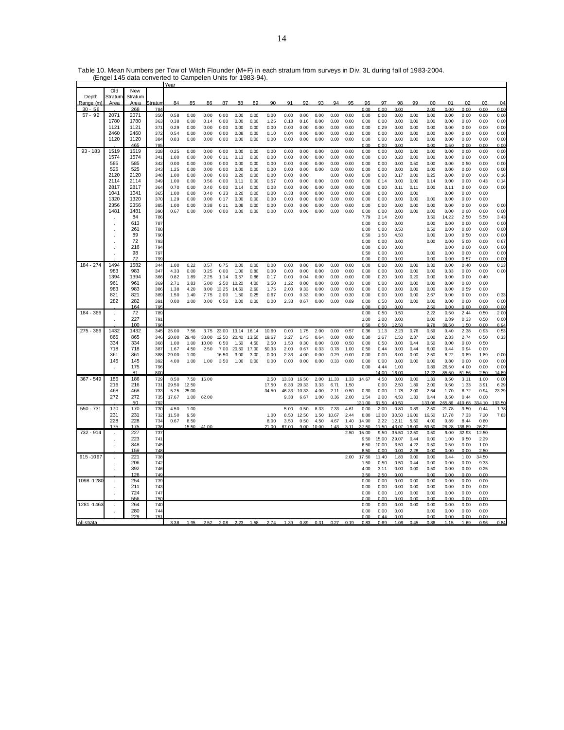|             |                      | Year           |                |       |       |       |       |       |       |       |                |       |       |       |      |        |       |       |       |        |            |                |              |       |
|-------------|----------------------|----------------|----------------|-------|-------|-------|-------|-------|-------|-------|----------------|-------|-------|-------|------|--------|-------|-------|-------|--------|------------|----------------|--------------|-------|
|             | <b>DIG</b>           | New            |                |       |       |       |       |       |       |       |                |       |       |       |      |        |       |       |       |        |            |                |              |       |
| Depth       | Stratun              | Stratum        |                |       |       |       |       |       |       |       |                |       |       |       |      |        |       |       |       |        |            |                |              |       |
| Range (m    | Area                 | Area           | Stratur        | 84    | 85    | 86    | 87    | 88    | 89    | 90    | Q <sub>1</sub> | Q?    | 93    | 94    | QF   | 96     | 07    | 98    | 99    | 00     | $^{\circ}$ | n <sub>2</sub> | 0.3          | 04    |
| $30 - 56$   |                      | 268            | 78             |       |       |       |       |       |       |       |                |       |       |       |      | n nn   | 0.00  | 0.00  |       | 200    | 0.00       | 0.00           | 0.00         | 0.00  |
| $57 - 92$   | 2071                 | 2071           | 350            | 0.58  | 0.00  | 0.00  | 0.00  | 0.00  | 0.00  | 0.00  | 0.00           | 0.00  | 0.00  | 0.00  | 0.00 | 0.00   | 0.00  | 0.00  | 0.00  | 0.00   | 0.00       | 0.00           | 0.00         | 0.00  |
|             |                      |                |                |       |       |       |       |       |       |       |                |       |       |       |      |        |       |       |       |        |            |                |              |       |
|             | 1780                 | 1780           | 363            | 0.38  | 0.00  | 0.14  | 0.00  | 0.00  | 0.00  | 1.25  | 0.18           | 0.16  | 0.00  | 0.00  | 0.00 | 0.00   | 0.00  | 0.00  | 0.00  | 0.00   | 0.00       | 0.00           | 0.00         | 0.00  |
|             | 1121                 | 1121           | 37'            | 0.29  | 0.00  | 0.00  | 0.00  | 0.00  | 0.00  | 0.00  | 0.00           | 0.00  | 0.00  | 0.00  | 0.00 | 0.00   | 0.29  | 0.00  | 0.00  | 0.00   | 0.00       | 0.00           | 0.00         | 0.00  |
|             | 2460                 | 2460           | 372            | 0.54  | 0.00  | 0.00  | 0.00  | 0.08  | 0.00  | 0.10  | 0.04           | 0.00  | 0.00  | 0.00  | 0.10 | 0.00   | 0.00  | 0.00  | 0.00  | 0.00   | 0.00       | 0.00           | 0.00         | 0.00  |
|             | 1120                 | 1120           | 384            | 0.83  | 0.00  | 0.00  | 0.00  | 0.00  | 0.00  | 0.00  | 0.00           | 0.00  | 0.00  | 0.00  | 0.00 | 0.00   | 0.00  | 0.00  | 0.00  | 0.00   | 0.00       | 0.00           | 0.00         | 0.00  |
|             |                      | 465            | 785            |       |       |       |       |       |       |       |                |       |       |       |      | 0.00   | 0.00  | 0.00  |       | 0.00   | 0.50       | 0.00           | 0.00         | 0.00  |
| $93 - 183$  | 1519                 | 1519           | 328            | 0.25  | 0.00  | 0.00  | 0.00  | 0.00  | 0.00  | 0.00  | 0.00           | 0.00  | 0.00  | 0.00  | 0.00 | 0.00   | 0.00  | 0.00  | 0.00  | 0.00   | 0.00       | 0.00           | 0.00         | 0.00  |
|             | 1574                 | 1574           | 34'            | 1.00  | 0.00  | 0.00  | 0.11  | 0.13  | 0.00  | 0.00  | 0.00           | 0.00  | 0.00  | 0.00  | 0.00 | 0.00   | 0.00  | 0.20  | 0.00  | 0.00   | 0.00       | 0.00           | 0.00         | 0.00  |
|             | 585                  | 585            | 342            | 0.00  | 0.00  | 0.00  | 0.00  | 0.00  | 0.00  | 0.00  | 0.00           | 0.00  | 0.00  | 0.00  | 0.00 | 0.00   | 0.00  | 0.00  | 0.50  | 0.00   | 0.00       | 0.50           | 0.00         | 0.00  |
|             | 525                  | 525            | 343            | 1.25  | 0.00  | 0.00  | 0.00  | 0.00  | 0.00  | 0.00  | 0.00           | 0.00  | 0.00  | 0.00  | 0.00 | 0.00   | 0.00  | 0.00  | 0.00  | 0.00   | 0.00       | 0.00           | 0.00         | 0.00  |
|             | 2120                 | 2120           |                |       |       |       |       |       |       |       |                |       |       |       |      |        |       |       |       |        |            |                |              |       |
|             | 2114                 |                | 348            | 1.00  | 0.00  | 0.00  | 0.00  | 0.20  | 0.00  | 0.00  | 0.00           | 0.00  |       | 0.00  | 0.00 | 0.00   | 0.00  | 0.17  | 0.00  | 0.25   | 0.00       | 0.00           | 0.00         | 0.16  |
|             |                      | 2114           | 349            | 1.00  | 0.00  | 0.56  | 0.00  | 0.11  | 0.00  | 0.57  | 0.00           | 0.00  | 0.00  | 0.00  | 0.00 | 0.00   | 0.14  | 0.00  | 0.00  | 0.14   | 0.00       | 0.00           | 0.43         | 0.14  |
|             | 2817                 | 2817           | 364            | 0.70  | 0.00  | 0.40  | 0.00  | 0.14  | 0.00  | 0.08  | 0.00           | 0.00  | 0.00  | 0.00  | 0.00 | 0.00   | 0.00  | 0.11  | 0.11  | 0.00   | 0.11       | 0.00           | 0.00         | 0.00  |
|             | 1041                 | 1041           | 365            | 1.00  | 0.00  | 0.40  | 0.33  | 0.20  | 0.00  | 0.00  | 0.33           | 0.00  | 0.00  | 0.00  | 0.00 | 0.00   | 0.00  | 0.00  | 0.00  |        | 0.00       | 0.00           | 0.00         |       |
|             | 1320                 | 1320           | 370            | 1.29  | 0.00  | 0.00  | 0.17  | 0.00  | 0.00  | 0.00  | 0.00           | 0.00  | 0.00  | 0.00  | 0.00 | 0.00   | 0.00  | 0.00  | 0.00  | 0.00   | 0.00       | 0.00           | 0.00         |       |
|             | 2356                 | 2356           | 385            | 1.00  | 0.00  | 0.38  | 0.11  | 0.08  | 0.00  | 0.00  | 0.00           | 0.00  | 0.00  | 0.00  | 0.00 | 0.00   | 0.00  | 0.00  | 0.00  | 0.00   | 0.00       | 0.00           | 0.00         | 0.00  |
|             | 1481                 | 1481           | 390            | 0.67  | 0.00  | 0.00  | 0.00  | 0.00  | 0.00  | 0.00  | 0.00           | 0.00  | 0.00  | 0.00  | 0.00 | 0.00   | 0.00  | 0.00  | 0.00  | 0.00   | 0.00       | 0.00           | 0.00         | 0.00  |
|             |                      | 84             | 786            |       |       |       |       |       |       |       |                |       |       |       |      | 7.79   | 3.14  | 2.00  |       | 3.50   | 14.22      | 2.50           | 5.50         | 3.43  |
|             |                      | 613            | 787            |       |       |       |       |       |       |       |                |       |       |       |      | 0.00   | 0.00  | 0.00  |       | 0.00   | 0.00       | 0.00           | 0.00         | 0.00  |
|             |                      | 261            | 788            |       |       |       |       |       |       |       |                |       |       |       |      | 0.00   | 0.00  | 0.50  |       | 0.50   | 0.00       | 0.00           | 0.00         | 0.00  |
|             |                      | 89             | 790            |       |       |       |       |       |       |       |                |       |       |       |      | 0.50   | 1.50  | 4.50  |       | 0.00   | 3.00       | 0.50           | 0.00         | 0.00  |
|             |                      |                |                |       |       |       |       |       |       |       |                |       |       |       |      |        |       |       |       |        |            |                |              |       |
|             |                      | 72             | 793            |       |       |       |       |       |       |       |                |       |       |       |      | 0.00   | 0.00  | 0.00  |       | 0.00   | 0.00       | 5.00           | 0.00         | 0.67  |
|             | $\ddot{\phantom{a}}$ | 216            | 794            |       |       |       |       |       |       |       |                |       |       |       |      | 0.00   | 0.00  | 0.00  |       |        | 0.00       | 0.00           | 0.00         | 0.00  |
|             |                      | 98             | 797            |       |       |       |       |       |       |       |                |       |       |       |      | 0.50   | 0.00  | 0.00  |       | 0.00   | 0.00       | 0.00           | 0.00         | 0.00  |
|             |                      | 72             | 799            |       |       |       |       |       |       |       |                |       |       |       |      | 0.00   | 0.00  | 0.00  |       | 0.00   | 0.00       | 0.57           | 0.00         | 0.00  |
| 184 - 274   | 1494                 | 1582           | 344            | 1.00  | 0.22  | 0.57  | 0.75  | 0.00  | 0.00  | 0.00  | 0.00           | 0.00  | 0.00  | 0.00  | 0.00 | 0.00   | 0.00  | 0.00  | 0.00  | 0.30   | 0.00       | 0.40           | 0.60         | 0.23  |
|             | 983                  | 983            | 347            | 4.33  | 0.00  | 0.25  | 0.00  | 1.00  | 0.80  | 0.00  | 0.00           | 0.00  | 0.00  | 0.00  | 0.00 | 0.00   | 0.00  | 0.00  | 0.00  | 0.00   | 0.33       | 0.00           | 0.00         | 0.00  |
|             | 1394                 | 1394           | 366            | 0.82  | 1.89  | 2.25  | 1.14  | 0.57  | 0.86  | 0.17  | 0.00           | 0.04  | 0.00  | 0.00  | 0.00 | 0.00   | 0.20  | 0.00  | 0.20  | 0.00   | 0.00       | 0.00           | 0.40         |       |
|             | 961                  | 961            | 369            | 2.71  | 3.83  | 5.00  | 2.50  | 10.20 | 4.00  | 3.50  | 1.22           | 0.00  | 0.00  | 0.00  | 0.30 | 0.00   | 0.00  | 0.00  | 0.00  | 0.00   | 0.00       | 0.00           | 0.00         |       |
|             | 983                  | 983            | 386            | 1.38  | 4.20  | 8.00  | 13.25 | 14.60 | 2.60  | 1.75  | 2.00           | 9.33  | 0.00  | 0.00  | 0.00 | 0.00   | 0.00  | 0.00  | 0.00  | 0.00   | 0.00       | 0.59           | 0.00         |       |
|             | 821                  |                |                |       |       |       |       |       |       |       |                |       |       |       |      |        |       |       |       |        |            |                |              |       |
|             |                      | 821            | 389            | 1.50  | 1.40  | 7.75  | 2.00  | 1.50  | 0.25  | 0.67  | 0.00           | 0.33  | 0.00  | 0.00  | 0.30 | 0.00   | 0.00  | 0.00  | 0.00  | 2.67   | 0.00       | 0.00           | 0.00         | 0.33  |
|             | 282                  | 282            | 391            | 0.00  | 1.00  | 0.00  | 0.50  | 0.00  | 0.00  | 0.00  | 2.33           | 0.67  | 0.00  | 0.00  | 0.89 | 0.00   | 0.50  | 0.00  | 0.00  | 0.00   | 0.00       | 0.00           | 0.00         | 0.00  |
|             |                      | 164            | 795            |       |       |       |       |       |       |       |                |       |       |       |      | 0 OC   | n nr  | 0 OC  |       | 2.50   | n nn       | n nn           | n nn         | 0.00  |
| 184 - 366   |                      | 72             | 789            |       |       |       |       |       |       |       |                |       |       |       |      | 0.00   | 0.50  | 0.50  |       | 2.22   | 0.50       | 2.44           | 0.50         | 2.00  |
|             |                      | 227            | 791            |       |       |       |       |       |       |       |                |       |       |       |      | 1.00   | 2.00  | 0.00  |       | 0.00   | 0.89       | 0.33           | 0.50         | 0.00  |
|             |                      | 100            | 7 <sub>Q</sub> |       |       |       |       |       |       |       |                |       |       |       |      | 0.50   | 0.50  | 1250  |       | 9.78   | 38.50      | 1.50           | 0.00         | 8.94  |
| $275 - 366$ | 1432                 | 1432           | 345            | 35.00 | 7.56  | 3.75  | 23.00 | 13.14 | 16.14 | 10.60 | 0.00           | 1.75  | 2.00  | 0.00  | 0.57 | 0.36   | 1.13  | 2.23  | 0.76  | 0.59   | 0.40       | 2.38           | 0.93         | 0.53  |
|             | 865                  | 865            | 346            | 20.00 | 29.40 | 33.00 | 12.50 | 20.40 | 13.50 | 19.67 | 3.27           | 1.43  | 0.64  | 0.00  | 0.00 | 0.30   | 2.67  | 1.50  | 2.37  | 1.00   | 2.33       | 2.74           | 0.50         | 0.33  |
|             | 334                  | 334            | 368            | 1.00  | 1.00  | 10.00 | 0.50  | 1.50  | 4.50  | 2.50  | 1.50           | 0.30  | 0.00  | 0.00  | 0.50 | 0.00   | 0.50  | 0.00  | 0.44  | 0.50   | 0.00       | 0.00           | 0.50         |       |
|             | 718                  | 718            | 387            | 1.67  | 4.50  | 2.50  | 7.00  | 20.50 | 17.00 | 50.33 | 2.00           | 0.67  | 0.33  | 0.78  | 1.00 | 0.50   | 0.44  | 0.00  | 0.44  | 6.00   | 0.44       | 0.94           | 0.00         |       |
|             | 361                  | 361            | 388            | 29.00 | 1.00  |       | 16.50 | 3.00  | 3.00  | 0.00  | 2.33           | 4.00  | 0.00  | 0.29  | 0.00 | 0.00   | 0.00  | 3.00  | 0.00  | 2.50   | 6.22       | 0.89           | 1.89         | 0.00  |
|             | 145                  | 145            | 392            | 4.00  | 1.00  | 1.00  | 3.50  | 1.00  | 0.00  | 0.00  | 0.00           | 0.00  | 0.00  | 0.33  | 0.00 | 0.00   | 0.00  | 0.00  | 0.00  | 0.00   | 0.80       | 0.00           | 0.00         | 0.00  |
|             |                      | 175            | 796            |       |       |       |       |       |       |       |                |       |       |       |      | 0.00   | 4.44  | 1.00  |       | 0.89   | 26.50      | 4.00           | 0.00         | 0.00  |
|             |                      | R <sub>1</sub> | 800            |       |       |       |       |       |       |       |                |       |       |       |      |        | 14.00 | 6.00  |       | 12.22  | 85.50      | 51.56          | 2.50         | 14.89 |
| $367 - 549$ | 186                  | 186            | 729            | 8.50  | 7.50  | 16.00 |       |       |       | 2.50  | 13.33          | 16.50 | 2.00  | 11.33 | 1.33 | 14.67  | 4.50  | 0.00  | 0.00  | 1.33   | 0.50       | 3.11           | 1.00         | 0.00  |
|             |                      |                |                |       |       |       |       |       |       |       |                |       |       |       |      |        |       |       |       |        |            |                |              |       |
|             | 216                  | 216            | 731            | 29.50 | 12.50 |       |       |       |       | 17.50 | 8.33           | 20.33 | 3.33  | 6.71  | 1.50 |        | 0.00  | 2.50  | 1.89  | 2.00   | 0.50       | 1.33           | 3.91         | 6.29  |
|             | 468                  | 468            | 733            | 5.25  | 25.00 |       |       |       |       | 34.50 | 46.33          | 10.33 | 4.00  | 211   | 0.50 | 0.30   | 0.00  | 1.78  | 2.00  | 2.64   | 1.70       | 6.72           | 0.94         | 23.39 |
|             | 272                  | 272            | 735            | 17.67 | 1.00  | 62.00 |       |       |       |       | 9.33           | 6.67  | 1.00  | 0.36  | 2.00 | 1.54   | 2.00  | 4.50  | 1.33  | 0.44   | 0.50       | 0.44           | 0.00         |       |
|             |                      | 50             | 792            |       |       |       |       |       |       |       |                |       |       |       |      | 131.00 | 61.50 | 40.50 |       | 133.06 | 65.86      | 19.68          | 334.10       | 93.50 |
| 550 - 731   | 170                  | 170            | 730            | 4.50  | 1.00  |       |       |       |       |       | 5.00           | 0.50  | 8.33  | 7.33  | 4.61 | 0.00   | 2.00  | 0.80  | 0.89  | 2.50   | 21.78      | 9.50           | 0.44         | 1.78  |
|             | 231                  | 231            | 732            | 11.50 | 9.50  |       |       |       |       | 1.00  | 8.50           | 12.50 | 1.50  | 10.67 | 2.44 | 8.80   | 13.00 | 30.50 | 16.00 | 16.50  | 17.78      | 7.33           | 7.20         | 7.83  |
|             | 228                  | 228            | 734            | 0.67  | 8.50  |       |       |       |       | 8.00  | 3.50           | 0.50  | 4.50  | 4.67  | 1.40 | 14.90  | 2.22  | 12.11 | 5.50  | 4.00   | 0.89       | 8.44           | 0.80         |       |
|             | 175                  | 175            | 736            |       | 15.50 | 41.00 |       |       |       | 21.00 | 67.00          | 9.00  | 10.00 | 1.43  | 3.11 | 32.50  | 11.50 | 43.07 | 18.00 | 59.50  | 28.28      | 136.89         | 26.22        |       |
| 732 - 914   |                      | 227            | 737            |       |       |       |       |       |       |       |                |       |       |       | 2.50 | 15.00  | 9.50  | 35.50 | 12.50 | 0.50   | 9.00       | 32.93          | 12.50        |       |
|             |                      | 223            | 741            |       |       |       |       |       |       |       |                |       |       |       |      | 9.50   | 15.00 | 29.07 | 0.44  | 0.00   | 1.00       | 9.50           | 2.29         |       |
|             |                      | 348            | 745            |       |       |       |       |       |       |       |                |       |       |       |      | 6.50   | 10.00 | 3.50  | 4.22  | 0.50   | 0.50       | 0.00           | 1.00         |       |
|             |                      |                |                |       |       |       |       |       |       |       |                |       |       |       |      |        |       |       |       |        |            |                |              |       |
|             |                      | 159            | 748            |       |       |       |       |       |       |       |                |       |       |       |      | 8.50   | 0.00  | 0.00  | 2.28  | 0.00   | 0.00       | 0.00           | 2.50         |       |
| 915-1097    |                      | 221            | 738            |       |       |       |       |       |       |       |                |       |       |       | 2.00 | 17.50  | 11.40 | 1.83  | 0.00  | 0.00   | 0.44       | 1.00           | 34.50        |       |
|             |                      | 206            | 742            |       |       |       |       |       |       |       |                |       |       |       |      | 1.50   | 0.50  | 0.50  | 0.44  | 0.00   | 0.00       | 0.00           | 9.33         |       |
|             |                      | 392            | 746            |       |       |       |       |       |       |       |                |       |       |       |      | 4.00   | 3.11  | 0.00  | 0.00  | 0.50   | 0.00       | 0.00           | 0.25         |       |
|             |                      | 126            | 749            |       |       |       |       |       |       |       |                |       |       |       |      | 3.50   | 2.50  | 0.00  |       | 0.00   | 0.00       | 0.00           | 0.00         |       |
| 1098 - 1280 |                      | 254            | 739            |       |       |       |       |       |       |       |                |       |       |       |      | 0.00   | 0.00  | 0.00  | 0.00  | 0.00   | 0.00       | 0.00           | 0.00         |       |
|             |                      | 211            | 743            |       |       |       |       |       |       |       |                |       |       |       |      | 0.00   | 0.00  | 0.00  | 0.00  | 0.00   | 0.00       | 0.00           | 0.00         |       |
|             |                      | 724            | 747            |       |       |       |       |       |       |       |                |       |       |       |      | 0.00   | 0.00  | 1.00  | 0.00  | 0.00   | 0.00       | 0.00           | 0.00         |       |
|             |                      | 556            | 750            |       |       |       |       |       |       |       |                |       |       |       |      | 0.00   | 0.00  | 0.00  | 0.00  | 0.00   | 0.00       | 0.00           | 0.00         |       |
| 1281 - 1463 |                      | 264            | 740            |       |       |       |       |       |       |       |                |       |       |       |      | 0.00   | 0.00  | 0.00  | 0.00  | 0.00   | 0.00       | 0.00           | 0.00         |       |
|             |                      | 280            | 744            |       |       |       |       |       |       |       |                |       |       |       |      |        |       |       |       | 0.00   | 0.00       | 0.00           |              |       |
|             |                      | 229            |                |       |       |       |       |       |       |       |                |       |       |       |      | 0.00   | 0.00  | 0.00  |       | 0.00   |            | n nn           | 0.00<br>0.00 |       |
|             |                      |                |                |       |       |       |       |       |       |       |                |       |       |       |      | 0.00   | 0.44  | 0.00  |       |        | 0.00       |                |              |       |
| All strata  |                      |                |                | 3.38  | 1.95  | 252   | 208   | 2.23  | 1.58  | 274   | 1.39           | 0.89  | 0.31  | 0.27  | 0.19 | 0.83   | 0.69  | 1.06  | 0.45  | 0.86   | 115        | 1.69           | 0.96         | 0.84  |

Table 10. Mean Numbers per Tow of Witch Flounder (M+F) in each stratum from surveys in Div. 3L during fall of 1983-2004. (Engel 145 data converted to Campelen Units for 1983-94).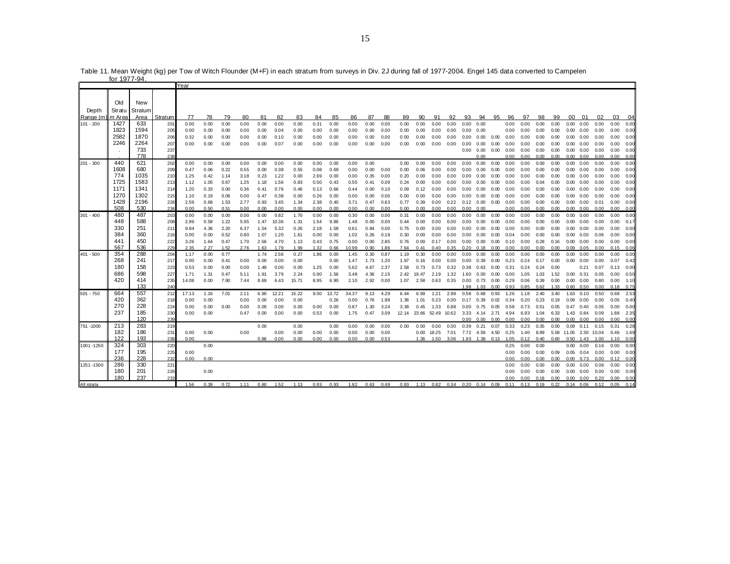|             | <u>00 1977-94</u> |         |         |       |      |      |      |      |       |       |      |       |       |      |      |      |             |                                          |      |           |      |      |      |      |      |      |                   |      |       |      |      |
|-------------|-------------------|---------|---------|-------|------|------|------|------|-------|-------|------|-------|-------|------|------|------|-------------|------------------------------------------|------|-----------|------|------|------|------|------|------|-------------------|------|-------|------|------|
|             |                   |         |         | Year  |      |      |      |      |       |       |      |       |       |      |      |      |             |                                          |      |           |      |      |      |      |      |      |                   |      |       |      |      |
|             |                   |         |         |       |      |      |      |      |       |       |      |       |       |      |      |      |             |                                          |      |           |      |      |      |      |      |      |                   |      |       |      |      |
|             | Old               | New     |         |       |      |      |      |      |       |       |      |       |       |      |      |      |             |                                          |      |           |      |      |      |      |      |      |                   |      |       |      |      |
| Depth       | Stratu            | Stratum |         |       |      |      |      |      |       |       |      |       |       |      |      |      |             |                                          |      |           |      |      |      |      |      |      |                   |      |       |      |      |
| Range (m)   | m Area            | Area    | Stratum | 77    | 78   | 79   | 80   | 81   | 82    | 83    | 84   | 85    | 86    | 87   | 88   | 89   | 90          | 91                                       | 92   | 93        | 94   | 95   | 96   | 97   | 98   | 99   | 00 <sup>1</sup>   | 01   | 02    | 03   | -04  |
| $101 - 200$ | 1427              | 633     | 201     | 0.00  | 0.00 | 0.00 | 0.00 | 0.00 | 0.00  | 0.00  | 0.31 | 0.00  | 0.00  | 0.00 | 0.00 | 0.00 | 0.00        | 0.00                                     | 0.00 | 0.00      | 0.00 |      | 0.00 | 0.00 | 0.00 | 0.00 | 0.00              | 0.00 | 0.00  | 0.00 | 0.00 |
|             | 1823              | 1594    | 205     | 0.00  | 0.00 | 0.00 | 0.00 | 0.00 | 0.04  | 0.00  | 0.00 | 0.00  | 0.00  | 0.00 | 0.00 | 0.00 | 0.00        | 0.00                                     | 0.00 | 0.00      | 0.00 |      | 0.00 | 0.00 | 0.00 | 0.00 | 0.00              | 0.00 | 0.00  | 0.00 | 0.00 |
|             | 2582              | 1870    | 206     | 0.32  | 0.00 | 0.00 | 0.00 | 0.00 | 0.10  | 0.00  | 0.00 | 0.00  | 0.00  | 0.00 | 0.00 | 0.00 | 0.00        | 0.00                                     | 0.00 | 0.00      | 0.00 | 0.00 | 0.00 | 0.00 | 0.00 | 0.00 | 0.00              | 0.00 | 0.00  | 0.00 | 0.00 |
|             | 2246              | 2264    | 207     | 0.00  | 0.00 | 0.00 | 0.00 | 0.00 | 0.07  | 0.00  | 0.00 | 0.00  | 0.00  | 0.00 | 0.00 | 0.00 | 0.00        | 0.00                                     | 0.00 | 0.00      | 0.00 | 0.00 | 0.00 | 0.00 | 0.00 | 0.00 | 0.00              | 0.00 | 0.00  | 0.00 | 0.00 |
|             |                   | 733     | 237     |       |      |      |      |      |       |       |      |       |       |      |      |      |             |                                          |      | 0.00      | 0.00 | 0.00 | 0.00 | 0.00 | 0.00 | 0.00 | 0.00              | 0.00 | 0.00  | 0.00 | 0.00 |
|             |                   | 778     | 238     |       |      |      |      |      |       |       |      |       |       |      |      |      |             |                                          |      |           | 0.00 |      | 0.00 | 0.00 | 0.00 | 0.00 | 0.00              | 0.00 | 0.00  | 0.00 | 0.00 |
| 201 - 300   | 440               | 621     | 202     | 0.00  | 0.00 | 0.00 | 0.00 | 0.00 | 0.00  | 0.00  | 0.00 | 0.00  | 0.00  | 0.00 |      | 0.00 | 0.00        | 0.00                                     | 0.00 | 0.00      | 0.00 | 0.00 | 0.00 | 0.00 | 0.00 | 0.00 | 0.00              | 0.00 | 0.00  | 0.00 | 0.00 |
|             | 1608              | 680     | 209     | 0.47  | 0.06 | 0.22 | 0.55 | 0.00 | 0.38  | 0.55  | 0.08 | 0.69  | 0.00  | 0.00 | 0.00 | 0.00 | 0.06        | 0.00                                     | 0.00 | 0.00      | 0.00 | 0.00 | 0.00 | 0.00 | 0.00 | 0.00 | 0.00              | 0.00 | 0.00  | 0.00 | 0.00 |
|             | 774               | 1035    | 210     | 1.25  | 0.42 | 1.14 | 3.18 | 0.23 | 1.22  | 0.00  | 2.69 | 0.00  | 0.00  | 0.35 | 0.00 | 0.20 | 0.00        | 0.00                                     | 0.00 | 0.00      | 0.00 | 0.00 | 0.00 | 0.00 | 0.00 | 0.00 | 0.00              | 0.00 | 0.00  | 0.00 | 0.00 |
|             | 1725              | 1583    | 213     | 1.12  | 1.05 | 0.67 | 1.25 | 1.18 | 1.56  | 0.83  | 0.50 | 0.43  | 0.55  | 0.41 | 0.09 | 0.24 | 0.00        | 0.00                                     | 0.00 | 0.00      | 0.00 | 0.00 | 0.00 | 0.00 | 0.04 | 0.00 | 0.00              | 0.00 | 0.00  | 0.00 | 0.00 |
|             | 1171              | 1341    | 214     | 1.20  | 0.33 | 0.00 | 0.36 | 0.41 | 0.76  | 0.46  | 0.13 | 0.66  | 0.44  | 0.00 | 0.10 | 0.09 | 0.12        | 0.00                                     | 0.00 | 0.00      | 0.00 | 0.00 | 0.00 | 0.00 | 0.00 | 0.00 | 0.00              | 0.00 | 0.00  | 0.00 | 0.00 |
|             | 1270              | 1302    | 215     | 1.10  | 0.19 | 0.06 | 0.00 | 0.47 | 0.38  | 0.00  | 0.26 | 0.00  | 0.00  | 0.00 | 0.00 | 0.00 | 0.00        | 0.00                                     | 0.00 | 0.00      | 0.00 | 0.00 | 0.00 | 0.00 | 0.00 | 0.00 | 0.00              | 0.00 | 0.00  | 0.00 | 0.00 |
|             | 1428              | 2196    | 228     | 2.59  | 0.68 | 1.53 | 2.77 | 0.93 | 3.45  | 1.34  | 2.38 | 0.40  | 3.71  | 0.47 | 0.63 | 0.77 | 0.39        | 0.00                                     | 0.22 | 0.12      | 0.00 | 0.00 | 0.00 | 0.00 | 0.00 | 0.00 | 0.00              | 0.00 | 0.01  | 0.00 | 0.00 |
|             | 508               | 530     | 234     | 0.00  | 0.50 | 0.51 | 0.00 | 0.00 | 0.00  | 0.00  | 0.00 | 0.00  | 0.00  | 0.00 | 0.00 | 0.00 | 0.00        | 0.00                                     | 0.00 | 0.00      | 0.00 |      | 0.00 | 0.00 | 0.00 | 0.00 | $0.00 \quad 0.00$ |      | 0.00  | 0.00 | 0.00 |
| 301 - 400   | 480               | 487     | 203     | 0.00  | 0.00 | 0.00 | 0.00 | 0.00 | 0.82  | 1.70  | 0.00 | 0.00  | 0.30  | 0.00 | 0.00 | 0.31 | 0.00        | 0.00                                     | 0.00 | 0.00      | 0.00 | 0.00 | 0.00 | 0.00 | 0.00 | 0.00 | 0.00              | 0.00 | 0.00  | 0.00 | 0.00 |
|             | 448               | 588     | 208     | 2.89  | 0.58 | 1.22 | 5.95 | 1.47 | 10.36 | 1.31  | 1.54 | 9.86  | 1.48  | 0.00 | 0.00 | 0.44 | 0.00        | 0.00                                     | 0.00 | 0.00      | 0.00 | 0.00 | 0.00 | 0.00 | 0.00 | 0.00 | 0.00              | 0.00 | 0.00  | 0.00 | 0.17 |
|             | 330               | 251     | 211     | 9.84  | 4.36 | 2.20 | 6.37 | 1.54 | 5.32  | 0.26  | 2.18 | 1.58  | 0.61  | 0.84 | 0.00 | 0.75 | 0.00        | 0.00                                     | 0.00 | 0.00      | 0.00 | 0.00 | 0.00 | 0.00 | 0.00 | 0.00 | 0.00              | 0.00 | 0.00  | 0.00 | 0.00 |
|             | 384               | 360     | 216     | 0.00  | 0.00 | 0.52 | 0.80 | 1.07 | 1.20  | 1.61  | 0.00 | 0.00  | 1.02  | 0.26 | 0.19 | 0.30 | 0.00        | 0.00                                     | 0.00 | 0.00      | 0.00 | 0.00 | 0.04 | 0.00 | 0.00 | 0.00 | 0.00              | 0.00 | 0.06  | 0.00 | 0.00 |
|             | 441               | 450     | 222     | 3.26  | 1.64 | 0.47 | 1.70 | 2.56 | 4.70  | 1.13  | 0.43 | 0.75  | 0.00  | 0.00 | 2.85 | 0.76 | 0.00        | 0.17                                     | 0.00 | 0.00      | 0.00 | 0.00 | 0.10 | 0.00 | 0.28 | 0.16 | 0.00              | 0.00 | 0.00  | 0.00 | 0.00 |
|             | 567               | 536     | 229     | 2.35  | 2.27 | 1.52 | 2.76 | 1.63 | 1.79  | 1.99  | 1.32 | 0.66  | 10.99 | 0.90 | 1.86 | 7.64 | 0.41        | 0.40                                     | 0.35 | 0.20      | 0.18 | 0.00 | 0.00 | 0.00 | 0.00 | 0.00 | 0.09              | 0.05 | 0.00  | 0.15 | 0.06 |
| 401 - 500   | 354               | 288     | 204     | 1.17  | 0.00 | 0.77 |      | 1.74 | 2.56  | 0.27  | 1.86 | 0.00  | 1.45  | 0.30 | 0.87 | 1.19 | 0.30        | 0.00                                     | 0.00 | 0.00      | 0.00 | 0.00 | 0.00 | 0.00 | 0.00 | 0.00 | 0.00              | 0.00 | 0.00  | 0.00 | 0.00 |
|             | 268               | 241     | 217     | 0.00  | 0.00 | 0.41 | 0.00 | 0.00 | 0.00  | 0.00  |      | 0.00  | 1.47  | 1.73 | 1.20 | 1.97 | 0.16        | 0.00                                     | 0.00 | 0.00      | 0.39 | 0.00 | 0.23 | 0.24 | 0.17 | 0.00 | 0.00              | 0.00 | 0.00  | 0.07 | 0.42 |
|             | 180               | 158     | 223     | 0.53  | 0.00 | 0.00 | 0.00 | 1.48 | 0.00  | 0.00  | 1.25 | 0.00  | 5.62  | 4.67 | 2.37 | 2.58 | 0.73        | 0.73                                     | 0.32 | 0.38      | 0.63 | 0.00 | 0.31 | 0.24 | 0.24 | 0.00 |                   | 0.21 | 0.07  | 0.13 | 0.00 |
|             | 686               | 598     | 227     | 1.71  | 1.31 | 0.47 | 5.11 | 1.91 | 3.79  | 2.24  | 0.90 | 1.56  | 3.48  | 4.36 | 2.15 | 2.42 | 19.47       | 2.19                                     | 1.32 | 1.60      | 0.00 | 0.00 | 0.00 | 1.05 | 1.03 | 1.52 | 0.00              | 0.31 | 0.05  | 0.00 | 0.5C |
|             | 420               | 414     | 235     | 14.08 | 0.00 | 7.90 | 7.44 | 8.69 | 6.43  | 15.71 | 8.95 | 6.90  | 2.10  | 2.92 | 0.00 | 1.07 | 2.58        | 0.63                                     | 0.35 | 0.00      | 0.73 | 0.00 | 0.29 | 0.06 | 0.39 | 0.00 | 0.00              | 0.00 | 0.80  | 0.00 | 1.10 |
|             |                   | 133     | 240     |       |      |      |      |      |       |       |      |       |       |      |      |      |             |                                          |      | 1.98      | 1.03 | 0.00 | 0.93 | 0.85 | 0.62 | 1.33 | 0.60              | 0.50 | 0.00  | 0.18 | 0.75 |
| 501 - 750   | 664               | 557     | 212     | 17.13 | 1.16 | 7.01 | 2.11 | 6.90 | 12.21 | 15.22 | 9.00 | 13.72 | 34.37 | 9.13 | 4.29 | 6.44 | 6.99        | 1.21                                     | 2.98 | 0.58      | 0.68 | 0.93 | 1.26 | 1.18 | 2.40 | 3.40 | 1.63              | 0.10 | 0.50  | 0.68 | 2.53 |
|             | 420               | 362     | 218     | 0.00  | 0.00 |      | 0.00 | 0.00 | 0.00  | 0.00  |      | 0.26  | 0.00  | 0.76 | 1.98 | 1.36 | 1.01        | 0.23                                     | 0.00 | 0.17      | 0.39 | 0.02 | 0.34 | 0.20 | 0.23 | 0.19 | 0.09              | 0.00 | 0.00  | 0.05 | 0.40 |
|             | 270               | 228     | 224     | 0.00  | 0.00 | 0.00 | 0.00 | 0.00 | 0.00  | 0.00  | 0.00 | 0.00  | 0.87  | 1.30 | 3.24 | 3.38 | 0.45        | 1.33                                     | 0.88 | 0.00      | 0.75 | 0.05 | 0.58 | 0.73 | 0.51 | 0.05 | 0.47              | 0.40 | 0.05  | 0.00 | 0.00 |
|             | 237               | 185     | 230     | 0.00  | 0.00 |      | 0.47 | 0.00 | 0.00  | 0.00  | 0.53 | 0.00  | 1.75  | 0.47 | 3.09 |      | 12.14 23.66 | 52.49 10.62                              |      | 3.33      | 4.14 | 2.71 | 4.94 | 6.93 | 1.04 | 6.33 | 1.43              | 0.84 | 0.09  | 1.88 | 2.35 |
|             |                   | 120     | 239     |       |      |      |      |      |       |       |      |       |       |      |      |      |             |                                          |      | 0.00      | 0.00 | 0.00 | 0.00 | 0.00 | 0.00 | 0.00 | 0.00              | 0.00 | 0.00  | 0.00 | 0.00 |
| 751 -1000   | 213               | 283     | 219     |       |      |      |      | 0.00 |       | 0.00  |      | 0.00  | 0.00  | 0.00 | 0.00 | 0.00 | 0.00        | 0.00                                     | 0.00 | 0.39      | 0.21 | 0.07 | 0.33 | 0.23 | 0.35 | 0.00 | 0.09              | 0.11 | 0.15  | 0.31 | 0.28 |
|             | 182               | 186     | 231     | 0.00  | 0.00 |      | 0.00 |      | 0.00  | 0.00  | 0.00 | 0.00  | 0.00  | 0.00 | 0.00 |      | 0.00        | 18.25                                    | 7.01 | 7.72 4.59 |      | 4.50 | 0.25 | 1.40 | 8.89 | 5.58 | 11.05             | 2.30 | 10.04 | 0.46 | 1.69 |
|             | 122               | 193     | 236     | 0.00  |      |      |      | 0.86 | 0.00  | 0.00  | 0.00 | 0.00  | 0.00  | 0.00 | 0.53 |      | 1.36        | 1.50                                     | 3.06 | 1.93 1.38 |      | 0.13 | 1.05 | 0.12 | 0.40 | 0.60 | 0.50              | 1.43 | 1.00  | 1.10 | 0.00 |
| 1001-1250   | 324               | 303     | 220     |       | 0.00 |      |      |      |       |       |      |       |       |      |      |      |             |                                          |      |           |      |      | 0.25 | 0.00 | 0.00 |      | 0.00              | 0.00 | 0.16  | 0.00 | 0.00 |
|             | 177               | 195     | 225     | 0.00  |      |      |      |      |       |       |      |       |       |      |      |      |             |                                          |      |           |      |      | 0.00 | 0.00 | 0.00 | 0.09 | $0.05$ 0.04       |      | 0.00  | 0.00 | 0.00 |
|             | 236               | 228     | 232     | 0.00  | 0.00 |      |      |      |       |       |      |       |       |      |      |      |             |                                          |      |           |      |      | 0.00 | 0.00 | 0.00 | 0.00 | $0.00$ $0.73$     |      | 0.00  | 0.12 | 0.00 |
| 1251-1500   | 286               | 330     | 221     |       |      |      |      |      |       |       |      |       |       |      |      |      |             |                                          |      |           |      |      | 0.00 | 0.00 | 0.00 | 0.00 | 0.00              | 0.00 | 0.06  | 0.00 | 0.00 |
|             | 180               | 201     | 226     |       | 0.00 |      |      |      |       |       |      |       |       |      |      |      |             |                                          |      |           |      |      | 0.00 | 0.00 | 0.00 | 0.00 | 0.00              | 0.00 | 0.00  | 0.00 | 0.00 |
|             | 180               | 237     | 233     |       |      |      |      |      |       |       |      |       |       |      |      |      |             |                                          |      |           |      |      | 0.00 | 0.00 | 0.18 | 0.00 | 0.000000          |      | 0.20  | 0.00 | 0.00 |
| All strata  |                   |         |         | 1.56  | 0.39 | 0.72 | 1.11 | 0.80 | 1.52  | 1.13  | 0.93 | 0.93  | 1.82  | 0.63 | 0.49 |      |             | 0.83  1.13  0.82  0.34  0.20  0.14  0.09 |      |           |      |      | 0.11 | 0.13 | 0.19 | 0.22 | $0.14$ 0.06       |      | 0.12  | 0.05 | 0.14 |

Table 11. Mean Weight (kg) per Tow of Witch Flounder (M+F) in each stratum from surveys in Div. 2J during fall of 1977-2004. Engel 145 data converted to Campelen for 1977-94.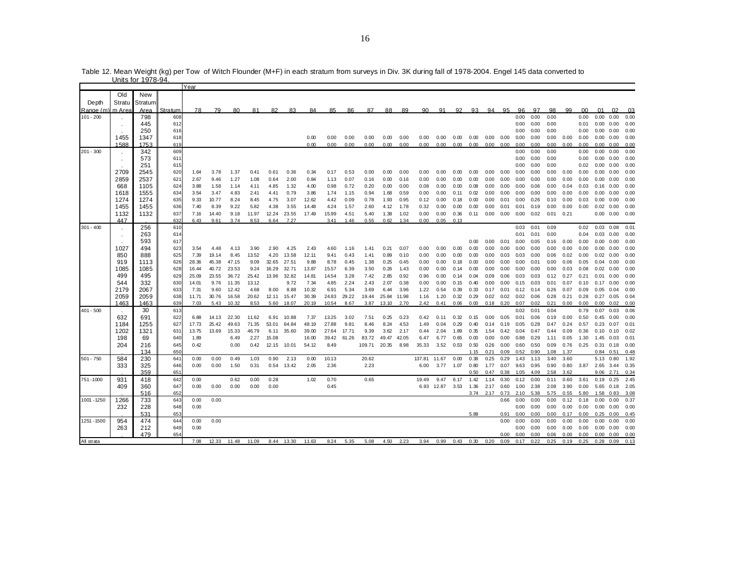|             |        |         |         | Year  |       |       |       |       |            |       |       |       |        |       |       |        |            |      |      |                   |      |      |      |      |      |         |                   |                      |            |
|-------------|--------|---------|---------|-------|-------|-------|-------|-------|------------|-------|-------|-------|--------|-------|-------|--------|------------|------|------|-------------------|------|------|------|------|------|---------|-------------------|----------------------|------------|
|             | Old    | New     |         |       |       |       |       |       |            |       |       |       |        |       |       |        |            |      |      |                   |      |      |      |      |      |         |                   |                      |            |
| Depth       | Stratu | Stratum |         |       |       |       |       |       |            |       |       |       |        |       |       |        |            |      |      |                   |      |      |      |      |      |         |                   |                      |            |
| Range (m)   | m Area | Area    |         |       | 79    | 80    | 81    | 82    | 83         |       |       |       |        |       |       |        |            | 92   | 93   | 94                | 95   | 96   | 97   | 98   | 99   | $00 \,$ | 01                | 02                   |            |
|             |        |         | Stratum | 78    |       |       |       |       |            | 84    | 85    | 86    | 87     | 88    | 89    | 90     | 91         |      |      |                   |      | 0.00 |      |      |      |         | 0.00              |                      | 03<br>0.00 |
| $101 - 200$ |        | 798     | 608     |       |       |       |       |       |            |       |       |       |        |       |       |        |            |      |      |                   |      |      | 0.00 | 0.00 |      | 0.00    |                   | 0.00                 |            |
|             |        | 445     | 612     |       |       |       |       |       |            |       |       |       |        |       |       |        |            |      |      |                   |      | 0.00 | 0.00 | 0.00 |      | 0.01    |                   | $0.00 \quad 0.00$    | 0.00       |
|             |        | 250     | 616     |       |       |       |       |       |            |       |       |       |        |       |       |        |            |      |      |                   |      | 0.00 | 0.00 | 0.00 |      | 0.00    |                   | $0.00 \quad 0.00$    | 0.00       |
|             | 1455   | 1347    | 618     |       |       |       |       |       |            | 0.00  | 0.00  | 0.00  | 0.00   | 0.00  | 0.00  | 0.00   | 0.00       | 0.00 | 0.00 | 0.00              | 0.00 | 0.00 | 0.00 | 0.00 | 0.00 | 0.00    |                   | $0.00 \quad 0.00$    | 0.00       |
|             | 1588   | 1753    | 619     |       |       |       |       |       |            | 0.00  | 0.00  | 0.00  | 0.00   | 0.00  | 0.00  | 0.00   | 0.00       | 0.00 | 0.00 | $0.00 \quad 0.00$ |      | 0.00 | 0.00 | 0.00 | 0.00 | 0.00    |                   | $0.00 \quad 0.00$    | 0.00       |
| $201 - 300$ |        | 342     | 609     |       |       |       |       |       |            |       |       |       |        |       |       |        |            |      |      |                   |      | 0.00 | 0.00 | 0.00 |      | 0.00    | 0.00              | 0.00                 | 0.00       |
|             |        | 573     | 611     |       |       |       |       |       |            |       |       |       |        |       |       |        |            |      |      |                   |      | 0.00 | 0.00 | 0.00 |      | 0.00    | 0.00              | 0.00                 | 0.00       |
|             |        | 251     | 615     |       |       |       |       |       |            |       |       |       |        |       |       |        |            |      |      |                   |      | 0.00 | 0.00 | 0.00 |      | 0.02    | 0.00              | 0.00                 | 0.00       |
|             | 2709   | 2545    | 620     | 1.64  | 3.78  | 1.37  | 0.41  | 0.61  | 0.36       | 0.34  | 0.17  | 0.53  | 0.00   | 0.00  | 0.00  | 0.00   | 0.00       | 0.00 | 0.00 | 0.00              | 0.00 | 0.00 | 0.00 | 0.00 | 0.00 | 0.00    | 0.00              | 0.00                 | 0.00       |
|             | 2859   | 2537    | 621     | 2.67  | 9.46  | 1.27  | 1.08  | 0.64  | 2.00       | 0.84  | 1.13  | 0.07  | 0.16   | 0.00  | 0.16  | 0.00   | 0.00       | 0.00 | 0.00 | 0.00              | 0.00 | 0.00 | 0.00 | 0.00 | 0.00 | 0.00    | 0.00              | 0.00                 | 0.00       |
|             | 668    | 1105    | 624     | 3.88  | 1.58  | 1.14  | 4.11  | 4.85  | 1.32       | 4.00  | 0.98  | 0.72  | 0.20   | 0.00  | 0.00  | 0.08   | 0.00       | 0.00 | 0.08 | 0.00              | 0.00 | 0.00 | 0.06 | 0.00 | 0.04 | 0.03    | 0.16              | 0.00                 | 0.00       |
|             | 1618   | 1555    | 634     | 3.54  | 3.47  | 4.83  | 2.41  | 4.41  | 0.79       | 3.86  | 1.74  | 1.15  | 0.94   | 1.68  | 0.59  | 0.00   | 0.00       | 0.11 | 0.02 | 0.00              | 0.00 | 0.00 | 0.00 | 0.00 | 0.00 | 0.00    | 0.00              | 0.00                 | 0.00       |
|             | 1274   | 1274    | 635     | 9.33  | 10.77 | 8.24  | 8.45  | 4.75  | 3.07       | 12.62 | 4.42  | 0.09  | 0.78   | 1.93  | 0.95  | 0.12   | 0.00       | 0.18 | 0.00 | 0.00              | 0.01 | 0.00 | 0.26 | 0.10 | 0.00 | 0.03    | 0.00              | 0.00                 | 0.00       |
|             | 1455   | 1455    | 636     | 7.40  | 8.39  | 9.22  | 5.82  | 4.38  | 3.55       | 14.48 | 4.24  | 1.57  | 2.60   | 4.12  | 1.78  | 0.32   | 0.00       | 0.00 | 0.00 | 0.00              | 0.01 | 0.01 | 0.19 | 0.00 | 0.00 | 0.00    |                   | $0.02$ 0.00          | 0.00       |
|             | 1132   | 1132    | 637     |       |       |       | 11.97 |       |            |       | 15.99 |       |        | 1.38  | 1.02  | 0.00   | 0.00       | 0.36 |      | 0.00              | 0.00 | 0.00 | 0.02 | 0.01 | 0.21 |         | 0.00              | 0.00                 | 0.00       |
|             | 447    |         | 632     | 7.16  | 14.40 | 9.18  |       | 12.24 | 23.55      | 17.49 |       | 4.51  | 5.40   |       |       |        |            |      | 0.11 |                   |      |      |      |      |      |         |                   |                      |            |
|             |        |         |         | 6.43  | 9.61  | 3.74  | 8.53  | 6.64  | 7.27       |       | 3.41  | 1.46  | 0.55   | 0.62  | 1.34  | 0.00   | 0.05       | 0.13 |      |                   |      |      |      |      |      |         |                   |                      |            |
| $301 - 400$ |        | 256     | 610     |       |       |       |       |       |            |       |       |       |        |       |       |        |            |      |      |                   |      | 0.03 | 0.01 | 0.09 |      | 0.02    | 0.03              | 0.08                 | 0.01       |
|             |        | 263     | 614     |       |       |       |       |       |            |       |       |       |        |       |       |        |            |      |      |                   |      | 0.01 | 0.01 | 0.00 |      | 0.04    | 0.03              | 0.00                 | 0.00       |
|             |        | 593     | 617     |       |       |       |       |       |            |       |       |       |        |       |       |        |            |      | 0.00 | 0.00              | 0.01 | 0.00 | 0.05 | 0.16 | 0.00 | 0.00    | 0.00              | 0.00                 | 0.00       |
|             | 1027   | 494     | 623     | 3.54  | 4.48  | 4.13  | 3.90  | 2.90  | 4.25       | 2.43  | 4.60  | 1.16  | 1.41   | 0.21  | 0.07  | 0.00   | 0.00       | 0.00 | 0.00 | 0.00              | 0.00 | 0.00 | 0.00 | 0.00 | 0.00 | 0.00    | 0.00              | 0.00                 | 0.00       |
|             | 850    | 888     | 625     | 7.39  | 19.14 | 8.45  | 13.52 | 4.20  | 13.58      | 12.11 | 9.41  | 0.43  | 1.41   | 0.89  | 0.10  | 0.00   | 0.00       | 0.00 | 0.00 | 0.00              | 0.03 | 0.03 | 0.00 | 0.06 | 0.02 | 0.00    | $0.02$ 0.00       |                      | 0.00       |
|             | 919    | 1113    | 626     | 28.36 | 45.38 | 47.15 | 9.09  | 32.65 | 27.51      | 9.88  | 8.78  | 0.45  | 1.38   | 0.25  | 0.45  | 0.00   | 0.00       | 0.18 | 0.00 | 0.00              | 0.00 | 0.00 | 0.01 | 0.00 | 0.06 | 0.05    | 0.04              | 0.00                 | 0.00       |
|             | 1085   | 1085    | 628     | 16.44 | 40.72 | 23.53 | 9.24  | 16.29 | 32.71      | 13.87 | 15.57 | 6.39  | 3.50   | 0.26  | 1.43  | 0.00   | 0.00       | 0.14 | 0.00 | 0.00              | 0.00 | 0.00 | 0.00 | 0.00 | 0.03 | 0.08    | 0.02              | 0.00                 | 0.00       |
|             | 499    | 495     | 629     | 25.09 | 23.55 | 36.72 | 25.42 | 13.96 | 32.82      | 14.81 | 14.54 | 3.28  | 7.42   | 2.85  | 0.92  | 0.96   | 0.00       | 0.14 | 0.04 | 0.09              | 0.06 | 0.03 | 0.03 | 0.12 | 0.27 | 0.21    | 0.01              | 0.00                 | 0.00       |
|             | 544    | 332     | 630     | 14.01 | 9.76  | 11.35 | 13.12 |       | 9.72       | 7.34  | 4.85  | 2.24  | 2.43   | 2.07  | 0.38  | 0.00   | 0.00       | 0.15 | 0.40 | 0.00              | 0.00 | 0.15 | 0.03 | 0.01 | 0.07 | 0.10    | 0.17              | 0.00                 | 0.00       |
|             | 2179   | 2067    | 633     | 7.31  | 9.60  | 12.42 | 4.68  | 8.00  | 8.88       | 10.32 | 6.91  | 5.34  | 3.69   | 6.44  | 3.96  | 1.22   | 0.54       | 0.39 | 0.33 | 0.17              | 0.01 | 0.12 | 0.14 | 0.26 | 0.07 | 0.09    | 0.05              | 0.04                 | 0.00       |
|             | 2059   | 2059    | 638     | 11.71 | 30.76 | 16.58 | 20.62 | 12.11 | 15.47      | 30.39 | 24.83 | 29.22 | 19.44  | 25.84 | 11.98 | 1.16   | 1.20       | 0.32 | 0.29 | 0.02              | 0.02 | 0.02 | 0.06 | 0.28 | 0.21 | 0.28    | 0.27              | 0.05                 | 0.04       |
|             | 1463   | 1463    | 639     | 7.03  | 5.43  | 10.32 | 8.53  | 5.60  | 18.07      | 20.19 | 10.54 | 8.67  | 3.87   | 13.10 | 2.70  | 2.42   | 0.41       | 0.06 | 0.00 | 0.18              | 0.20 | 0.07 | 0.02 | 0.21 | 0.00 | 0.00    | 0.00              | 0.02                 | 0.00       |
| $401 - 500$ |        | 30      | 613     |       |       |       |       |       |            |       |       |       |        |       |       |        |            |      |      |                   |      | 0.02 | 0.01 | 0.04 |      | 0.79    | 0.07              | 0.03                 | 0.06       |
|             | 632    | 691     | 622     | 6.88  | 14.13 | 22.30 | 11.62 | 6.91  | 10.88      | 7.37  | 13.25 | 3.02  | 7.51   | 0.25  | 0.23  | 0.42   | 0.11       | 0.32 | 0.15 | 0.00              | 0.05 | 0.01 | 0.06 | 0.19 | 0.00 | 0.50    | 0.45              | 0.00                 | 0.00       |
|             | 1184   | 1255    | 627     | 17.73 | 25.42 | 49.63 | 71.35 | 53.01 | 64.84      | 48.19 | 27.88 | 9.81  | 8.46   | 8.24  | 4.53  | 1.49   | 0.04       | 0.29 | 0.40 | 0.14              | 0.19 | 0.05 | 0.28 | 0.47 | 0.24 | 0.57    | 0.23              | 0.07                 | 0.01       |
|             | 1202   | 1321    | 631     | 13.75 | 13.69 | 15.33 | 46.79 | 6.11  | 35.60      | 39.00 | 27.64 | 17.71 | 9.39   | 3.62  | 2.17  | 0.44   | 2.04       | 1.89 | 0.35 | 1.54              | 0.42 | 0.04 | 0.47 | 0.44 | 0.09 | 0.36    | 0.10              | 0.10                 | 0.02       |
|             |        |         |         |       |       |       | 2.27  |       |            |       | 39.42 |       |        |       |       |        |            |      |      | 0.00              | 0.00 | 0.88 | 0.29 |      |      |         |                   |                      |            |
|             | 198    | 69      | 640     | 1.89  |       | 6.49  |       | 15.08 |            | 16.00 |       | 61.26 | 83.72  | 49.47 | 42.05 | 6.47   | 6.77       | 0.65 | 0.00 |                   |      |      |      | 1.11 | 0.05 | 1.30    | 1.45              | 0.03                 | 0.01       |
|             | 204    | 216     | 645     | 0.42  |       | 0.00  | 0.42  | 12.15 | 10.01      | 54.12 | 8.49  |       | 109.71 | 20.35 | 8.98  | 35.33  | 3.52       | 0.53 | 0.50 | 0.26              | 0.00 | 0.60 | 0.50 | 0.09 | 0.76 | 0.25    | 0.31              | 0.18                 | 0.00       |
|             |        | 134     | 65C     |       |       |       |       |       |            |       |       |       |        |       |       |        |            |      | 1.15 | 0.21              | 0.09 | 0.52 | 0.90 | 1.08 | 1.37 |         | 0.84              | 0.51                 | 0.48       |
| $501 - 750$ | 584    | 230     | 641     | 0.00  | 0.00  | 0.49  | 1.03  | 0.90  | 2.13       | 0.00  | 10.13 |       | 20.62  |       |       | 137.81 | 11.67      | 0.00 | 0.38 | 0.25              | 0.29 | 1.43 | 1.13 | 3.40 | 3.60 |         | 5.13              | 0.80                 | 1.92       |
|             | 333    | 325     | 646     | 0.00  | 0.00  | 1.50  | 0.31  | 0.54  | 13.42      | 2.05  | 2.36  |       | 2.23   |       |       | 6.00   | 3.77       | 1.07 | 0.80 | 1.77              | 0.07 | 9.63 | 0.95 | 0.90 | 0.80 | 3.87    | 2.65              | 3.44                 | 0.35       |
|             |        | 359     | 651     |       |       |       |       |       |            |       |       |       |        |       |       |        |            |      | 0.50 | 0.47              | 0.38 | 1.05 | 4.09 | 2.58 | 3.62 |         | 9.06              | 2.71                 | 0.34       |
| 751-1000    | 931    | 418     | 642     | 0.00  |       | 0.62  | 0.00  | 0.28  |            | 1.02  | 0.70  |       | 0.65   |       |       | 19.49  | 9.47       | 6.17 | 1.42 | 1.14              | 0.30 | 0.12 | 0.00 | 0.11 | 0.60 | 3.61    | 0.19              | 0.25                 | 2.45       |
|             | 409    | 360     | 647     | 0.00  | 0.00  | 0.00  | 0.00  | 0.00  |            |       | 0.45  |       |        |       |       |        | 6.93 12.87 | 3.53 | 1.36 | 2.17              | 0.60 | 1.00 | 2.38 | 2.08 | 3.90 | 0.00    | 5.65              | 0.18                 | 2.05       |
|             |        | 516     | 652     |       |       |       |       |       |            |       |       |       |        |       |       |        |            |      | 3.74 | 2.17              | 0.73 | 2.10 | 5.38 | 5.75 | 0.55 | 5.80    | 1.58              | 0.83                 | 3.08       |
| 1001 - 1250 | 1266   | 733     | 643     | 0.00  | 0.00  |       |       |       |            |       |       |       |        |       |       |        |            |      |      |                   | 0.66 | 0.00 | 0.00 | 0.00 | 0.12 | 0.18    | 0.00              | 0.00                 | 0.37       |
|             | 232    | 228     | 648     | 0.00  |       |       |       |       |            |       |       |       |        |       |       |        |            |      |      |                   |      | 0.00 | 0.00 | 0.00 | 0.00 | 0.00    |                   | $0.00\ 0.00$         | 0.00       |
|             |        | 531     | 653     |       |       |       |       |       |            |       |       |       |        |       |       |        |            |      | 5.88 |                   | 0.91 | 0.00 | 0.00 | 0.00 | 0.17 | 0.00    | 0.25              | 0.00                 | 0.45       |
| 1251 - 1500 | 954    | 474     | 644     | 0.00  | 0.00  |       |       |       |            |       |       |       |        |       |       |        |            |      |      |                   | 0.00 | 0.00 | 0.00 | 0.00 | 0.00 | 0.00    | 0.00              | 0.00                 | 0.00       |
|             | 263    | 212     | 649     | 0.00  |       |       |       |       |            |       |       |       |        |       |       |        |            |      |      |                   |      | 0.00 | 0.00 | 0.00 | 0.00 | 0.00    | $0.00 \quad 0.00$ |                      | 0.00       |
|             |        | 479     | 654     |       |       |       |       |       |            |       |       |       |        |       |       |        |            |      |      |                   | 0.00 | 0.00 | 0.00 | 0.06 | 0.00 |         |                   | $0.00$ $0.00$ $0.00$ | 0.00       |
| All strata  |        |         |         | 7.08  | 12.33 | 11.48 | 11.09 |       | 8.44 13.30 | 11.63 | 8.24  | 5.35  | 5.08   | 4.50  | 2.23  | 3.94   | 0.99       | 0.43 | 0.30 | 0.20              | 0.09 | 0.17 | 0.22 | 0.25 | 0.19 | 0.25    | 0.28              | 0.09                 | 0.13       |
|             |        |         |         |       |       |       |       |       |            |       |       |       |        |       |       |        |            |      |      |                   |      |      |      |      |      |         |                   |                      |            |

Table 12. Mean Weight (kg) per Tow of Witch Flounder (M+F) in each stratum from surveys in Div. 3K during fall of 1978-2004. Engel 145 data converted to Units for 1978-94.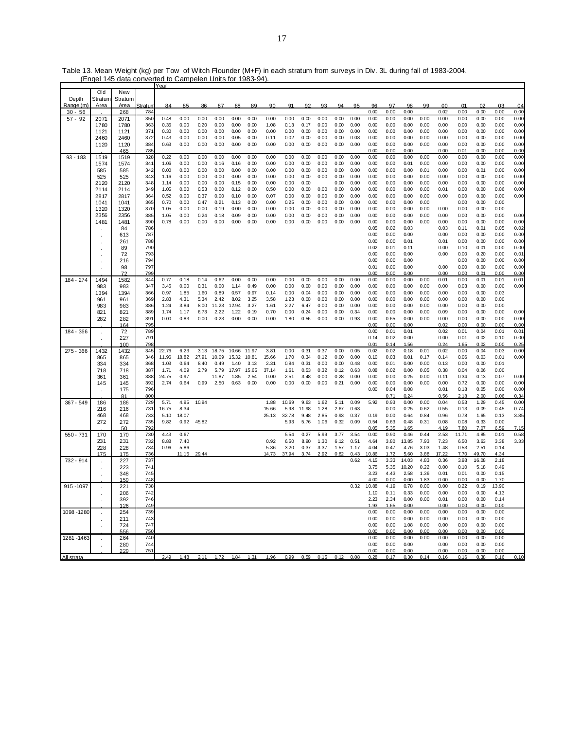|             | Old          | New          |                 |               |              |              |               |              |              |              |                |              |              |              |              |              |              |              |              |                |              |              |              |              |
|-------------|--------------|--------------|-----------------|---------------|--------------|--------------|---------------|--------------|--------------|--------------|----------------|--------------|--------------|--------------|--------------|--------------|--------------|--------------|--------------|----------------|--------------|--------------|--------------|--------------|
| Depth       | Stratum      | Stratum      |                 |               |              |              |               |              |              |              |                |              |              |              |              |              |              |              |              |                |              |              |              |              |
| Range (m    | Area         | Area         | <u>Stratun</u>  | 84            | 85           | 86           | 87            | 88           | 89           | 90           | Q <sub>1</sub> | 92           | ۹3           | 94           | QF           | 96           | 97           | 98           | 99           | 0 <sub>0</sub> | 01           | 02           | 03           | 04           |
| $30 - 56$   |              | 268          | 784             |               |              |              |               |              |              |              |                |              |              |              |              | 0.00         | 0.00         | 0.00         |              | 0.02           | 0.00         | 0.00         | 0.00         | 0.00         |
| $57 - 92$   | 2071         | 2071         | 350             | 0.48<br>0.35  | 0.00         | 0.00<br>0.20 | 0.00<br>0.00  | 0.00         | 0.00<br>0.00 | 0.00<br>1.08 | 0.00<br>0.13   | 0.00<br>0.17 | 0.00<br>0.00 | 0.00<br>0.00 | 0.00<br>0.00 | 0.00         | 0.00         | 0.00<br>0.00 | 0.00<br>0.00 | 0.00           | 0.00         | 0.00         | 0.00         | 0.00         |
|             | 1780         | 1780         | 363<br>371      | 0.30          | 0.00<br>0.00 | 0.00         | 0.00          | 0.00         | 0.00         | 0.00         | 0.00           | 0.00         |              | 0.00         | 0.00         | 0.00         | 0.00         | 0.00         | 0.00         | 0.00<br>0.00   | 0.00         | 0.00         | 0.00         | 0.00<br>0.00 |
|             | 1121         | 1121         | 372             |               |              |              | 0.00          | 0.00         |              |              |                | 0.00         | 0.00         |              |              | 0.00         | 0.00         | 0.00         |              | 0.00           | 0.00         | 0.00         | 0.00         |              |
|             | 2460         | 2460         |                 | 0.43          | 0.00         | 0.00         |               | 0.05         | 0.00         | 0.11         | 0.02           |              | 0.00         | 0.00         | 0.08         | 0.00         | 0.00         |              | 0.00         |                | 0.00         | 0.00         | 0.00         | 0.00<br>0.00 |
|             | 1120         | 1120<br>465  | 384<br>785      | 0.63          | 0.00         | 0.00         | 0.00          | 0.00         | 0.00         | 0.00         | 0.00           | 0.00         | 0.00         | 0.00         | 0.00         | 0.00<br>0.00 | 0.00<br>0.00 | 0.00<br>0.00 | 0.00         | 0.00<br>0.00   | 0.00<br>0.01 | 0.00<br>0.00 | 0.00<br>0.00 | 0.00         |
| $93 - 183$  |              |              | 328             | 0.22          | 0.00         | 0.00         | 0.00          | 0.00         | 0.00         | 0.00         | 0.00           | 0.00         | 0.00         | 0.00         | 0.00         | 0.00         | 0.00         | 0.00         | 0.00         | 0.00           | 0.00         | 0.00         | 0.00         | 0.00         |
|             | 1519<br>1574 | 1519<br>1574 | 341             | 1.06          | 0.00         | 0.00         | 0.16          | 0.16         | 0.00         | 0.00         | 0.00           | 0.00         | 0.00         | 0.00         | 0.00         | 0.00         | 0.00         | 0.01         | 0.00         | 0.00           | 0.00         | 0.00         | 0.00         | 0.00         |
|             | 585          | 585          | 342             | 0.00          | 0.00         | 0.00         | 0.00          | 0.00         | 0.00         | 0.00         | 0.00           | 0.00         | 0.00         | 0.00         | 0.00         | 0.00         | 0.00         | 0.00         | 0.01         | 0.00           | 0.00         | 0.01         | 0.00         | 0.00         |
|             | 525          | 525          | 343             | 1.16          | 0.00         | 0.00         | 0.00          | 0.00         | 0.00         | 0.00         | 0.00           | 0.00         | 0.00         | 0.00         | 0.00         | 0.00         | 0.00         | 0.00         | 0.00         | 0.00           | 0.00         | 0.00         | 0.00         | 0.00         |
|             | 2120         | 2120         | 348             | 1.14          | 0.00         | 0.00         | 0.00          | 0.15         | 0.00         | 0.00         | 0.00           | 0.00         |              | 0.00         | 0.00         | 0.00         | 0.00         | 0.00         | 0.00         | 0.00           | 0.00         | 0.00         | 0.00         | 0.00         |
|             | 2114         | 2114         | 349             | 1.05          | 0.00         | 0.53         | 0.00          | 0.12         | 0.00         | 0.50         | 0.00           | 0.00         | 0.00         | 0.00         | 0.00         | 0.00         | 0.00         | 0.00         | 0.00         | 0.01           | 0.00         | 0.00         | 0.06         | 0.00         |
|             | 2817         | 2817         | 364             | 0.52          | 0.00         | 0.37         | 0.00          | 0.10         | 0.00         | 0.07         | 0.00           | 0.00         | 0.00         | 0.00         | 0.00         | 0.00         | 0.00         | 0.00         | 0.00         | 0.00           | 0.00         | 0.00         | 0.00         | 0.00         |
|             | 1041         | 1041         | 365             | 0.70          | 0.00         | 0.47         | 0.21          | 0.13         | 0.00         | 0.00         | 0.25           | 0.00         | 0.00         | 0.00         | 0.00         | 0.00         | 0.00         | 0.00         | 0.00         |                | 0.00         | 0.00         | 0.00         |              |
|             | 1320         | 1320         | 37 <sub>0</sub> | 1.05          | 0.00         | 0.00         | 0.19          | 0.00         | 0.00         | 0.00         | 0.00           | 0.00         | 0.00         | 0.00         | 0.00         | 0.00         | 0.00         | 0.00         | 0.00         | 0.00           | 0.00         | 0.00         | 0.00         |              |
|             | 2356         | 2356         | 385             | 1.05          | 0.00         | 0.24         | 0.18          | 0.09         | 0.00         | 0.00         | 0.00           | 0.00         | 0.00         | 0.00         | 0.00         | 0.00         | 0.00         | 0.00         | 0.00         | 0.00           | 0.00         | 0.00         | 0.00         | 0.00         |
|             | 1481         | 1481         | 390             | 0.78          | 0.00         | 0.00         | 0.00          | 0.00         | 0.00         | 0.00         | 0.00           | 0.00         | 0.00         | 0.00         | 0.00         | 0.00         | 0.00         | 0.00         | 0.00         | 0.00           | 0.00         | 0.00         | 0.00         | 0.00         |
|             |              | 84           | 786             |               |              |              |               |              |              |              |                |              |              |              |              | 0.05         | 0.02         | 0.03         |              | 0.03           | 0.11         | 0.01         | 0.05         | 0.02         |
|             |              | 613          | 787             |               |              |              |               |              |              |              |                |              |              |              |              | 0.00         | 0.00         | 0.00         |              | 0.00           | 0.00         | 0.00         | 0.00         | 0.00         |
|             |              | 261          | 788             |               |              |              |               |              |              |              |                |              |              |              |              | 0.00         | 0.00         | 0.01         |              | 0.01           | 0.00         | 0.00         | 0.00         | 0.00         |
|             |              | 89           | 790             |               |              |              |               |              |              |              |                |              |              |              |              | 0.02         | 0.01         | 0.11         |              | 0.00           | 0.10         | 0.01         | 0.00         | 0.00         |
|             |              | 72           | 793             |               |              |              |               |              |              |              |                |              |              |              |              | 0.00         | 0.00         | 0.00         |              | 0.00           | 0.00         | 0.20         | 0.00         | 0.01         |
|             |              | 216          | 794             |               |              |              |               |              |              |              |                |              |              |              |              | 0.00         | 0.00         | 0.00         |              |                | 0.00         | 0.00         | 0.00         | 0.00         |
|             |              | 98           | 797             |               |              |              |               |              |              |              |                |              |              |              |              | 0.01         | 0.00         | 0.00         |              | 0.00           | 0.00         | 0.00         | 0.00         | 0.00         |
|             |              | 72           | 799             |               |              |              |               |              |              |              |                |              |              |              |              | 0.00         | 0.00         | 0.00         |              | 0.00           | 0.00         | 0.01         | 0.00         | 0.00         |
| 184 - 274   | 1494         | 1582         | 344             | 0.77          | 0.18         | 0.14         | 0.62          | 0.00         | 0.00         | 0.00         | 0.00           | 0.00         | 0.00         | 0.00         | 0.00         | 0.00         | 0.00         | 0.00         | 0.00         | 0.01           | 0.00         | 0.01         | 0.01         | 0.01         |
|             | 983          | 983          | 347             | 3.45          | 0.00         | 0.31         | 0.00          | 1.14         | 0.49         | 0.00         | 0.00           | 0.00         | 0.00         | 0.00         | 0.00         | 0.00         | 0.00         | 0.00         | 0.00         | 0.00           | 0.03         | 0.00         | 0.00         | 0.00         |
|             | 1394         | 1394         | 366             | 0.97          | 1.85         | 1.60         | 0.89          | 0.57         | 0.97         | 0.14         | 0.00           | 0.04         | 0.00         | 0.00         | 0.00         | 0.00         | 0.00         | 0.00         | 0.00         | 0.00           | 0.00         | 0.00         | 0.03         |              |
|             | 961          | 961          | 369             | 2.83          | 4.31         | 5.34         | 2.42          | 8.02         | 3.25         | 3.58         | 1.23           | 0.00         | 0.00         | 0.00         | 0.00         | 0.00         | 0.00         | 0.00         | 0.00         | 0.00           | 0.00         | 0.00         | 0.00         |              |
|             | 983          | 983          | 386             | 1.24          | 3.84         | 8.00         | 11.23         | 12.94        | 3.27         | 1.61         | 2.27           | 6.47         | 0.00         | 0.00         | 0.00         | 0.00         | 0.00         | 0.00         | 0.00         | 0.00           | 0.00         | 0.00         | 0.00         |              |
|             | 821          | 821          | 389             | 1.74          | 1.17         | 6.73         | 2.22          | 1.22         | 0.19         | 0.70         | 0.00           | 0.24         | 0.00         | 0.00         | 0.34         | 0.00         | 0.00         | 0.00         | 0.00         | 0.09           | 0.00         | 0.00         | 0.00         | 0.00         |
|             | 282          | 282          | 391             | 0.00          | 0.83         | 0.00         | 0.23          | 0.00         | 0.00         | 0.00         | 1.80           | 0.56         | 0.00         | 0.00         | 0.93         | 0.00         | 0.65         | 0.00         | 0.00         | 0.00           | 0.00         | 0.00         | 0.00         | 0.00         |
|             |              | 164          | 795             |               |              |              |               |              |              |              |                |              |              |              |              | 0.00         | 0.00         | 0.00         |              | 0.02           | 0.00         | 0.00         | 0.00         | 0.00         |
| 184 - 366   |              | 72           | 789             |               |              |              |               |              |              |              |                |              |              |              |              | 0.00         | 0.01         | 0.01         |              | 0.02           | 0.01         | 0.04         | 0.01         | 0.01         |
|             |              | 227          | 791             |               |              |              |               |              |              |              |                |              |              |              |              | 0.14         | 0.02         | 0.00         |              | 0.00           | 0.01         | 0.02         | 0.10         | 0.00         |
|             |              | 100          | 798             |               |              |              |               |              |              |              |                |              |              |              |              | 0.01         | 0.14         | 1.56         |              | 0.24           | 1.65         | 0.02         | 0.00         | 0.25         |
| 275 - 366   | 1432         | 1432         | 345             | 22.76         | 6.23         | 3.13         | 18.75         | 10.66        | 11.97        | 3.81         | 0.00           | 0.31         | 0.37         | 0.00         | 0.05         | 0.02         | 0.02         | 0.18         | 0.01         | 0.02           | 0.00         | 0.04         | 0.03         | 0.00         |
|             | 865          | 865          | 346             | 11.96         | 18.82        | 27.91        | 10.09         | 15.32        | 10.81        | 15.66        | 1.70           | 0.34         | 0.12         | 0.00         | 0.00         | 0.10         | 0.03         | 0.01         | 0.17         | 0.14           | 0.06         | 0.03         | 0.01         | 0.00         |
|             | 334          | 334          | 368             | 1.03          | 0.64         | 8.40         | 0.49          | 1.40         | 3.13         | 2.31         | 0.84           | 0.31         | 0.00         | 0.00         | 0.48         | 0.00         | 0.01         | 0.00         | 0.00         | 0.13           | 0.00         | 0.00         | 0.01         |              |
|             | 718          | 718          | 387             | 1.71          | 4.09         | 2.79         | 5.79          | 17.97        | 15.65        | 37.14        | 1.61           | 0.53         | 0.32         | 0.12         | 0.63         | 0.08         | 0.02         | 0.00         | 0.05         | 0.38           | 0.04         | 0.06         | 0.00         |              |
|             | 361          | 361          | 388<br>392      | 24.75<br>2.74 | 0.97<br>0.64 | 0.99         | 11.87<br>2.50 | 1.85<br>0.63 | 2.54<br>0.00 | 0.00<br>0.00 | 2.51<br>0.00   | 3.48<br>0.00 | 0.00<br>0.00 | 0.28<br>0.21 | 0.00<br>0.00 | 0.00<br>0.00 | 0.00<br>0.00 | 0.25<br>0.00 | 0.00<br>0.00 | 0.11<br>0.00   | 0.34<br>0.72 | 0.13<br>0.00 | 0.07<br>0.00 | 0.00<br>0.00 |
|             | 145          | 145<br>175   | 796             |               |              |              |               |              |              |              |                |              |              |              |              | 0.00         | 0.04         | 0.08         |              | 0.01           | 0.18         | 0.05         | 0.00         | 0.00         |
|             |              | 81           | 800             |               |              |              |               |              |              |              |                |              |              |              |              |              | 0.71         | 0.24         |              | 0.56           | 2.18         | 2.00         | 0.06         | 0.34         |
| $367 - 549$ | 186          | 186          | 729             | 5.71          | 4.95         | 10.94        |               |              |              | 1.88         | 10.69          | 9.63         | 1.62         | 5.11         | 0.09         | 5.92         | 0.93         | 0.00         | 0.00         | 0.04           | 0.53         | 1.29         | 0.45         | 0.00         |
|             | 216          | 216          | 731             | 16.75         | 8.34         |              |               |              |              | 15.66        | 5.98           | 11.98        | 1.28         | 2.67         | 0.63         |              | 0.00         | 0.25         | 0.62         | 0.55           | 0.13         | 0.09         | 0.45         | 0.74         |
|             | 468          | 468          | 733             | 5.10          | 18.07        |              |               |              |              | 25.13        | 32.78          | 9.48         | 2.85         | 0.93         | 0.37         | 0.19         | 0.00         | 0.64         | 0.84         | 0.96           | 0.78         | 1.65         | 0.13         | 3.85         |
|             | 272          | 272          | 735             | 9.82          | 0.92         | 45.82        |               |              |              |              | 5.93           | 5.76         | 1.06         | 0.32         | 0.09         | 0.54         | 0.63         | 0.48         | 0.31         | 0.08           | 0.08         | 0.33         | 0.00         |              |
|             |              | 50           | 792             |               |              |              |               |              |              |              |                |              |              |              |              | 8.05         | 5.35         | 1.65         |              | 4.19           | 7.80         | 7.07         | 6.59         | 7.15         |
| 550 - 731   | 170          | 170          | 730             | 4.43          | 0.67         |              |               |              |              |              | 5.54           | 0.27         | 5.99         | 3.77         | 3.54         | 0.00         | 0.90         | 0.46         | 0.44         | 2.53           | 11.71        | 4.85         | 0.01         | 0.58         |
|             | 231          | 231          | 732             | 8.88          | 7.40         |              |               |              |              | 0.92         | 6.50           | 8.90         | 1.30         | 6.12         | 0.51         | 4.64         | 3.80         | 13.85        | 7.93         | 7.23           | 6.50         | 3.63         | 3.38         | 3.33         |
|             | 228          | 228          | 734             | 0.96          | 5.86         |              |               |              |              | 5.36         | 3.20           | 0.37         | 3.37         | 1.57         | 1.17         | 4.04         | 0.47         | 4.76         | 3.03         | 1.48           | 0.53         | 2.51         | 0.14         |              |
|             | 175          | 175          | 736             |               | 11.15        | 29.44        |               |              |              | 14.73        | 37.94          | 3.74         | 2.92         | 0.82         | 0.43         | 10.86        | 1.72         | 5.60         | 3.88         | 17.22          | 7.70         | 49.70        | 4.34         |              |
| 732 - 914   |              | 227          | 737             |               |              |              |               |              |              |              |                |              |              |              | 0.62         | 4.15         | 3.33         | 14.03        | 4.83         | 0.36           | 3.98         | 16.08        | 2.18         |              |
|             |              | 223          | 741             |               |              |              |               |              |              |              |                |              |              |              |              | 3.75         | 5.35         | 10.20        | 0.22         | 0.00           | 0.10         | 5.18         | 0.49         |              |
|             |              | 348          | 745             |               |              |              |               |              |              |              |                |              |              |              |              | 3.23         | 4.43         | 2.58         | 1.36         | 0.01           | 0.01         | 0.00         | 0.15         |              |
|             |              | 159          | 748             |               |              |              |               |              |              |              |                |              |              |              |              | 4.00         | 0.00         | 0.00         | 1.83         | 0.00           | 0.00         | 0.00         | 1.70         |              |
| 915 - 1097  |              | 221          | 738             |               |              |              |               |              |              |              |                |              |              |              | 0.32         | 10.88        | 4.19         | 0.78         | 0.00         | 0.00           | 0.22         | 0.19         | 13.90        |              |
|             |              | 206          | 742             |               |              |              |               |              |              |              |                |              |              |              |              | 1.10         | 0.11         | 0.33         | 0.00         | 0.00           | 0.00         | 0.00         | 4.13         |              |
|             |              | 392          | 746             |               |              |              |               |              |              |              |                |              |              |              |              | 2.23         | 2.34         | 0.00         | 0.00         | 0.01           | 0.00         | 0.00         | 0.14         |              |
|             |              | 126          | 749             |               |              |              |               |              |              |              |                |              |              |              |              | 1.93         | 1.65         | 0.00         |              | 0.00           | 0.00         | 0.00         | 0.00         |              |
| 1098 - 1280 |              | 254          | 739             |               |              |              |               |              |              |              |                |              |              |              |              | 0.00         | 0.00         | 0.00         | 0.00         | 0.00           | 0.00         | 0.00         | 0.00         |              |
|             |              | 211          | 743             |               |              |              |               |              |              |              |                |              |              |              |              | 0.00         | 0.00         | 0.00         | 0.00         | 0.00           | 0.00         | 0.00         | 0.00         |              |
|             |              | 724          | 747             |               |              |              |               |              |              |              |                |              |              |              |              | 0.00         | 0.00         | 1.08         | 0.00         | 0.00           | 0.00         | 0.00         | 0.00         |              |
|             |              | 556          | 750             |               |              |              |               |              |              |              |                |              |              |              |              | 0.00         | 0.00         | 0.00         | 0.00         | 0.00           | 0.00         | 0.00         | 0.00         |              |
| 1281 - 1463 |              | 264          | 740             |               |              |              |               |              |              |              |                |              |              |              |              | 0.00         | 0.00         | 0.00         | 0.00         | 0.00           | 0.00         | 0.00         | 0.00         |              |
|             |              | 280          | 744             |               |              |              |               |              |              |              |                |              |              |              |              | 0.00         | 0.00         | 0.00         |              | 0.00           | 0.00         | 0.00         | 0.00         |              |
|             |              | 229          | 75'             |               |              |              |               |              |              |              |                |              |              |              |              | 0.00         | 0.00         | 0.00         |              | 0.00           | 0.00         | 0.00         | 0.00         |              |
| All strata  |              |              |                 | 2.49          | 1.48         | 2.11         | 1.72          | 1.84         | 1.31         | 1.96         | 0.99           | 0.59         | 0.15         | 0.12         | 0.08         | 0.28         | 0.17         | 0.30         | 0.14         | 0.16           | 0.16         | 0.38         | 0.16         | 0.10         |

Table 13. Mean Weight (kg) per Tow of Witch Flounder (M+F) in each stratum from surveys in Div. 3L during fall of 1983-2004. (Engel 145 data converted to Campelen Units for 1983-94).<br>IYear

┑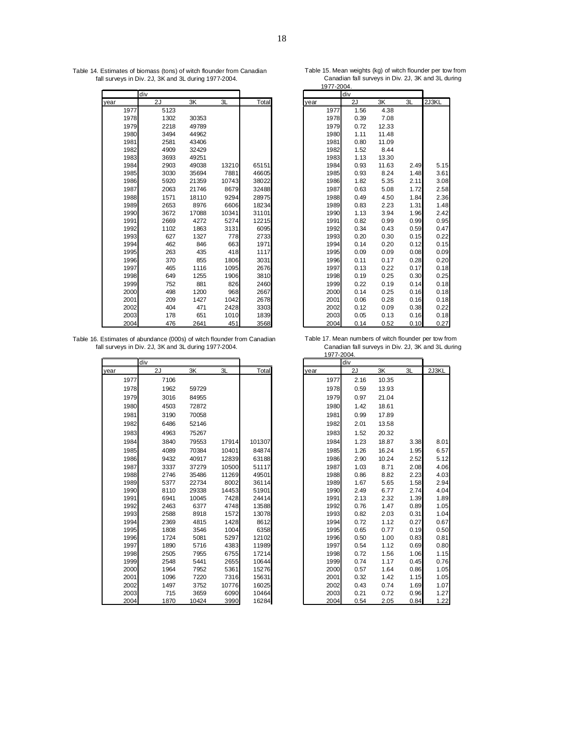Table 14. Estimates of biomass (tons) of witch flounder from Canadian Table 15. Mean weights (kg) of witch flounder per tow from fall surveys in Div. 2J, 3K and 3L during 1977-2004. Canadian fall surveys in Div. 2J, 3K and 3L during .

|             | div  |       |       |       | div         |      |       |      |       |
|-------------|------|-------|-------|-------|-------------|------|-------|------|-------|
| year        | 2J   | 3K    | 3L    | Total | year        | 2J   | 3K    | 3L   | 2J3KL |
| 1977        | 5123 |       |       |       | 1977        | 1.56 | 4.38  |      |       |
| 1978        | 1302 | 30353 |       |       | 1978        | 0.39 | 7.08  |      |       |
| 1979        | 2218 | 49789 |       |       | 1979        | 0.72 | 12.33 |      |       |
| <b>1980</b> | 3494 | 44962 |       |       | <b>1980</b> | 1.11 | 11.48 |      |       |
| 1981        | 2581 | 43406 |       |       | 1981        | 0.80 | 11.09 |      |       |
| 1982        | 4909 | 32429 |       |       | 1982        | 1.52 | 8.44  |      |       |
| 1983        | 3693 | 49251 |       |       | 1983        | 1.13 | 13.30 |      |       |
| 1984        | 2903 | 49038 | 13210 | 65151 | 1984        | 0.93 | 11.63 | 2.49 | 5.15  |
| 1985        | 3030 | 35694 | 7881  | 46605 | 1985        | 0.93 | 8.24  | 1.48 | 3.61  |
| 1986        | 5920 | 21359 | 10743 | 38022 | 1986        | 1.82 | 5.35  | 2.11 | 3.08  |
| 1987        | 2063 | 21746 | 8679  | 32488 | 1987        | 0.63 | 5.08  | 1.72 | 2.58  |
| 1988        | 1571 | 18110 | 9294  | 28975 | 1988        | 0.49 | 4.50  | 1.84 | 2.36  |
| 1989        | 2653 | 8976  | 6606  | 18234 | 1989        | 0.83 | 2.23  | 1.31 | 1.48  |
| 1990        | 3672 | 17088 | 10341 | 31101 | 1990        | 1.13 | 3.94  | 1.96 | 2.42  |
| 1991        | 2669 | 4272  | 5274  | 12215 | 1991        | 0.82 | 0.99  | 0.99 | 0.95  |
| 1992        | 1102 | 1863  | 3131  | 6095  | 1992        | 0.34 | 0.43  | 0.59 | 0.47  |
| 1993        | 627  | 1327  | 778   | 2733  | 1993        | 0.20 | 0.30  | 0.15 | 0.22  |
| 1994        | 462  | 846   | 663   | 1971  | 1994        | 0.14 | 0.20  | 0.12 | 0.15  |
| 1995        | 263  | 435   | 418   | 1117  | 1995        | 0.09 | 0.09  | 0.08 | 0.09  |
| 1996        | 370  | 855   | 1806  | 3031  | 1996        | 0.11 | 0.17  | 0.28 | 0.20  |
| 1997        | 465  | 1116  | 1095  | 2676  | 1997        | 0.13 | 0.22  | 0.17 | 0.18  |
| 1998        | 649  | 1255  | 1906  | 3810  | 1998        | 0.19 | 0.25  | 0.30 | 0.25  |
| 1999        | 752  | 881   | 826   | 2460  | 1999        | 0.22 | 0.19  | 0.14 | 0.18  |
| 2000        | 498  | 1200  | 968   | 2667  | 2000        | 0.14 | 0.25  | 0.16 | 0.18  |
| 2001        | 209  | 1427  | 1042  | 2678  | 2001        | 0.06 | 0.28  | 0.16 | 0.18  |
| 2002        | 404  | 471   | 2428  | 3303  | 2002        | 0.12 | 0.09  | 0.38 | 0.22  |
| 2003        | 178  | 651   | 1010  | 1839  | 2003        | 0.05 | 0.13  | 0.16 | 0.18  |
| 2004        | 476  | 2641  | 451   | 3568  | 2004        | 0.14 | 0.52  | 0.10 | 0.27  |

Table 16. Estimates of abundance (000s) of witch flounder from Canadian Table 17. Mean numbers of witch flounder per tow from fall surveys in Div. 2J, 3K and 3L during 1977-2004. Canadian fall surveys in Div. 2J, 3K and 3L during .

|      | ldiv |       |       |        |      | div  |       |      |       |
|------|------|-------|-------|--------|------|------|-------|------|-------|
| year | 2J   | 3K    | 3L    | Total  | year | 2J   | 3K    | 3L   | 2J3KL |
| 1977 | 7106 |       |       |        | 1977 | 2.16 | 10.35 |      |       |
| 1978 | 1962 | 59729 |       |        | 1978 | 0.59 | 13.93 |      |       |
| 1979 | 3016 | 84955 |       |        | 1979 | 0.97 | 21.04 |      |       |
| 1980 | 4503 | 72872 |       |        | 1980 | 1.42 | 18.61 |      |       |
| 1981 | 3190 | 70058 |       |        | 1981 | 0.99 | 17.89 |      |       |
| 1982 | 6486 | 52146 |       |        | 1982 | 2.01 | 13.58 |      |       |
| 1983 | 4963 | 75267 |       |        | 1983 | 1.52 | 20.32 |      |       |
| 1984 | 3840 | 79553 | 17914 | 101307 | 1984 | 1.23 | 18.87 | 3.38 | 8.01  |
| 1985 | 4089 | 70384 | 10401 | 84874  | 1985 | 1.26 | 16.24 | 1.95 | 6.57  |
| 1986 | 9432 | 40917 | 12839 | 63188  | 1986 | 2.90 | 10.24 | 2.52 | 5.12  |
| 1987 | 3337 | 37279 | 10500 | 51117  | 1987 | 1.03 | 8.71  | 2.08 | 4.06  |
| 1988 | 2746 | 35486 | 11269 | 49501  | 1988 | 0.86 | 8.82  | 2.23 | 4.03  |
| 1989 | 5377 | 22734 | 8002  | 36114  | 1989 | 1.67 | 5.65  | 1.58 | 2.94  |
| 1990 | 8110 | 29338 | 14453 | 51901  | 1990 | 2.49 | 6.77  | 2.74 | 4.04  |
| 1991 | 6941 | 10045 | 7428  | 24414  | 1991 | 2.13 | 2.32  | 1.39 | 1.89  |
| 1992 | 2463 | 6377  | 4748  | 13588  | 1992 | 0.76 | 1.47  | 0.89 | 1.05  |
| 1993 | 2588 | 8918  | 1572  | 13078  | 1993 | 0.82 | 2.03  | 0.31 | 1.04  |
| 1994 | 2369 | 4815  | 1428  | 8612   | 1994 | 0.72 | 1.12  | 0.27 | 0.67  |
| 1995 | 1808 | 3546  | 1004  | 6358   | 1995 | 0.65 | 0.77  | 0.19 | 0.50  |
| 1996 | 1724 | 5081  | 5297  | 12102  | 1996 | 0.50 | 1.00  | 0.83 | 0.81  |
| 1997 | 1890 | 5716  | 4383  | 11989  | 1997 | 0.54 | 1.12  | 0.69 | 0.80  |
| 1998 | 2505 | 7955  | 6755  | 17214  | 1998 | 0.72 | 1.56  | 1.06 | 1.15  |
| 1999 | 2548 | 5441  | 2655  | 10644  | 1999 | 0.74 | 1.17  | 0.45 | 0.76  |
| 2000 | 1964 | 7952  | 5361  | 15276  | 2000 | 0.57 | 1.64  | 0.86 | 1.05  |
| 2001 | 1096 | 7220  | 7316  | 15631  | 2001 | 0.32 | 1.42  | 1.15 | 1.05  |
| 2002 | 1497 | 3752  | 10776 | 16025  | 2002 | 0.43 | 0.74  | 1.69 | 1.07  |
| 2003 | 715  | 3659  | 6090  | 10464  | 2003 | 0.21 | 0.72  | 0.96 | 1.27  |
| 2004 | 1870 | 10424 | 3990  | 16284  | 2004 | 0.54 | 2.05  | 0.84 | 1.22  |

1977-2004.

| <u> 1911 - </u> | <u>-2004.</u><br>div |       |      |       |
|-----------------|----------------------|-------|------|-------|
| year            | 2J                   | 3K    | 3L   | 2J3KL |
| 1977            | 1.56                 | 4.38  |      |       |
| 1978            | 0.39                 | 7.08  |      |       |
| 1979            | 0.72                 | 12.33 |      |       |
| 1980            | 1.11                 | 11.48 |      |       |
| 1981            | 0.80                 | 11.09 |      |       |
| 1982            | 1.52                 | 8.44  |      |       |
| 1983            | 1.13                 | 13.30 |      |       |
| 1984            | 0.93                 | 11.63 | 2.49 | 5.15  |
| 1985            | 0.93                 | 8.24  | 1.48 | 3.61  |
| 1986            | 1.82                 | 5.35  | 2.11 | 3.08  |
| 1987            | 0.63                 | 5.08  | 1.72 | 2.58  |
| 1988            | 0.49                 | 4.50  | 1.84 | 2.36  |
| 1989            | 0.83                 | 2.23  | 1.31 | 1.48  |
| 1990            | 1.13                 | 3.94  | 1.96 | 2.42  |
| 1991            | 0.82                 | 0.99  | 0.99 | 0.95  |
| 1992            | 0.34                 | 0.43  | 0.59 | 0.47  |
| 1993            | 0.20                 | 0.30  | 0.15 | 0.22  |
| 1994            | 0.14                 | 0.20  | 0.12 | 0.15  |
| 1995            | 0.09                 | 0.09  | 0.08 | 0.09  |
| 1996            | 0.11                 | 0.17  | 0.28 | 0.20  |
| 1997            | 0.13                 | 0.22  | 0.17 | 0.18  |
| 1998            | 0.19                 | 0.25  | 0.30 | 0.25  |
| 1999            | 0.22                 | 0.19  | 0.14 | 0.18  |
| 2000            | 0.14                 | 0.25  | 0.16 | 0.18  |
| 2001            | 0.06                 | 0.28  | 0.16 | 0.18  |
| 2002            | 0.12                 | 0.09  | 0.38 | 0.22  |
| 2003            | 0.05                 | 0.13  | 0.16 | 0.18  |
| 2004            | 0.14                 | 0.52  | 0.10 | 0.27  |

17. Mean nambers of with hounder per low home<br>Canadian fall surveys in Div. 2J, 3K and 3L during<br>1977-2004.

|      |      |       |              |        |      | $1.311 - 200 + .$ |      |       |                         |       |
|------|------|-------|--------------|--------|------|-------------------|------|-------|-------------------------|-------|
|      | div  |       |              |        |      |                   | div  |       |                         |       |
|      | 2J   | 3K    | 3L           | Total  | year |                   | 2J   | 3K    | 3L                      | 2J3KL |
| 1977 | 7106 |       |              |        |      | 1977              | 2.16 | 10.35 |                         |       |
| 1978 | 1962 | 59729 |              |        |      | 1978              | 0.59 | 13.93 |                         |       |
| 1979 | 3016 | 84955 |              |        |      | 1979              | 0.97 | 21.04 |                         |       |
| 1980 | 4503 | 72872 |              |        |      | 1980              | 1.42 | 18.61 |                         |       |
| 1981 | 3190 | 70058 |              |        |      | 1981              | 0.99 | 17.89 |                         |       |
| 1982 | 6486 | 52146 |              |        |      | 1982              | 2.01 | 13.58 |                         |       |
| 1983 | 4963 | 75267 |              |        |      | 1983              | 1.52 | 20.32 |                         |       |
| 1984 | 3840 | 79553 | 17914        | 101307 |      | 1984              | 1.23 | 18.87 | 3.38                    | 8.01  |
| 1985 | 4089 | 70384 | 10401        | 84874  |      | 1985              | 1.26 | 16.24 | 1.95                    | 6.57  |
| 1986 | 9432 | 40917 | 12839        | 63188  |      | 1986              | 2.90 | 10.24 | 2.52                    | 5.12  |
| 1987 | 3337 | 37279 | 10500        | 51117  |      | 1987              | 1.03 | 8.71  | 2.08                    | 4.06  |
| 1988 | 2746 | 35486 | 11269        | 49501  |      | 1988              | 0.86 | 8.82  | 2.23                    | 4.03  |
| 1989 | 5377 | 22734 | 8002         | 36114  |      | 1989              | 1.67 | 5.65  | 1.58                    | 2.94  |
| 1990 | 8110 | 29338 | 14453        | 51901  |      | 1990              | 2.49 | 6.77  | 2.74                    | 4.04  |
| 1991 | 6941 | 10045 | 7428         | 24414  |      | 1991              | 2.13 | 2.32  | 1.39                    | 1.89  |
| 1992 | 2463 | 6377  | 4748         | 13588  |      | 1992              | 0.76 | 1.47  | 0.89                    | 1.05  |
| 1993 | 2588 | 8918  | 1572         | 13078  |      | 1993              | 0.82 | 2.03  | 0.31                    | 1.04  |
| 1994 | 2369 | 4815  | 1428         | 8612   |      | 1994              | 0.72 | 1.12  | 0.27                    | 0.67  |
| 1995 | 1808 | 3546  | 1004         | 6358   |      | 1995              | 0.65 | 0.77  | 0.19                    | 0.50  |
| 1996 | 1724 | 5081  | 5297         | 12102  |      | 1996              | 0.50 | 1.00  | 0.83                    | 0.81  |
| 1997 | 1890 | 5716  | 4383         | 11989  |      | 1997              | 0.54 | 1.12  | 0.69                    | 0.80  |
| 1998 | 2505 | 7955  | 6755         | 17214  |      | 1998              | 0.72 | 1.56  | 1.06                    | 1.15  |
| 1999 | 2548 | 5441  | 2655         | 10644  |      | 1999              | 0.74 | 1.17  | 0.45                    | 0.76  |
| 2000 | 1964 | 7952  | 5361         | 15276  |      | 2000              | 0.57 | 1.64  | 0.86                    | 1.05  |
| 2001 | 1096 | 7220  | 7316         | 15631  |      | 2001              | 0.32 | 1.42  | 1.15                    | 1.05  |
| 2002 | 1497 | 3752  | 10776        | 16025  |      | 2002              | 0.43 | 0.74  | 1.69                    | 1.07  |
| 2003 | 715  | 3659  | 6090         | 10464  |      | 2003              | 0.21 | 0.72  | 0.96                    | 1.27  |
| 2004 | 1870 | 10424 | <b>300UL</b> | 16284  |      | 2004              | 0.54 | 205   | $\bigcap$ $\mathsf{RA}$ | 1.22  |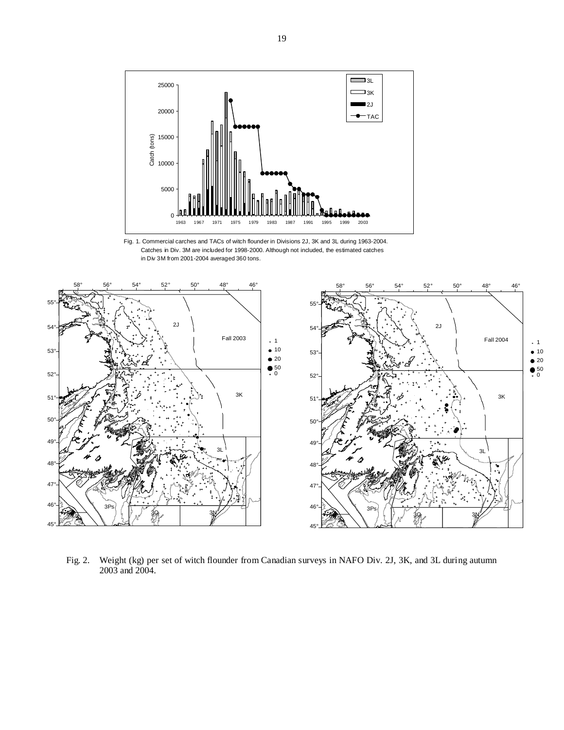





Fig. 2. Weight (kg) per set of witch flounder from Canadian surveys in NAFO Div. 2J, 3K, and 3L during autumn 2003 and 2004.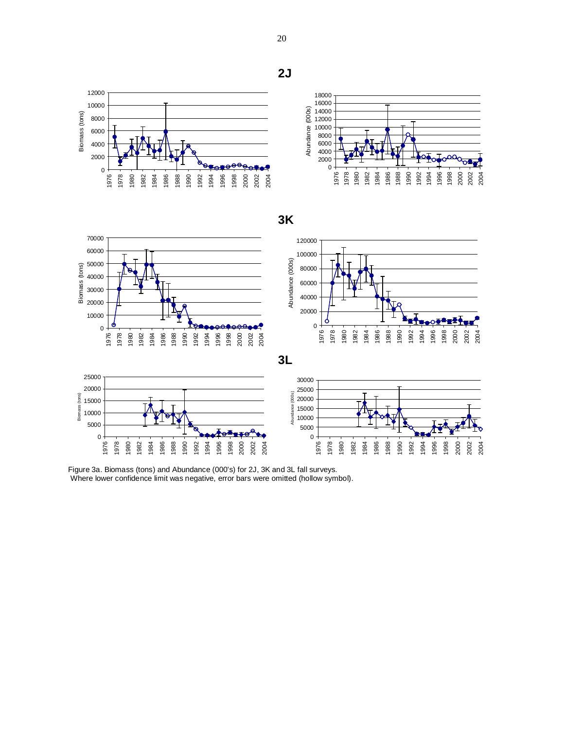**2J**





 

# **3K**





Figure 3a. Biomass (tons) and Abundance (000's) for 2J, 3K and 3L fall surveys. Where lower confidence limit was negative, error bars were omitted (hollow symbol).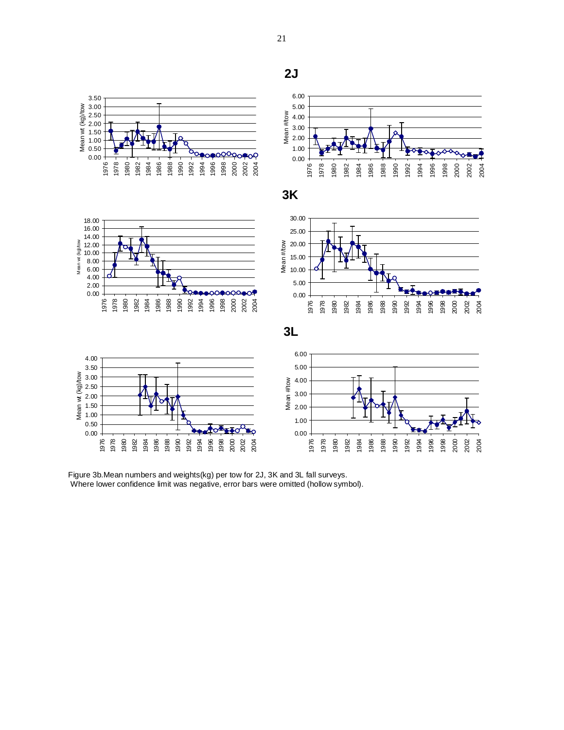

Figure 3b.Mean numbers and weights(kg) per tow for 2J, 3K and 3L fall surveys. Where lower confidence limit was negative, error bars were omitted (hollow symbol).

**2J**